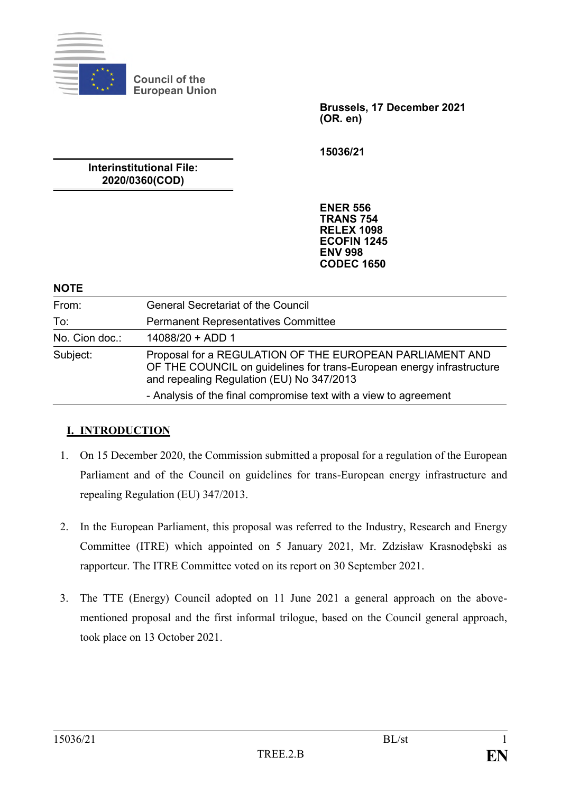

**Council of the European Union**

> **Brussels, 17 December 2021 (OR. en)**

**15036/21**

**Interinstitutional File: 2020/0360(COD)**

> **ENER 556 TRANS 754 RELEX 1098 ECOFIN 1245 ENV 998 CODEC 1650**

| <b>NOTE</b>    |                                                                                                                                                                                                                                                    |
|----------------|----------------------------------------------------------------------------------------------------------------------------------------------------------------------------------------------------------------------------------------------------|
| From:          | <b>General Secretariat of the Council</b>                                                                                                                                                                                                          |
| To:            | <b>Permanent Representatives Committee</b>                                                                                                                                                                                                         |
| No. Cion doc.: | $14088/20 + ADD 1$                                                                                                                                                                                                                                 |
| Subject:       | Proposal for a REGULATION OF THE EUROPEAN PARLIAMENT AND<br>OF THE COUNCIL on guidelines for trans-European energy infrastructure<br>and repealing Regulation (EU) No 347/2013<br>- Analysis of the final compromise text with a view to agreement |

# **I. INTRODUCTION**

- 1. On 15 December 2020, the Commission submitted a proposal for a regulation of the European Parliament and of the Council on guidelines for trans-European energy infrastructure and repealing Regulation (EU) 347/2013.
- 2. In the European Parliament, this proposal was referred to the Industry, Research and Energy Committee (ITRE) which appointed on 5 January 2021, Mr. Zdzisław Krasnodębski as rapporteur. The ITRE Committee voted on its report on 30 September 2021.
- 3. The TTE (Energy) Council adopted on 11 June 2021 a general approach on the abovementioned proposal and the first informal trilogue, based on the Council general approach, took place on 13 October 2021.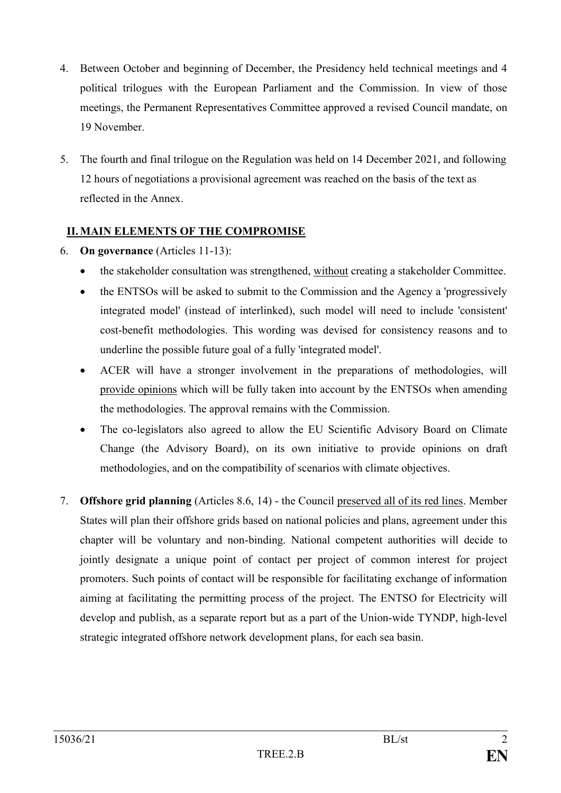- 4. Between October and beginning of December, the Presidency held technical meetings and 4 political trilogues with the European Parliament and the Commission. In view of those meetings, the Permanent Representatives Committee approved a revised Council mandate, on 19 November.
- 5. The fourth and final trilogue on the Regulation was held on 14 December 2021, and following 12 hours of negotiations a provisional agreement was reached on the basis of the text as reflected in the Annex.

# **II.MAIN ELEMENTS OF THE COMPROMISE**

- 6. **On governance** (Articles 11-13):
	- the stakeholder consultation was strengthened, without creating a stakeholder Committee.
	- the ENTSOs will be asked to submit to the Commission and the Agency a 'progressively integrated model' (instead of interlinked), such model will need to include 'consistent' cost-benefit methodologies. This wording was devised for consistency reasons and to underline the possible future goal of a fully 'integrated model'.
	- ACER will have a stronger involvement in the preparations of methodologies, will provide opinions which will be fully taken into account by the ENTSOs when amending the methodologies. The approval remains with the Commission.
	- The co-legislators also agreed to allow the EU Scientific Advisory Board on Climate Change (the Advisory Board), on its own initiative to provide opinions on draft methodologies, and on the compatibility of scenarios with climate objectives.
- 7. **Offshore grid planning** (Articles 8.6, 14) the Council preserved all of its red lines. Member States will plan their offshore grids based on national policies and plans, agreement under this chapter will be voluntary and non-binding. National competent authorities will decide to jointly designate a unique point of contact per project of common interest for project promoters. Such points of contact will be responsible for facilitating exchange of information aiming at facilitating the permitting process of the project. The ENTSO for Electricity will develop and publish, as a separate report but as a part of the Union-wide TYNDP, high-level strategic integrated offshore network development plans, for each sea basin.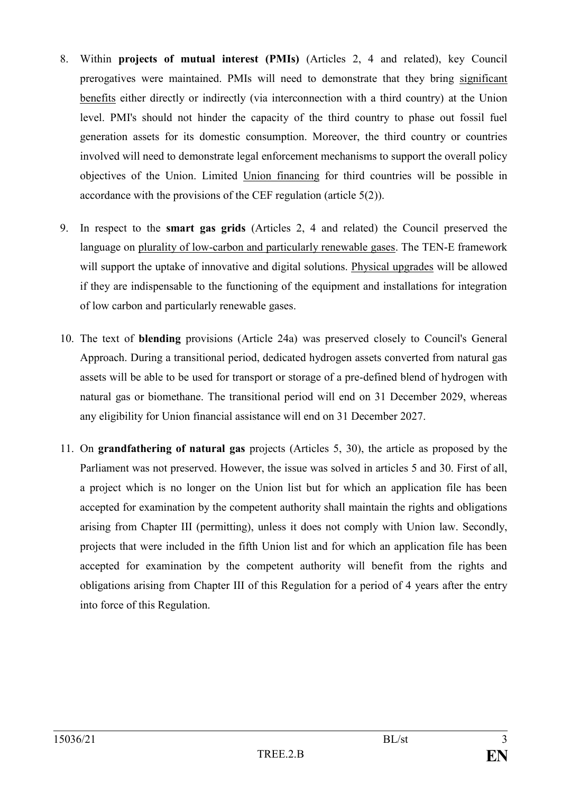- 8. Within **projects of mutual interest (PMIs)** (Articles 2, 4 and related), key Council prerogatives were maintained. PMIs will need to demonstrate that they bring significant benefits either directly or indirectly (via interconnection with a third country) at the Union level. PMI's should not hinder the capacity of the third country to phase out fossil fuel generation assets for its domestic consumption. Moreover, the third country or countries involved will need to demonstrate legal enforcement mechanisms to support the overall policy objectives of the Union. Limited Union financing for third countries will be possible in accordance with the provisions of the CEF regulation (article 5(2)).
- 9. In respect to the **smart gas grids** (Articles 2, 4 and related) the Council preserved the language on plurality of low-carbon and particularly renewable gases. The TEN-E framework will support the uptake of innovative and digital solutions. Physical upgrades will be allowed if they are indispensable to the functioning of the equipment and installations for integration of low carbon and particularly renewable gases.
- 10. The text of **blending** provisions (Article 24a) was preserved closely to Council's General Approach. During a transitional period, dedicated hydrogen assets converted from natural gas assets will be able to be used for transport or storage of a pre-defined blend of hydrogen with natural gas or biomethane. The transitional period will end on 31 December 2029, whereas any eligibility for Union financial assistance will end on 31 December 2027.
- 11. On **grandfathering of natural gas** projects (Articles 5, 30), the article as proposed by the Parliament was not preserved. However, the issue was solved in articles 5 and 30. First of all, a project which is no longer on the Union list but for which an application file has been accepted for examination by the competent authority shall maintain the rights and obligations arising from Chapter III (permitting), unless it does not comply with Union law. Secondly, projects that were included in the fifth Union list and for which an application file has been accepted for examination by the competent authority will benefit from the rights and obligations arising from Chapter III of this Regulation for a period of 4 years after the entry into force of this Regulation.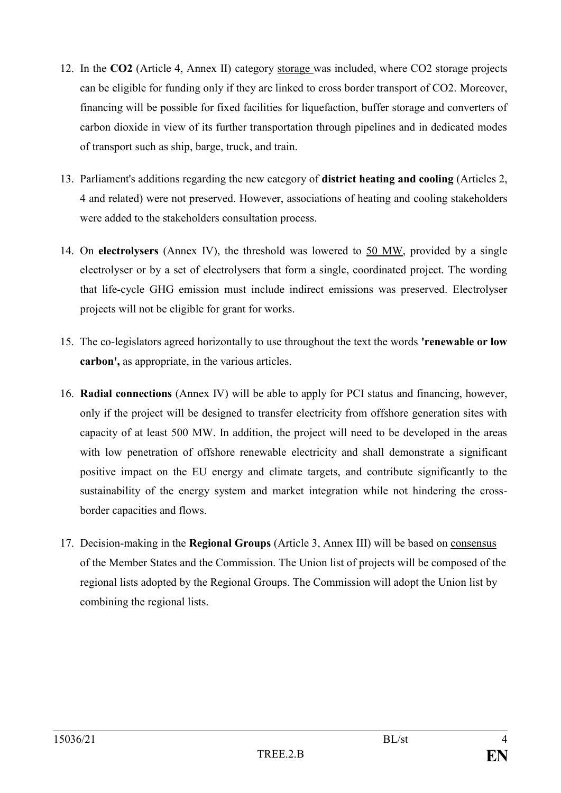- 12. In the **CO2** (Article 4, Annex II) category storage was included, where CO2 storage projects can be eligible for funding only if they are linked to cross border transport of CO2. Moreover, financing will be possible for fixed facilities for liquefaction, buffer storage and converters of carbon dioxide in view of its further transportation through pipelines and in dedicated modes of transport such as ship, barge, truck, and train.
- 13. Parliament's additions regarding the new category of **district heating and cooling** (Articles 2, 4 and related) were not preserved. However, associations of heating and cooling stakeholders were added to the stakeholders consultation process.
- 14. On **electrolysers** (Annex IV), the threshold was lowered to 50 MW, provided by a single electrolyser or by a set of electrolysers that form a single, coordinated project. The wording that life-cycle GHG emission must include indirect emissions was preserved. Electrolyser projects will not be eligible for grant for works.
- 15. The co-legislators agreed horizontally to use throughout the text the words **'renewable or low carbon',** as appropriate, in the various articles.
- 16. **Radial connections** (Annex IV) will be able to apply for PCI status and financing, however, only if the project will be designed to transfer electricity from offshore generation sites with capacity of at least 500 MW. In addition, the project will need to be developed in the areas with low penetration of offshore renewable electricity and shall demonstrate a significant positive impact on the EU energy and climate targets, and contribute significantly to the sustainability of the energy system and market integration while not hindering the crossborder capacities and flows.
- 17. Decision-making in the **Regional Groups** (Article 3, Annex III) will be based on consensus of the Member States and the Commission. The Union list of projects will be composed of the regional lists adopted by the Regional Groups. The Commission will adopt the Union list by combining the regional lists.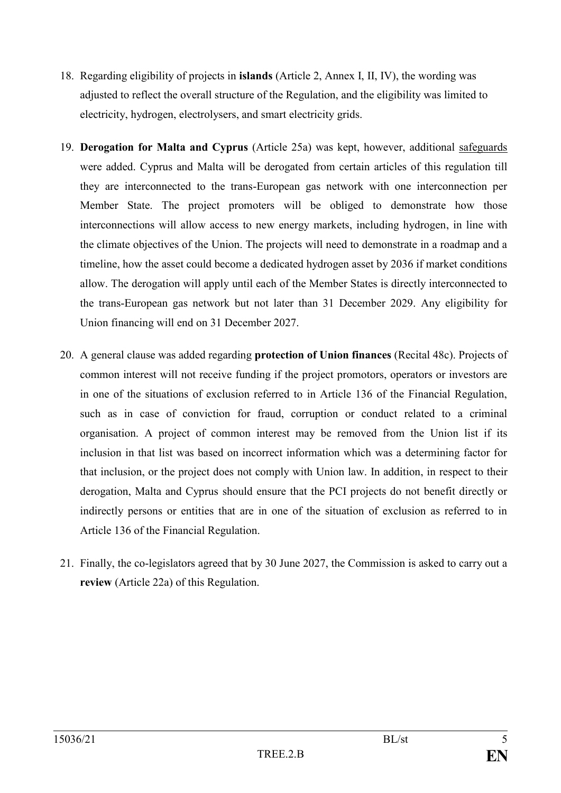- 18. Regarding eligibility of projects in **islands** (Article 2, Annex I, II, IV), the wording was adjusted to reflect the overall structure of the Regulation, and the eligibility was limited to electricity, hydrogen, electrolysers, and smart electricity grids.
- 19. **Derogation for Malta and Cyprus** (Article 25a) was kept, however, additional safeguards were added. Cyprus and Malta will be derogated from certain articles of this regulation till they are interconnected to the trans-European gas network with one interconnection per Member State. The project promoters will be obliged to demonstrate how those interconnections will allow access to new energy markets, including hydrogen, in line with the climate objectives of the Union. The projects will need to demonstrate in a roadmap and a timeline, how the asset could become a dedicated hydrogen asset by 2036 if market conditions allow. The derogation will apply until each of the Member States is directly interconnected to the trans-European gas network but not later than 31 December 2029. Any eligibility for Union financing will end on 31 December 2027.
- 20. A general clause was added regarding **protection of Union finances** (Recital 48c). Projects of common interest will not receive funding if the project promotors, operators or investors are in one of the situations of exclusion referred to in Article 136 of the Financial Regulation, such as in case of conviction for fraud, corruption or conduct related to a criminal organisation. A project of common interest may be removed from the Union list if its inclusion in that list was based on incorrect information which was a determining factor for that inclusion, or the project does not comply with Union law. In addition, in respect to their derogation, Malta and Cyprus should ensure that the PCI projects do not benefit directly or indirectly persons or entities that are in one of the situation of exclusion as referred to in Article 136 of the Financial Regulation.
- 21. Finally, the co-legislators agreed that by 30 June 2027, the Commission is asked to carry out a **review** (Article 22a) of this Regulation.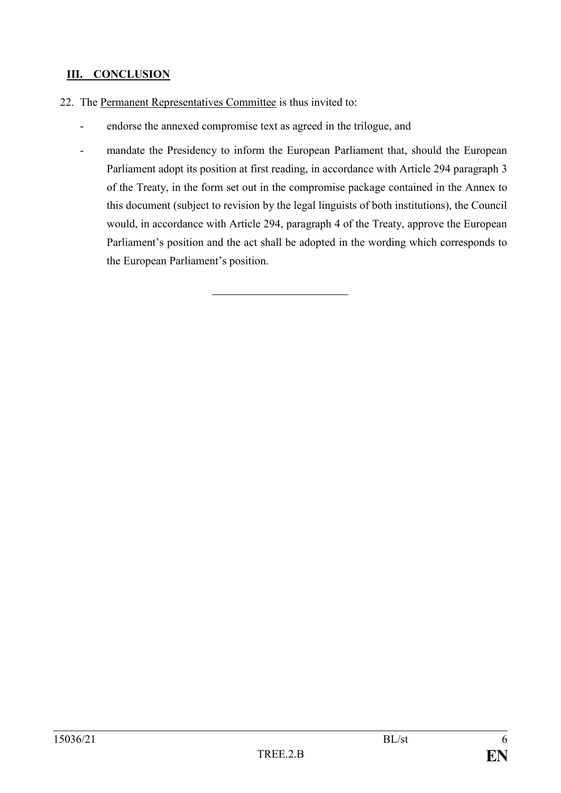# **III. CONCLUSION**

- 22. The Permanent Representatives Committee is thus invited to:
	- endorse the annexed compromise text as agreed in the trilogue, and
	- mandate the Presidency to inform the European Parliament that, should the European Parliament adopt its position at first reading, in accordance with Article 294 paragraph 3 of the Treaty, in the form set out in the compromise package contained in the Annex to this document (subject to revision by the legal linguists of both institutions), the Council would, in accordance with Article 294, paragraph 4 of the Treaty, approve the European Parliament's position and the act shall be adopted in the wording which corresponds to the European Parliament's position.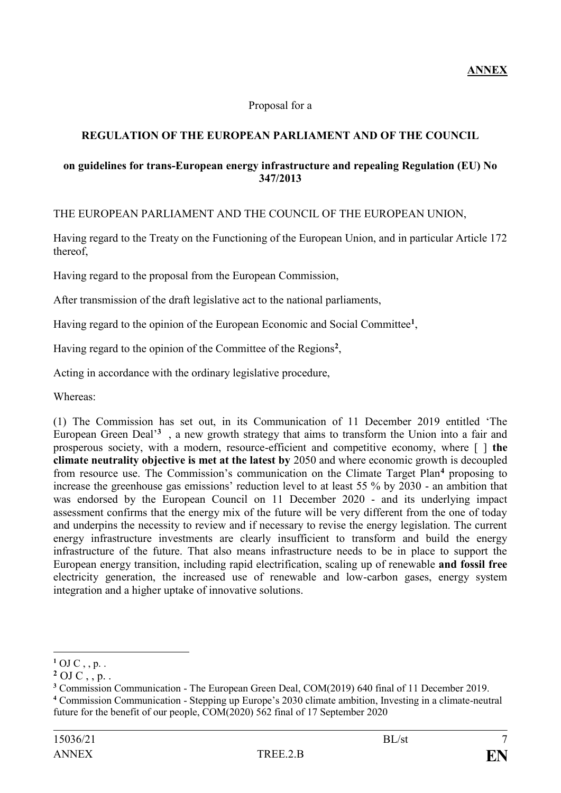## Proposal for a

## **REGULATION OF THE EUROPEAN PARLIAMENT AND OF THE COUNCIL**

### **on guidelines for trans-European energy infrastructure and repealing Regulation (EU) No 347/2013**

## THE EUROPEAN PARLIAMENT AND THE COUNCIL OF THE EUROPEAN UNION,

Having regard to the Treaty on the Functioning of the European Union, and in particular Article 172 thereof,

Having regard to the proposal from the European Commission,

After transmission of the draft legislative act to the national parliaments,

Having regard to the opinion of the European Economic and Social Committee**<sup>1</sup>** ,

Having regard to the opinion of the Committee of the Regions**<sup>2</sup>** ,

Acting in accordance with the ordinary legislative procedure,

Whereas:

(1) The Commission has set out, in its Communication of 11 December 2019 entitled 'The European Green Deal'**<sup>3</sup>** , a new growth strategy that aims to transform the Union into a fair and prosperous society, with a modern, resource-efficient and competitive economy, where [ ] **the climate neutrality objective is met at the latest by** 2050 and where economic growth is decoupled from resource use. The Commission's communication on the Climate Target Plan**<sup>4</sup>** proposing to increase the greenhouse gas emissions' reduction level to at least 55 % by 2030 - an ambition that was endorsed by the European Council on 11 December 2020 - and its underlying impact assessment confirms that the energy mix of the future will be very different from the one of today and underpins the necessity to review and if necessary to revise the energy legislation. The current energy infrastructure investments are clearly insufficient to transform and build the energy infrastructure of the future. That also means infrastructure needs to be in place to support the European energy transition, including rapid electrification, scaling up of renewable **and fossil free** electricity generation, the increased use of renewable and low-carbon gases, energy system integration and a higher uptake of innovative solutions.

<u>.</u>

 $^{1}$  OJ C , , p. .

 $2$  OJ C, , p. .

**<sup>3</sup>** Commission Communication - The European Green Deal, COM(2019) 640 final of 11 December 2019.

**<sup>4</sup>** Commission Communication - Stepping up Europe's 2030 climate ambition, Investing in a climate-neutral future for the benefit of our people, COM(2020) 562 final of 17 September 2020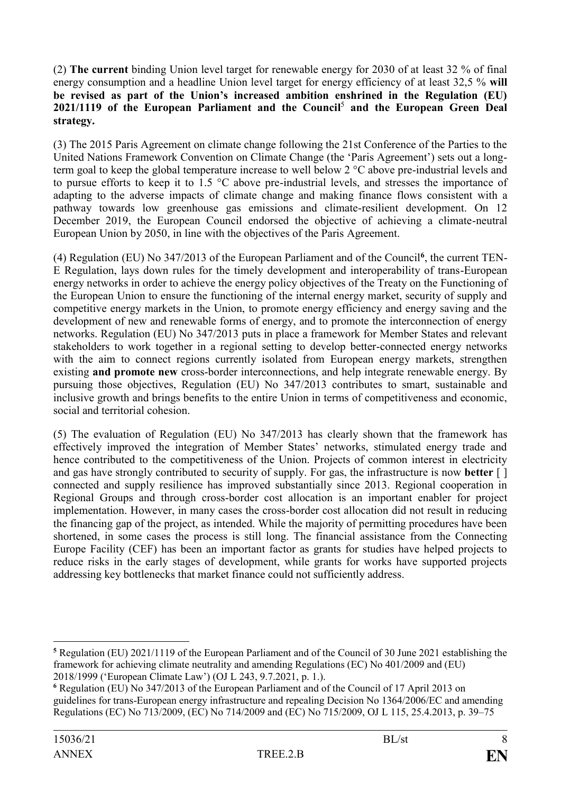(2) **The current** binding Union level target for renewable energy for 2030 of at least 32 % of final energy consumption and a headline Union level target for energy efficiency of at least 32,5 % **will be revised as part of the Union's increased ambition enshrined in the Regulation (EU) 2021/1119 of the European Parliament and the Council** 5 **and the European Green Deal strategy.**

(3) The 2015 Paris Agreement on climate change following the 21st Conference of the Parties to the United Nations Framework Convention on Climate Change (the 'Paris Agreement') sets out a longterm goal to keep the global temperature increase to well below 2 °C above pre-industrial levels and to pursue efforts to keep it to 1.5 °C above pre-industrial levels, and stresses the importance of adapting to the adverse impacts of climate change and making finance flows consistent with a pathway towards low greenhouse gas emissions and climate-resilient development. On 12 December 2019, the European Council endorsed the objective of achieving a climate-neutral European Union by 2050, in line with the objectives of the Paris Agreement.

(4) Regulation (EU) No 347/2013 of the European Parliament and of the Council**<sup>6</sup>** , the current TEN-E Regulation, lays down rules for the timely development and interoperability of trans-European energy networks in order to achieve the energy policy objectives of the Treaty on the Functioning of the European Union to ensure the functioning of the internal energy market, security of supply and competitive energy markets in the Union, to promote energy efficiency and energy saving and the development of new and renewable forms of energy, and to promote the interconnection of energy networks. Regulation (EU) No 347/2013 puts in place a framework for Member States and relevant stakeholders to work together in a regional setting to develop better-connected energy networks with the aim to connect regions currently isolated from European energy markets, strengthen existing **and promote new** cross-border interconnections, and help integrate renewable energy. By pursuing those objectives, Regulation (EU) No 347/2013 contributes to smart, sustainable and inclusive growth and brings benefits to the entire Union in terms of competitiveness and economic, social and territorial cohesion.

(5) The evaluation of Regulation (EU) No 347/2013 has clearly shown that the framework has effectively improved the integration of Member States' networks, stimulated energy trade and hence contributed to the competitiveness of the Union. Projects of common interest in electricity and gas have strongly contributed to security of supply. For gas, the infrastructure is now **better** [ ] connected and supply resilience has improved substantially since 2013. Regional cooperation in Regional Groups and through cross-border cost allocation is an important enabler for project implementation. However, in many cases the cross-border cost allocation did not result in reducing the financing gap of the project, as intended. While the majority of permitting procedures have been shortened, in some cases the process is still long. The financial assistance from the Connecting Europe Facility (CEF) has been an important factor as grants for studies have helped projects to reduce risks in the early stages of development, while grants for works have supported projects addressing key bottlenecks that market finance could not sufficiently address.

<u>.</u>

**<sup>5</sup>** Regulation (EU) 2021/1119 of the European Parliament and of the Council of 30 June 2021 establishing the framework for achieving climate neutrality and amending Regulations (EC) No 401/2009 and (EU) 2018/1999 ('European Climate Law') (OJ L 243, 9.7.2021, p. 1.).

**<sup>6</sup>** Regulation (EU) No 347/2013 of the European Parliament and of the Council of 17 April 2013 on guidelines for trans-European energy infrastructure and repealing Decision No 1364/2006/EC and amending Regulations (EC) No 713/2009, (EC) No 714/2009 and (EC) No 715/2009, OJ L 115, 25.4.2013, p. 39–75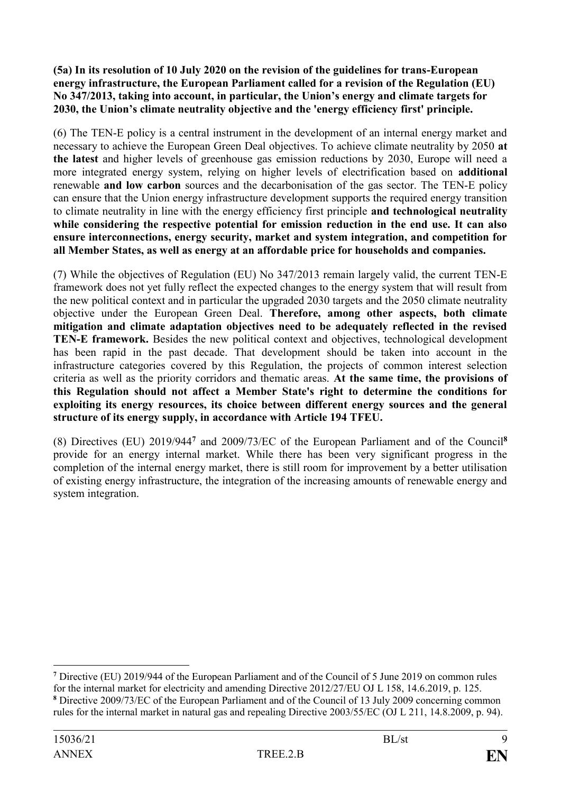**(5a) In its resolution of 10 July 2020 on the revision of the guidelines for trans-European energy infrastructure, the European Parliament called for a revision of the Regulation (EU) No 347/2013, taking into account, in particular, the Union's energy and climate targets for 2030, the Union's climate neutrality objective and the 'energy efficiency first' principle.**

(6) The TEN-E policy is a central instrument in the development of an internal energy market and necessary to achieve the European Green Deal objectives. To achieve climate neutrality by 2050 **at the latest** and higher levels of greenhouse gas emission reductions by 2030, Europe will need a more integrated energy system, relying on higher levels of electrification based on **additional** renewable **and low carbon** sources and the decarbonisation of the gas sector. The TEN-E policy can ensure that the Union energy infrastructure development supports the required energy transition to climate neutrality in line with the energy efficiency first principle **and technological neutrality while considering the respective potential for emission reduction in the end use. It can also ensure interconnections, energy security, market and system integration, and competition for all Member States, as well as energy at an affordable price for households and companies.**

(7) While the objectives of Regulation (EU) No 347/2013 remain largely valid, the current TEN-E framework does not yet fully reflect the expected changes to the energy system that will result from the new political context and in particular the upgraded 2030 targets and the 2050 climate neutrality objective under the European Green Deal. **Therefore, among other aspects, both climate mitigation and climate adaptation objectives need to be adequately reflected in the revised TEN-E framework.** Besides the new political context and objectives, technological development has been rapid in the past decade. That development should be taken into account in the infrastructure categories covered by this Regulation, the projects of common interest selection criteria as well as the priority corridors and thematic areas. **At the same time, the provisions of this Regulation should not affect a Member State's right to determine the conditions for exploiting its energy resources, its choice between different energy sources and the general structure of its energy supply, in accordance with Article 194 TFEU.**

(8) Directives (EU) 2019/944**<sup>7</sup>** and 2009/73/EC of the European Parliament and of the Council**<sup>8</sup>** provide for an energy internal market. While there has been very significant progress in the completion of the internal energy market, there is still room for improvement by a better utilisation of existing energy infrastructure, the integration of the increasing amounts of renewable energy and system integration.

<sup>1</sup> **<sup>7</sup>** Directive (EU) 2019/944 of the European Parliament and of the Council of 5 June 2019 on common rules for the internal market for electricity and amending Directive 2012/27/EU OJ L 158, 14.6.2019, p. 125.

**<sup>8</sup>** Directive 2009/73/EC of the European Parliament and of the Council of 13 July 2009 concerning common rules for the internal market in natural gas and repealing Directive 2003/55/EC (OJ L 211, 14.8.2009, p. 94).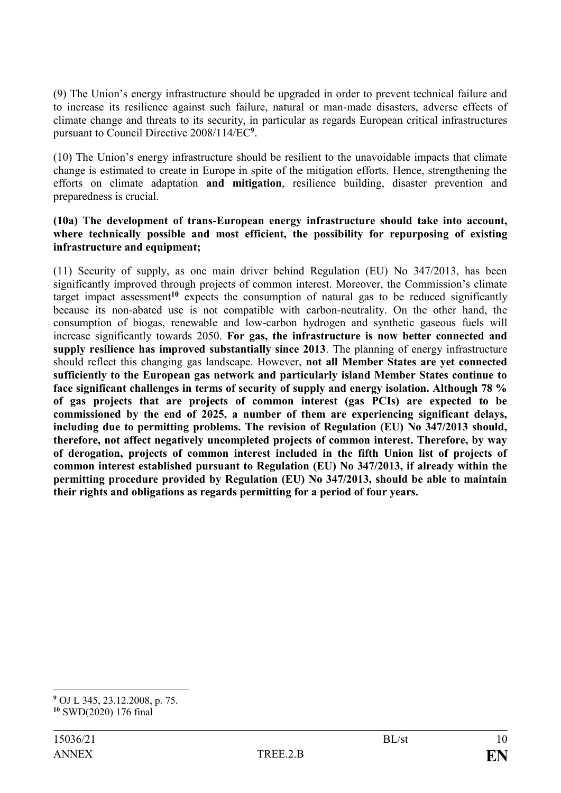(9) The Union's energy infrastructure should be upgraded in order to prevent technical failure and to increase its resilience against such failure, natural or man-made disasters, adverse effects of climate change and threats to its security, in particular as regards European critical infrastructures pursuant to Council Directive 2008/114/EC**<sup>9</sup>** .

(10) The Union's energy infrastructure should be resilient to the unavoidable impacts that climate change is estimated to create in Europe in spite of the mitigation efforts. Hence, strengthening the efforts on climate adaptation **and mitigation**, resilience building, disaster prevention and preparedness is crucial.

#### **(10a) The development of trans-European energy infrastructure should take into account, where technically possible and most efficient, the possibility for repurposing of existing infrastructure and equipment;**

(11) Security of supply, as one main driver behind Regulation (EU) No 347/2013, has been significantly improved through projects of common interest. Moreover, the Commission's climate target impact assessment**<sup>10</sup>** expects the consumption of natural gas to be reduced significantly because its non-abated use is not compatible with carbon-neutrality. On the other hand, the consumption of biogas, renewable and low-carbon hydrogen and synthetic gaseous fuels will increase significantly towards 2050. **For gas, the infrastructure is now better connected and supply resilience has improved substantially since 2013**. The planning of energy infrastructure should reflect this changing gas landscape. However, **not all Member States are yet connected sufficiently to the European gas network and particularly island Member States continue to face significant challenges in terms of security of supply and energy isolation. Although 78 % of gas projects that are projects of common interest (gas PCIs) are expected to be commissioned by the end of 2025, a number of them are experiencing significant delays, including due to permitting problems. The revision of Regulation (EU) No 347/2013 should, therefore, not affect negatively uncompleted projects of common interest. Therefore, by way of derogation, projects of common interest included in the fifth Union list of projects of common interest established pursuant to Regulation (EU) No 347/2013, if already within the permitting procedure provided by Regulation (EU) No 347/2013, should be able to maintain their rights and obligations as regards permitting for a period of four years.**

1

**<sup>9</sup>** OJ L 345, 23.12.2008, p. 75. **<sup>10</sup>** SWD(2020) 176 final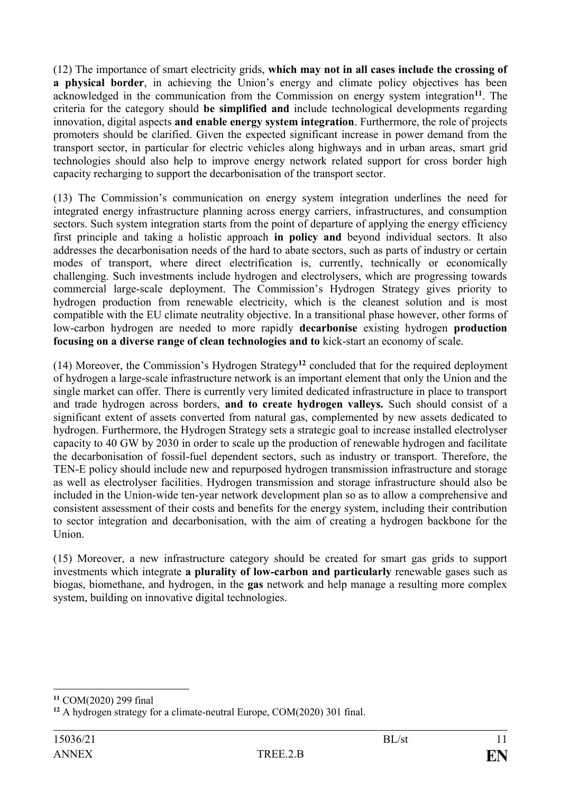(12) The importance of smart electricity grids, **which may not in all cases include the crossing of a physical border**, in achieving the Union's energy and climate policy objectives has been acknowledged in the communication from the Commission on energy system integration**<sup>11</sup>**. The criteria for the category should **be simplified and** include technological developments regarding innovation, digital aspects **and enable energy system integration**. Furthermore, the role of projects promoters should be clarified. Given the expected significant increase in power demand from the transport sector, in particular for electric vehicles along highways and in urban areas, smart grid technologies should also help to improve energy network related support for cross border high capacity recharging to support the decarbonisation of the transport sector.

(13) The Commission's communication on energy system integration underlines the need for integrated energy infrastructure planning across energy carriers, infrastructures, and consumption sectors. Such system integration starts from the point of departure of applying the energy efficiency first principle and taking a holistic approach **in policy and** beyond individual sectors. It also addresses the decarbonisation needs of the hard to abate sectors, such as parts of industry or certain modes of transport, where direct electrification is, currently, technically or economically challenging. Such investments include hydrogen and electrolysers, which are progressing towards commercial large-scale deployment. The Commission's Hydrogen Strategy gives priority to hydrogen production from renewable electricity, which is the cleanest solution and is most compatible with the EU climate neutrality objective. In a transitional phase however, other forms of low-carbon hydrogen are needed to more rapidly **decarbonise** existing hydrogen **production focusing on a diverse range of clean technologies and to** kick-start an economy of scale.

(14) Moreover, the Commission's Hydrogen Strategy**<sup>12</sup>** concluded that for the required deployment of hydrogen a large-scale infrastructure network is an important element that only the Union and the single market can offer. There is currently very limited dedicated infrastructure in place to transport and trade hydrogen across borders, **and to create hydrogen valleys.** Such should consist of a significant extent of assets converted from natural gas, complemented by new assets dedicated to hydrogen. Furthermore, the Hydrogen Strategy sets a strategic goal to increase installed electrolyser capacity to 40 GW by 2030 in order to scale up the production of renewable hydrogen and facilitate the decarbonisation of fossil-fuel dependent sectors, such as industry or transport. Therefore, the TEN-E policy should include new and repurposed hydrogen transmission infrastructure and storage as well as electrolyser facilities. Hydrogen transmission and storage infrastructure should also be included in the Union-wide ten-year network development plan so as to allow a comprehensive and consistent assessment of their costs and benefits for the energy system, including their contribution to sector integration and decarbonisation, with the aim of creating a hydrogen backbone for the Union.

(15) Moreover, a new infrastructure category should be created for smart gas grids to support investments which integrate **a plurality of low-carbon and particularly** renewable gases such as biogas, biomethane, and hydrogen, in the **gas** network and help manage a resulting more complex system, building on innovative digital technologies.

1

**<sup>11</sup>** COM(2020) 299 final

**<sup>12</sup>** A hydrogen strategy for a climate-neutral Europe, COM(2020) 301 final.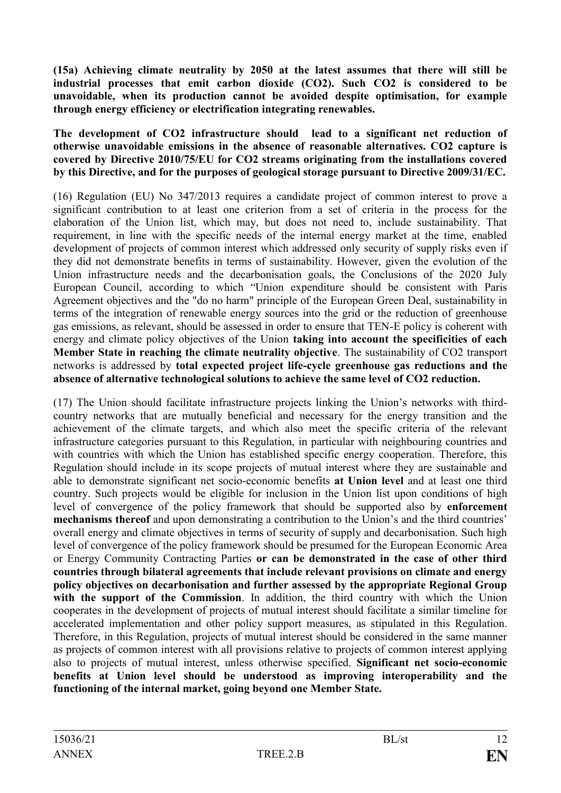**(15a) Achieving climate neutrality by 2050 at the latest assumes that there will still be industrial processes that emit carbon dioxide (CO2). Such CO2 is considered to be unavoidable, when its production cannot be avoided despite optimisation, for example through energy efficiency or electrification integrating renewables.** 

#### **The development of CO2 infrastructure should lead to a significant net reduction of otherwise unavoidable emissions in the absence of reasonable alternatives. CO2 capture is covered by Directive 2010/75/EU for CO2 streams originating from the installations covered by this Directive, and for the purposes of geological storage pursuant to Directive 2009/31/EC.**

(16) Regulation (EU) No 347/2013 requires a candidate project of common interest to prove a significant contribution to at least one criterion from a set of criteria in the process for the elaboration of the Union list, which may, but does not need to, include sustainability. That requirement, in line with the specific needs of the internal energy market at the time, enabled development of projects of common interest which addressed only security of supply risks even if they did not demonstrate benefits in terms of sustainability. However, given the evolution of the Union infrastructure needs and the decarbonisation goals, the Conclusions of the 2020 July European Council, according to which "Union expenditure should be consistent with Paris Agreement objectives and the "do no harm" principle of the European Green Deal, sustainability in terms of the integration of renewable energy sources into the grid or the reduction of greenhouse gas emissions, as relevant, should be assessed in order to ensure that TEN-E policy is coherent with energy and climate policy objectives of the Union **taking into account the specificities of each Member State in reaching the climate neutrality objective**. The sustainability of CO2 transport networks is addressed by **total expected project life-cycle greenhouse gas reductions and the absence of alternative technological solutions to achieve the same level of CO2 reduction.**

(17) The Union should facilitate infrastructure projects linking the Union's networks with thirdcountry networks that are mutually beneficial and necessary for the energy transition and the achievement of the climate targets, and which also meet the specific criteria of the relevant infrastructure categories pursuant to this Regulation, in particular with neighbouring countries and with countries with which the Union has established specific energy cooperation. Therefore, this Regulation should include in its scope projects of mutual interest where they are sustainable and able to demonstrate significant net socio-economic benefits **at Union level** and at least one third country. Such projects would be eligible for inclusion in the Union list upon conditions of high level of convergence of the policy framework that should be supported also by **enforcement mechanisms thereof** and upon demonstrating a contribution to the Union's and the third countries' overall energy and climate objectives in terms of security of supply and decarbonisation. Such high level of convergence of the policy framework should be presumed for the European Economic Area or Energy Community Contracting Parties **or can be demonstrated in the case of other third countries through bilateral agreements that include relevant provisions on climate and energy policy objectives on decarbonisation and further assessed by the appropriate Regional Group with the support of the Commission**. In addition, the third country with which the Union cooperates in the development of projects of mutual interest should facilitate a similar timeline for accelerated implementation and other policy support measures, as stipulated in this Regulation. Therefore, in this Regulation, projects of mutual interest should be considered in the same manner as projects of common interest with all provisions relative to projects of common interest applying also to projects of mutual interest, unless otherwise specified. **Significant net socio-economic benefits at Union level should be understood as improving interoperability and the functioning of the internal market, going beyond one Member State.**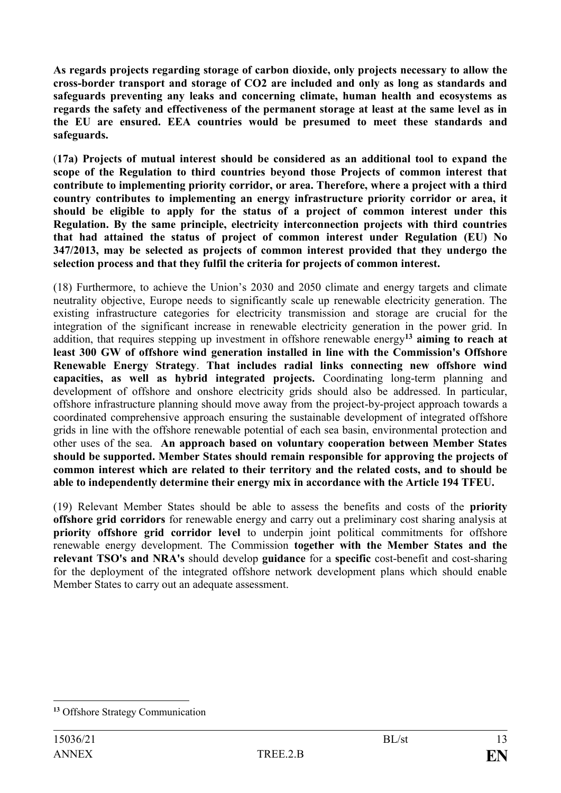**As regards projects regarding storage of carbon dioxide, only projects necessary to allow the cross-border transport and storage of CO2 are included and only as long as standards and safeguards preventing any leaks and concerning climate, human health and ecosystems as regards the safety and effectiveness of the permanent storage at least at the same level as in the EU are ensured. EEA countries would be presumed to meet these standards and safeguards.**

(**17a) Projects of mutual interest should be considered as an additional tool to expand the scope of the Regulation to third countries beyond those Projects of common interest that contribute to implementing priority corridor, or area. Therefore, where a project with a third country contributes to implementing an energy infrastructure priority corridor or area, it should be eligible to apply for the status of a project of common interest under this Regulation. By the same principle, electricity interconnection projects with third countries that had attained the status of project of common interest under Regulation (EU) No 347/2013, may be selected as projects of common interest provided that they undergo the selection process and that they fulfil the criteria for projects of common interest.**

(18) Furthermore, to achieve the Union's 2030 and 2050 climate and energy targets and climate neutrality objective, Europe needs to significantly scale up renewable electricity generation. The existing infrastructure categories for electricity transmission and storage are crucial for the integration of the significant increase in renewable electricity generation in the power grid. In addition, that requires stepping up investment in offshore renewable energy**<sup>13</sup> aiming to reach at least 300 GW of offshore wind generation installed in line with the Commission's Offshore Renewable Energy Strategy**. **That includes radial links connecting new offshore wind capacities, as well as hybrid integrated projects.** Coordinating long-term planning and development of offshore and onshore electricity grids should also be addressed. In particular, offshore infrastructure planning should move away from the project-by-project approach towards a coordinated comprehensive approach ensuring the sustainable development of integrated offshore grids in line with the offshore renewable potential of each sea basin, environmental protection and other uses of the sea. **An approach based on voluntary cooperation between Member States should be supported. Member States should remain responsible for approving the projects of common interest which are related to their territory and the related costs, and to should be able to independently determine their energy mix in accordance with the Article 194 TFEU.**

(19) Relevant Member States should be able to assess the benefits and costs of the **priority offshore grid corridors** for renewable energy and carry out a preliminary cost sharing analysis at **priority offshore grid corridor level** to underpin joint political commitments for offshore renewable energy development. The Commission **together with the Member States and the relevant TSO's and NRA's** should develop **guidance** for a **specific** cost-benefit and cost-sharing for the deployment of the integrated offshore network development plans which should enable Member States to carry out an adequate assessment.

<sup>1</sup> **<sup>13</sup>** Offshore Strategy Communication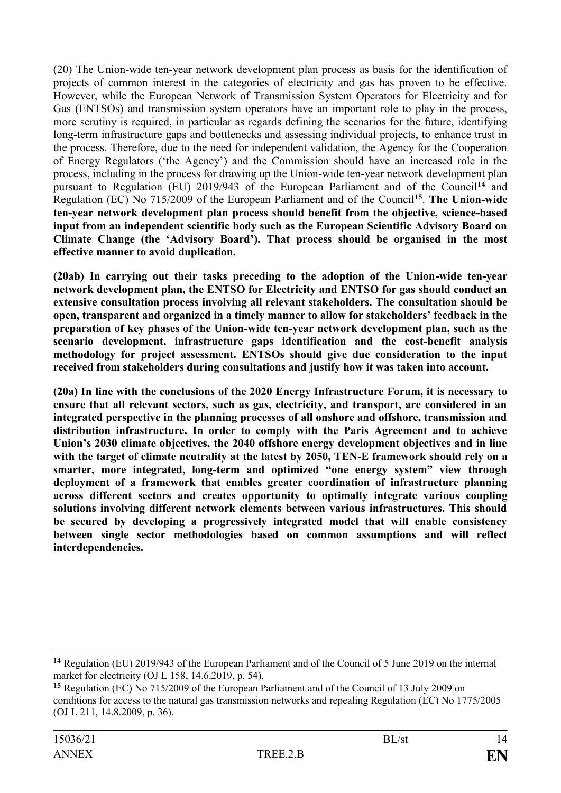(20) The Union-wide ten-year network development plan process as basis for the identification of projects of common interest in the categories of electricity and gas has proven to be effective. However, while the European Network of Transmission System Operators for Electricity and for Gas (ENTSOs) and transmission system operators have an important role to play in the process, more scrutiny is required, in particular as regards defining the scenarios for the future, identifying long-term infrastructure gaps and bottlenecks and assessing individual projects, to enhance trust in the process. Therefore, due to the need for independent validation, the Agency for the Cooperation of Energy Regulators ('the Agency') and the Commission should have an increased role in the process, including in the process for drawing up the Union-wide ten-year network development plan pursuant to Regulation (EU) 2019/943 of the European Parliament and of the Council**<sup>14</sup>** and Regulation (EC) No 715/2009 of the European Parliament and of the Council**<sup>15</sup>** . **The Union-wide ten-year network development plan process should benefit from the objective, science-based input from an independent scientific body such as the European Scientific Advisory Board on Climate Change (the 'Advisory Board'). That process should be organised in the most effective manner to avoid duplication.**

**(20ab) In carrying out their tasks preceding to the adoption of the Union-wide ten-year network development plan, the ENTSO for Electricity and ENTSO for gas should conduct an extensive consultation process involving all relevant stakeholders. The consultation should be open, transparent and organized in a timely manner to allow for stakeholders' feedback in the preparation of key phases of the Union-wide ten-year network development plan, such as the scenario development, infrastructure gaps identification and the cost-benefit analysis methodology for project assessment. ENTSOs should give due consideration to the input received from stakeholders during consultations and justify how it was taken into account.**

**(20a) In line with the conclusions of the 2020 Energy Infrastructure Forum, it is necessary to ensure that all relevant sectors, such as gas, electricity, and transport, are considered in an integrated perspective in the planning processes of all onshore and offshore, transmission and distribution infrastructure. In order to comply with the Paris Agreement and to achieve Union's 2030 climate objectives, the 2040 offshore energy development objectives and in line with the target of climate neutrality at the latest by 2050, TEN-E framework should rely on a smarter, more integrated, long-term and optimized "one energy system" view through deployment of a framework that enables greater coordination of infrastructure planning across different sectors and creates opportunity to optimally integrate various coupling solutions involving different network elements between various infrastructures. This should be secured by developing a progressively integrated model that will enable consistency between single sector methodologies based on common assumptions and will reflect interdependencies.**

1

**<sup>14</sup>** Regulation (EU) 2019/943 of the European Parliament and of the Council of 5 June 2019 on the internal market for electricity (OJ L 158, 14.6.2019, p. 54).

**<sup>15</sup>** Regulation (EC) No 715/2009 of the European Parliament and of the Council of 13 July 2009 on conditions for access to the natural gas transmission networks and repealing Regulation (EC) No 1775/2005 (OJ L 211, 14.8.2009, p. 36).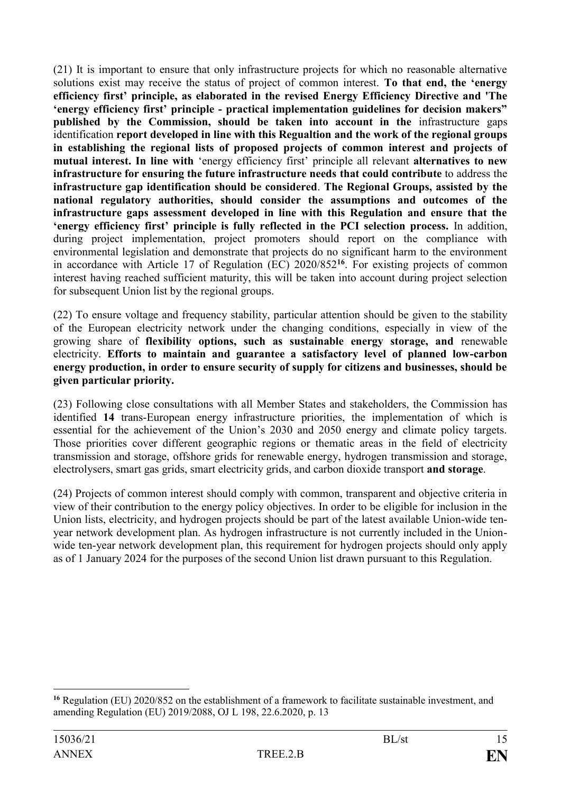(21) It is important to ensure that only infrastructure projects for which no reasonable alternative solutions exist may receive the status of project of common interest. **To that end, the 'energy efficiency first' principle, as elaborated in the revised Energy Efficiency Directive and 'The 'energy efficiency first' principle - practical implementation guidelines for decision makers" published by the Commission, should be taken into account in the** infrastructure gaps identification **report developed in line with this Regualtion and the work of the regional groups in establishing the regional lists of proposed projects of common interest and projects of mutual interest. In line with** 'energy efficiency first' principle all relevant **alternatives to new infrastructure for ensuring the future infrastructure needs that could contribute** to address the **infrastructure gap identification should be considered**. **The Regional Groups, assisted by the national regulatory authorities, should consider the assumptions and outcomes of the infrastructure gaps assessment developed in line with this Regulation and ensure that the 'energy efficiency first' principle is fully reflected in the PCI selection process.** In addition, during project implementation, project promoters should report on the compliance with environmental legislation and demonstrate that projects do no significant harm to the environment in accordance with Article 17 of Regulation (EC) 2020/852**<sup>16</sup>**. For existing projects of common interest having reached sufficient maturity, this will be taken into account during project selection for subsequent Union list by the regional groups.

(22) To ensure voltage and frequency stability, particular attention should be given to the stability of the European electricity network under the changing conditions, especially in view of the growing share of **flexibility options, such as sustainable energy storage, and** renewable electricity. **Efforts to maintain and guarantee a satisfactory level of planned low-carbon energy production, in order to ensure security of supply for citizens and businesses, should be given particular priority.**

(23) Following close consultations with all Member States and stakeholders, the Commission has identified **14** trans-European energy infrastructure priorities, the implementation of which is essential for the achievement of the Union's 2030 and 2050 energy and climate policy targets. Those priorities cover different geographic regions or thematic areas in the field of electricity transmission and storage, offshore grids for renewable energy, hydrogen transmission and storage, electrolysers, smart gas grids, smart electricity grids, and carbon dioxide transport **and storage**.

(24) Projects of common interest should comply with common, transparent and objective criteria in view of their contribution to the energy policy objectives. In order to be eligible for inclusion in the Union lists, electricity, and hydrogen projects should be part of the latest available Union-wide tenyear network development plan. As hydrogen infrastructure is not currently included in the Unionwide ten-year network development plan, this requirement for hydrogen projects should only apply as of 1 January 2024 for the purposes of the second Union list drawn pursuant to this Regulation.

1

**<sup>16</sup>** Regulation (EU) 2020/852 on the establishment of a framework to facilitate sustainable investment, and amending Regulation (EU) 2019/2088, OJ L 198, 22.6.2020, p. 13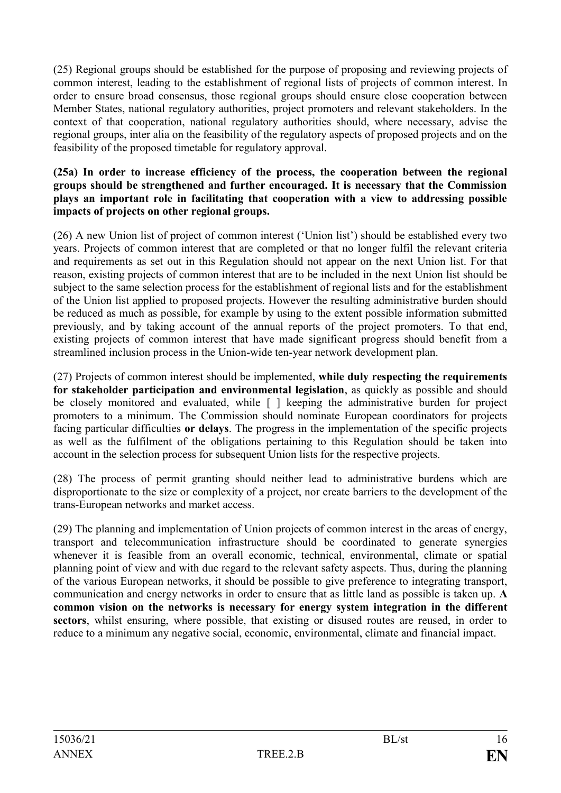(25) Regional groups should be established for the purpose of proposing and reviewing projects of common interest, leading to the establishment of regional lists of projects of common interest. In order to ensure broad consensus, those regional groups should ensure close cooperation between Member States, national regulatory authorities, project promoters and relevant stakeholders. In the context of that cooperation, national regulatory authorities should, where necessary, advise the regional groups, inter alia on the feasibility of the regulatory aspects of proposed projects and on the feasibility of the proposed timetable for regulatory approval.

#### **(25a) In order to increase efficiency of the process, the cooperation between the regional groups should be strengthened and further encouraged. It is necessary that the Commission plays an important role in facilitating that cooperation with a view to addressing possible impacts of projects on other regional groups.**

(26) A new Union list of project of common interest ('Union list') should be established every two years. Projects of common interest that are completed or that no longer fulfil the relevant criteria and requirements as set out in this Regulation should not appear on the next Union list. For that reason, existing projects of common interest that are to be included in the next Union list should be subject to the same selection process for the establishment of regional lists and for the establishment of the Union list applied to proposed projects. However the resulting administrative burden should be reduced as much as possible, for example by using to the extent possible information submitted previously, and by taking account of the annual reports of the project promoters. To that end, existing projects of common interest that have made significant progress should benefit from a streamlined inclusion process in the Union-wide ten-year network development plan.

(27) Projects of common interest should be implemented, **while duly respecting the requirements for stakeholder participation and environmental legislation**, as quickly as possible and should be closely monitored and evaluated, while  $\lceil \ \rceil$  keeping the administrative burden for project promoters to a minimum. The Commission should nominate European coordinators for projects facing particular difficulties **or delays**. The progress in the implementation of the specific projects as well as the fulfilment of the obligations pertaining to this Regulation should be taken into account in the selection process for subsequent Union lists for the respective projects.

(28) The process of permit granting should neither lead to administrative burdens which are disproportionate to the size or complexity of a project, nor create barriers to the development of the trans-European networks and market access.

(29) The planning and implementation of Union projects of common interest in the areas of energy, transport and telecommunication infrastructure should be coordinated to generate synergies whenever it is feasible from an overall economic, technical, environmental, climate or spatial planning point of view and with due regard to the relevant safety aspects. Thus, during the planning of the various European networks, it should be possible to give preference to integrating transport, communication and energy networks in order to ensure that as little land as possible is taken up. **A common vision on the networks is necessary for energy system integration in the different sectors**, whilst ensuring, where possible, that existing or disused routes are reused, in order to reduce to a minimum any negative social, economic, environmental, climate and financial impact.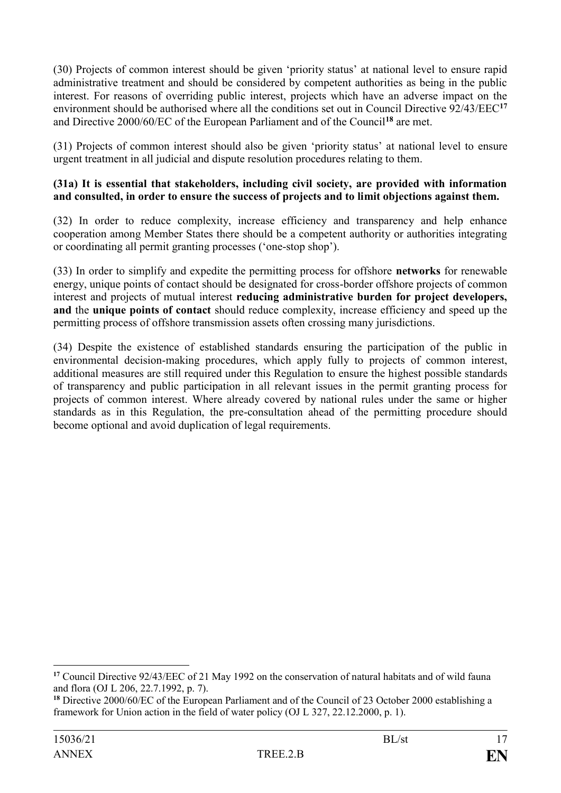(30) Projects of common interest should be given 'priority status' at national level to ensure rapid administrative treatment and should be considered by competent authorities as being in the public interest. For reasons of overriding public interest, projects which have an adverse impact on the environment should be authorised where all the conditions set out in Council Directive 92/43/EEC**<sup>17</sup>** and Directive 2000/60/EC of the European Parliament and of the Council**<sup>18</sup>** are met.

(31) Projects of common interest should also be given 'priority status' at national level to ensure urgent treatment in all judicial and dispute resolution procedures relating to them.

### **(31a) It is essential that stakeholders, including civil society, are provided with information and consulted, in order to ensure the success of projects and to limit objections against them.**

(32) In order to reduce complexity, increase efficiency and transparency and help enhance cooperation among Member States there should be a competent authority or authorities integrating or coordinating all permit granting processes ('one-stop shop').

(33) In order to simplify and expedite the permitting process for offshore **networks** for renewable energy, unique points of contact should be designated for cross-border offshore projects of common interest and projects of mutual interest **reducing administrative burden for project developers, and** the **unique points of contact** should reduce complexity, increase efficiency and speed up the permitting process of offshore transmission assets often crossing many jurisdictions.

(34) Despite the existence of established standards ensuring the participation of the public in environmental decision-making procedures, which apply fully to projects of common interest, additional measures are still required under this Regulation to ensure the highest possible standards of transparency and public participation in all relevant issues in the permit granting process for projects of common interest. Where already covered by national rules under the same or higher standards as in this Regulation, the pre-consultation ahead of the permitting procedure should become optional and avoid duplication of legal requirements.

1

**<sup>17</sup>** Council Directive 92/43/EEC of 21 May 1992 on the conservation of natural habitats and of wild fauna and flora (OJ L 206, 22.7.1992, p. 7).

**<sup>18</sup>** Directive 2000/60/EC of the European Parliament and of the Council of 23 October 2000 establishing a framework for Union action in the field of water policy (OJ L 327, 22.12.2000, p. 1).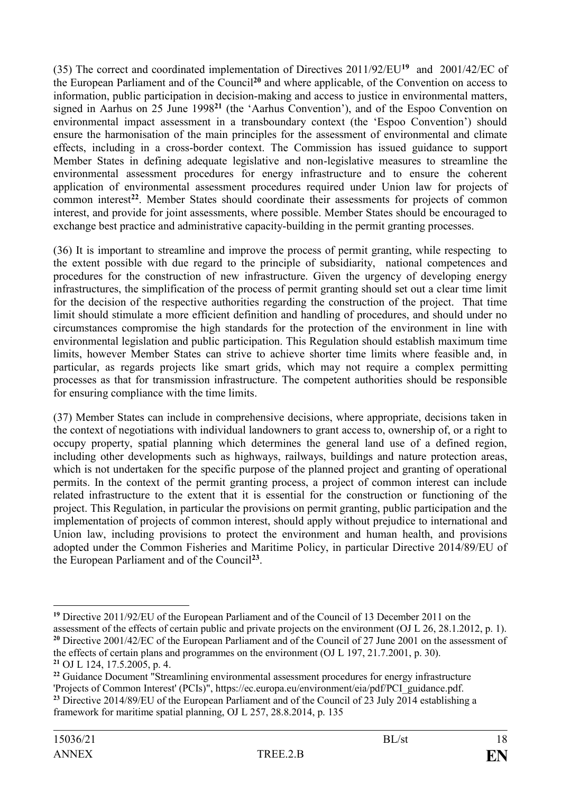(35) The correct and coordinated implementation of Directives 2011/92/EU**<sup>19</sup>** and 2001/42/EC of the European Parliament and of the Council**<sup>20</sup>** and where applicable, of the Convention on access to information, public participation in decision-making and access to justice in environmental matters, signed in Aarhus on 25 June 1998**<sup>21</sup>** (the 'Aarhus Convention'), and of the Espoo Convention on environmental impact assessment in a transboundary context (the 'Espoo Convention') should ensure the harmonisation of the main principles for the assessment of environmental and climate effects, including in a cross-border context. The Commission has issued guidance to support Member States in defining adequate legislative and non-legislative measures to streamline the environmental assessment procedures for energy infrastructure and to ensure the coherent application of environmental assessment procedures required under Union law for projects of common interest**<sup>22</sup>**. Member States should coordinate their assessments for projects of common interest, and provide for joint assessments, where possible. Member States should be encouraged to exchange best practice and administrative capacity-building in the permit granting processes.

(36) It is important to streamline and improve the process of permit granting, while respecting to the extent possible with due regard to the principle of subsidiarity, national competences and procedures for the construction of new infrastructure. Given the urgency of developing energy infrastructures, the simplification of the process of permit granting should set out a clear time limit for the decision of the respective authorities regarding the construction of the project. That time limit should stimulate a more efficient definition and handling of procedures, and should under no circumstances compromise the high standards for the protection of the environment in line with environmental legislation and public participation. This Regulation should establish maximum time limits, however Member States can strive to achieve shorter time limits where feasible and, in particular, as regards projects like smart grids, which may not require a complex permitting processes as that for transmission infrastructure. The competent authorities should be responsible for ensuring compliance with the time limits.

(37) Member States can include in comprehensive decisions, where appropriate, decisions taken in the context of negotiations with individual landowners to grant access to, ownership of, or a right to occupy property, spatial planning which determines the general land use of a defined region, including other developments such as highways, railways, buildings and nature protection areas, which is not undertaken for the specific purpose of the planned project and granting of operational permits. In the context of the permit granting process, a project of common interest can include related infrastructure to the extent that it is essential for the construction or functioning of the project. This Regulation, in particular the provisions on permit granting, public participation and the implementation of projects of common interest, should apply without prejudice to international and Union law, including provisions to protect the environment and human health, and provisions adopted under the Common Fisheries and Maritime Policy, in particular Directive 2014/89/EU of the European Parliament and of the Council**<sup>23</sup>** .

<sup>&</sup>lt;u>.</u> **<sup>19</sup>** Directive 2011/92/EU of the European Parliament and of the Council of 13 December 2011 on the assessment of the effects of certain public and private projects on the environment (OJ L 26, 28.1.2012, p. 1). <sup>20</sup> Directive 2001/42/EC of the European Parliament and of the Council of 27 June 2001 on the assessment of the effects of certain plans and programmes on the environment (OJ L 197, 21.7.2001, p. 30). **<sup>21</sup>** OJ L 124, 17.5.2005, p. 4.

<sup>&</sup>lt;sup>22</sup> Guidance Document "Streamlining environmental assessment procedures for energy infrastructure 'Projects of Common Interest' (PCIs)", https://ec.europa.eu/environment/eia/pdf/PCI\_guidance.pdf.

**<sup>23</sup>** Directive 2014/89/EU of the European Parliament and of the Council of 23 July 2014 establishing a framework for maritime spatial planning, OJ L 257, 28.8.2014, p. 135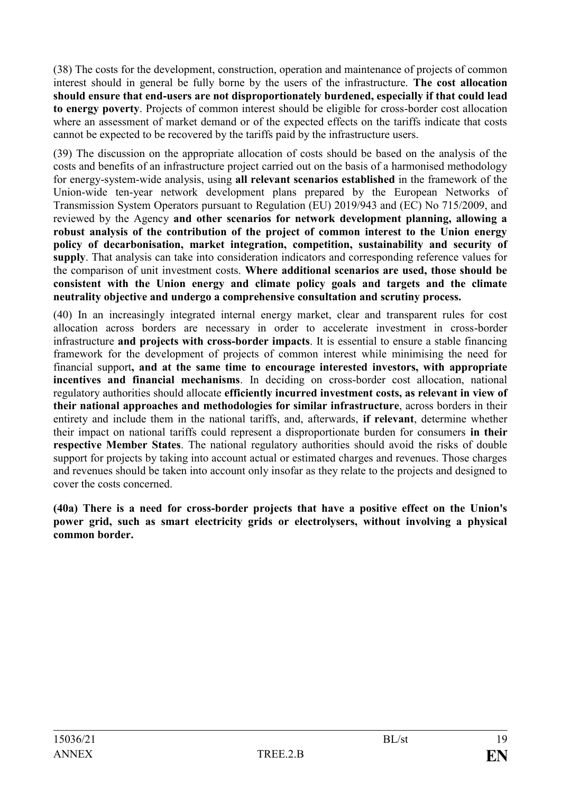(38) The costs for the development, construction, operation and maintenance of projects of common interest should in general be fully borne by the users of the infrastructure. **The cost allocation should ensure that end-users are not disproportionately burdened, especially if that could lead to energy poverty**. Projects of common interest should be eligible for cross-border cost allocation where an assessment of market demand or of the expected effects on the tariffs indicate that costs cannot be expected to be recovered by the tariffs paid by the infrastructure users.

(39) The discussion on the appropriate allocation of costs should be based on the analysis of the costs and benefits of an infrastructure project carried out on the basis of a harmonised methodology for energy-system-wide analysis, using **all relevant scenarios established** in the framework of the Union-wide ten-year network development plans prepared by the European Networks of Transmission System Operators pursuant to Regulation (EU) 2019/943 and (EC) No 715/2009, and reviewed by the Agency **and other scenarios for network development planning, allowing a robust analysis of the contribution of the project of common interest to the Union energy policy of decarbonisation, market integration, competition, sustainability and security of supply**. That analysis can take into consideration indicators and corresponding reference values for the comparison of unit investment costs. **Where additional scenarios are used, those should be consistent with the Union energy and climate policy goals and targets and the climate neutrality objective and undergo a comprehensive consultation and scrutiny process.**

(40) In an increasingly integrated internal energy market, clear and transparent rules for cost allocation across borders are necessary in order to accelerate investment in cross-border infrastructure **and projects with cross-border impacts**. It is essential to ensure a stable financing framework for the development of projects of common interest while minimising the need for financial support**, and at the same time to encourage interested investors, with appropriate incentives and financial mechanisms**. In deciding on cross-border cost allocation, national regulatory authorities should allocate **efficiently incurred investment costs, as relevant in view of their national approaches and methodologies for similar infrastructure**, across borders in their entirety and include them in the national tariffs, and, afterwards, **if relevant**, determine whether their impact on national tariffs could represent a disproportionate burden for consumers **in their respective Member States**. The national regulatory authorities should avoid the risks of double support for projects by taking into account actual or estimated charges and revenues. Those charges and revenues should be taken into account only insofar as they relate to the projects and designed to cover the costs concerned.

**(40a) There is a need for cross-border projects that have a positive effect on the Union's power grid, such as smart electricity grids or electrolysers, without involving a physical common border.**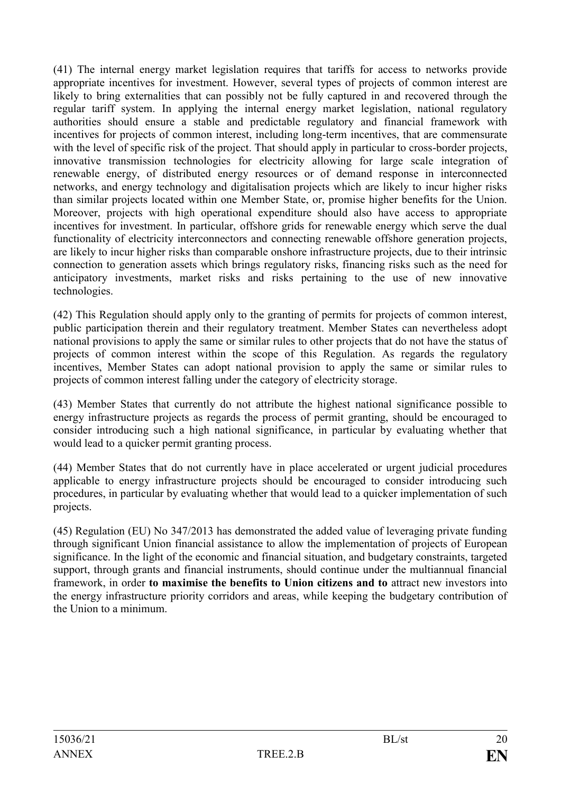(41) The internal energy market legislation requires that tariffs for access to networks provide appropriate incentives for investment. However, several types of projects of common interest are likely to bring externalities that can possibly not be fully captured in and recovered through the regular tariff system. In applying the internal energy market legislation, national regulatory authorities should ensure a stable and predictable regulatory and financial framework with incentives for projects of common interest, including long-term incentives, that are commensurate with the level of specific risk of the project. That should apply in particular to cross-border projects, innovative transmission technologies for electricity allowing for large scale integration of renewable energy, of distributed energy resources or of demand response in interconnected networks, and energy technology and digitalisation projects which are likely to incur higher risks than similar projects located within one Member State, or, promise higher benefits for the Union. Moreover, projects with high operational expenditure should also have access to appropriate incentives for investment. In particular, offshore grids for renewable energy which serve the dual functionality of electricity interconnectors and connecting renewable offshore generation projects, are likely to incur higher risks than comparable onshore infrastructure projects, due to their intrinsic connection to generation assets which brings regulatory risks, financing risks such as the need for anticipatory investments, market risks and risks pertaining to the use of new innovative technologies.

(42) This Regulation should apply only to the granting of permits for projects of common interest, public participation therein and their regulatory treatment. Member States can nevertheless adopt national provisions to apply the same or similar rules to other projects that do not have the status of projects of common interest within the scope of this Regulation. As regards the regulatory incentives, Member States can adopt national provision to apply the same or similar rules to projects of common interest falling under the category of electricity storage.

(43) Member States that currently do not attribute the highest national significance possible to energy infrastructure projects as regards the process of permit granting, should be encouraged to consider introducing such a high national significance, in particular by evaluating whether that would lead to a quicker permit granting process.

(44) Member States that do not currently have in place accelerated or urgent judicial procedures applicable to energy infrastructure projects should be encouraged to consider introducing such procedures, in particular by evaluating whether that would lead to a quicker implementation of such projects.

(45) Regulation (EU) No 347/2013 has demonstrated the added value of leveraging private funding through significant Union financial assistance to allow the implementation of projects of European significance. In the light of the economic and financial situation, and budgetary constraints, targeted support, through grants and financial instruments, should continue under the multiannual financial framework, in order **to maximise the benefits to Union citizens and to** attract new investors into the energy infrastructure priority corridors and areas, while keeping the budgetary contribution of the Union to a minimum.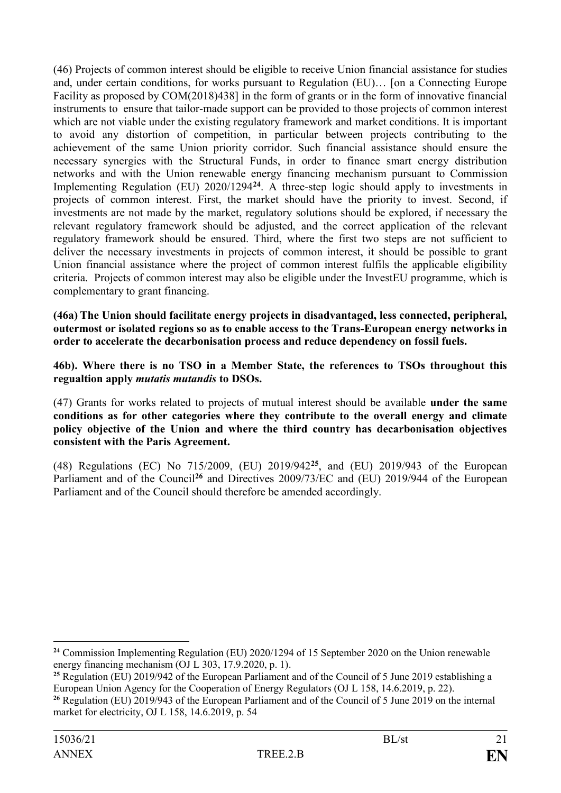(46) Projects of common interest should be eligible to receive Union financial assistance for studies and, under certain conditions, for works pursuant to Regulation (EU)… [on a Connecting Europe Facility as proposed by COM(2018)438] in the form of grants or in the form of innovative financial instruments to ensure that tailor-made support can be provided to those projects of common interest which are not viable under the existing regulatory framework and market conditions. It is important to avoid any distortion of competition, in particular between projects contributing to the achievement of the same Union priority corridor. Such financial assistance should ensure the necessary synergies with the Structural Funds, in order to finance smart energy distribution networks and with the Union renewable energy financing mechanism pursuant to Commission Implementing Regulation (EU) 2020/1294**<sup>24</sup>**. A three-step logic should apply to investments in projects of common interest. First, the market should have the priority to invest. Second, if investments are not made by the market, regulatory solutions should be explored, if necessary the relevant regulatory framework should be adjusted, and the correct application of the relevant regulatory framework should be ensured. Third, where the first two steps are not sufficient to deliver the necessary investments in projects of common interest, it should be possible to grant Union financial assistance where the project of common interest fulfils the applicable eligibility criteria. Projects of common interest may also be eligible under the InvestEU programme, which is complementary to grant financing.

**(46a) The Union should facilitate energy projects in disadvantaged, less connected, peripheral, outermost or isolated regions so as to enable access to the Trans-European energy networks in order to accelerate the decarbonisation process and reduce dependency on fossil fuels.**

**46b). Where there is no TSO in a Member State, the references to TSOs throughout this regualtion apply** *mutatis mutandis* **to DSOs.**

(47) Grants for works related to projects of mutual interest should be available **under the same conditions as for other categories where they contribute to the overall energy and climate policy objective of the Union and where the third country has decarbonisation objectives consistent with the Paris Agreement.**

(48) Regulations (EC) No 715/2009, (EU) 2019/942**<sup>25</sup>**, and (EU) 2019/943 of the European Parliament and of the Council<sup>26</sup> and Directives 2009/73/EC and (EU) 2019/944 of the European Parliament and of the Council should therefore be amended accordingly.

<sup>&</sup>lt;u>.</u> **<sup>24</sup>** Commission Implementing Regulation (EU) 2020/1294 of 15 September 2020 on the Union renewable energy financing mechanism (OJ L 303, 17.9.2020, p. 1).

<sup>&</sup>lt;sup>25</sup> Regulation (EU) 2019/942 of the European Parliament and of the Council of 5 June 2019 establishing a European Union Agency for the Cooperation of Energy Regulators (OJ L 158, 14.6.2019, p. 22).

**<sup>26</sup>** Regulation (EU) 2019/943 of the European Parliament and of the Council of 5 June 2019 on the internal market for electricity, OJ L 158, 14.6.2019, p. 54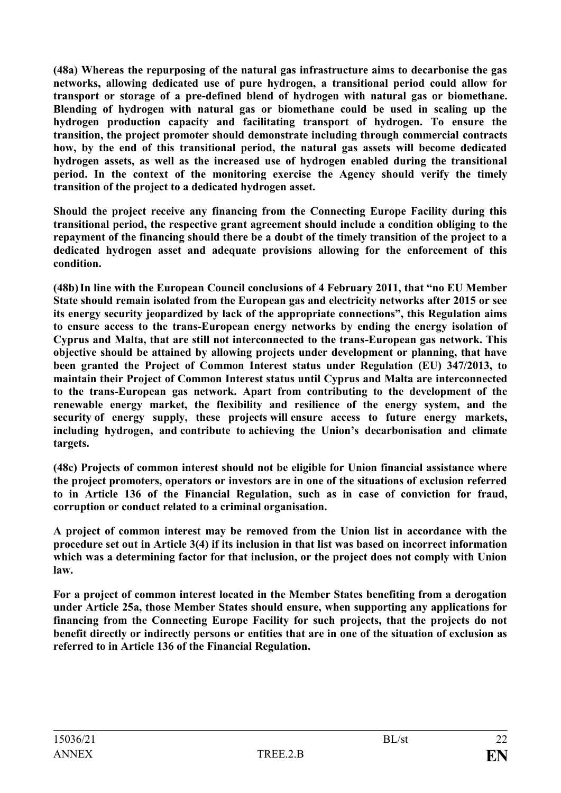**(48a) Whereas the repurposing of the natural gas infrastructure aims to decarbonise the gas networks, allowing dedicated use of pure hydrogen, a transitional period could allow for transport or storage of a pre-defined blend of hydrogen with natural gas or biomethane. Blending of hydrogen with natural gas or biomethane could be used in scaling up the hydrogen production capacity and facilitating transport of hydrogen. To ensure the transition, the project promoter should demonstrate including through commercial contracts how, by the end of this transitional period, the natural gas assets will become dedicated hydrogen assets, as well as the increased use of hydrogen enabled during the transitional period. In the context of the monitoring exercise the Agency should verify the timely transition of the project to a dedicated hydrogen asset.** 

**Should the project receive any financing from the Connecting Europe Facility during this transitional period, the respective grant agreement should include a condition obliging to the repayment of the financing should there be a doubt of the timely transition of the project to a dedicated hydrogen asset and adequate provisions allowing for the enforcement of this condition.** 

**(48b)In line with the European Council conclusions of 4 February 2011, that "no EU Member State should remain isolated from the European gas and electricity networks after 2015 or see its energy security jeopardized by lack of the appropriate connections", this Regulation aims to ensure access to the trans-European energy networks by ending the energy isolation of Cyprus and Malta, that are still not interconnected to the trans-European gas network. This objective should be attained by allowing projects under development or planning, that have been granted the Project of Common Interest status under Regulation (EU) 347/2013, to maintain their Project of Common Interest status until Cyprus and Malta are interconnected to the trans-European gas network. Apart from contributing to the development of the renewable energy market, the flexibility and resilience of the energy system, and the security of energy supply, these projects will ensure access to future energy markets, including hydrogen, and contribute to achieving the Union's decarbonisation and climate targets.**

**(48c) Projects of common interest should not be eligible for Union financial assistance where the project promoters, operators or investors are in one of the situations of exclusion referred to in Article 136 of the Financial Regulation, such as in case of conviction for fraud, corruption or conduct related to a criminal organisation.**

**A project of common interest may be removed from the Union list in accordance with the procedure set out in Article 3(4) if its inclusion in that list was based on incorrect information which was a determining factor for that inclusion, or the project does not comply with Union law.**

**For a project of common interest located in the Member States benefiting from a derogation under Article 25a, those Member States should ensure, when supporting any applications for financing from the Connecting Europe Facility for such projects, that the projects do not benefit directly or indirectly persons or entities that are in one of the situation of exclusion as referred to in Article 136 of the Financial Regulation.**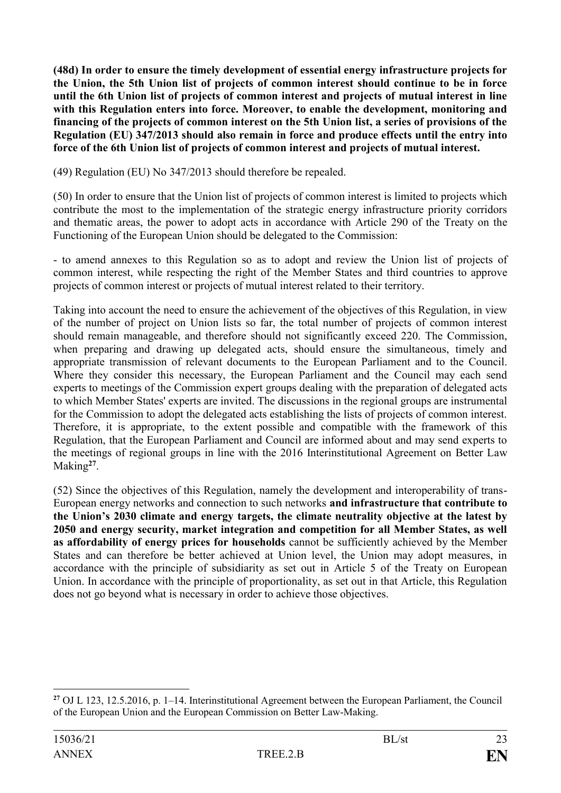**(48d) In order to ensure the timely development of essential energy infrastructure projects for the Union, the 5th Union list of projects of common interest should continue to be in force until the 6th Union list of projects of common interest and projects of mutual interest in line with this Regulation enters into force. Moreover, to enable the development, monitoring and financing of the projects of common interest on the 5th Union list, a series of provisions of the Regulation (EU) 347/2013 should also remain in force and produce effects until the entry into force of the 6th Union list of projects of common interest and projects of mutual interest.**

(49) Regulation (EU) No 347/2013 should therefore be repealed.

(50) In order to ensure that the Union list of projects of common interest is limited to projects which contribute the most to the implementation of the strategic energy infrastructure priority corridors and thematic areas, the power to adopt acts in accordance with Article 290 of the Treaty on the Functioning of the European Union should be delegated to the Commission:

- to amend annexes to this Regulation so as to adopt and review the Union list of projects of common interest, while respecting the right of the Member States and third countries to approve projects of common interest or projects of mutual interest related to their territory.

Taking into account the need to ensure the achievement of the objectives of this Regulation, in view of the number of project on Union lists so far, the total number of projects of common interest should remain manageable, and therefore should not significantly exceed 220. The Commission, when preparing and drawing up delegated acts, should ensure the simultaneous, timely and appropriate transmission of relevant documents to the European Parliament and to the Council. Where they consider this necessary, the European Parliament and the Council may each send experts to meetings of the Commission expert groups dealing with the preparation of delegated acts to which Member States' experts are invited. The discussions in the regional groups are instrumental for the Commission to adopt the delegated acts establishing the lists of projects of common interest. Therefore, it is appropriate, to the extent possible and compatible with the framework of this Regulation, that the European Parliament and Council are informed about and may send experts to the meetings of regional groups in line with the 2016 Interinstitutional Agreement on Better Law Making**<sup>27</sup>** .

(52) Since the objectives of this Regulation, namely the development and interoperability of trans-European energy networks and connection to such networks **and infrastructure that contribute to the Union's 2030 climate and energy targets, the climate neutrality objective at the latest by 2050 and energy security, market integration and competition for all Member States, as well as affordability of energy prices for households** cannot be sufficiently achieved by the Member States and can therefore be better achieved at Union level, the Union may adopt measures, in accordance with the principle of subsidiarity as set out in Article 5 of the Treaty on European Union. In accordance with the principle of proportionality, as set out in that Article, this Regulation does not go beyond what is necessary in order to achieve those objectives.

1

**<sup>27</sup>** OJ L 123, 12.5.2016, p. 1–14. Interinstitutional Agreement between the European Parliament, the Council of the European Union and the European Commission on Better Law-Making.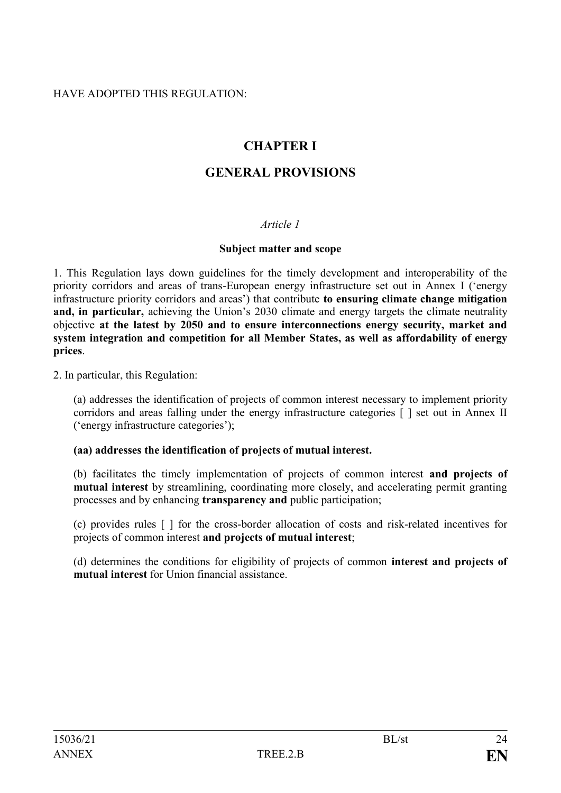## HAVE ADOPTED THIS REGULATION:

# **CHAPTER I**

# **GENERAL PROVISIONS**

## *Article 1*

#### **Subject matter and scope**

1. This Regulation lays down guidelines for the timely development and interoperability of the priority corridors and areas of trans-European energy infrastructure set out in Annex I ('energy infrastructure priority corridors and areas') that contribute **to ensuring climate change mitigation and, in particular,** achieving the Union's 2030 climate and energy targets the climate neutrality objective **at the latest by 2050 and to ensure interconnections energy security, market and system integration and competition for all Member States, as well as affordability of energy prices**.

2. In particular, this Regulation:

(a) addresses the identification of projects of common interest necessary to implement priority corridors and areas falling under the energy infrastructure categories [ ] set out in Annex II ('energy infrastructure categories');

#### **(aa) addresses the identification of projects of mutual interest.**

(b) facilitates the timely implementation of projects of common interest **and projects of mutual interest** by streamlining, coordinating more closely, and accelerating permit granting processes and by enhancing **transparency and** public participation;

(c) provides rules [ ] for the cross-border allocation of costs and risk-related incentives for projects of common interest **and projects of mutual interest**;

(d) determines the conditions for eligibility of projects of common **interest and projects of mutual interest** for Union financial assistance.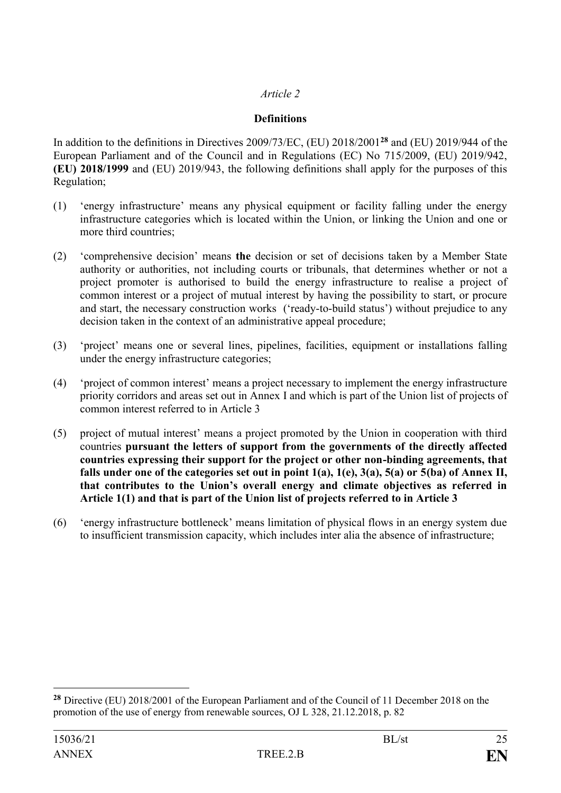## *Article 2*

## **Definitions**

In addition to the definitions in Directives 2009/73/EC, (EU) 2018/2001**<sup>28</sup>** and (EU) 2019/944 of the European Parliament and of the Council and in Regulations (EC) No 715/2009, (EU) 2019/942, **(EU) 2018/1999** and (EU) 2019/943, the following definitions shall apply for the purposes of this Regulation;

- (1) 'energy infrastructure' means any physical equipment or facility falling under the energy infrastructure categories which is located within the Union, or linking the Union and one or more third countries;
- (2) 'comprehensive decision' means **the** decision or set of decisions taken by a Member State authority or authorities, not including courts or tribunals, that determines whether or not a project promoter is authorised to build the energy infrastructure to realise a project of common interest or a project of mutual interest by having the possibility to start, or procure and start, the necessary construction works ('ready-to-build status') without prejudice to any decision taken in the context of an administrative appeal procedure;
- (3) 'project' means one or several lines, pipelines, facilities, equipment or installations falling under the energy infrastructure categories;
- (4) 'project of common interest' means a project necessary to implement the energy infrastructure priority corridors and areas set out in Annex I and which is part of the Union list of projects of common interest referred to in Article 3
- (5) project of mutual interest' means a project promoted by the Union in cooperation with third countries **pursuant the letters of support from the governments of the directly affected countries expressing their support for the project or other non-binding agreements, that falls under one of the categories set out in point 1(a), 1(e), 3(a), 5(a) or 5(ba) of Annex II, that contributes to the Union's overall energy and climate objectives as referred in Article 1(1) and that is part of the Union list of projects referred to in Article 3**
- (6) 'energy infrastructure bottleneck' means limitation of physical flows in an energy system due to insufficient transmission capacity, which includes inter alia the absence of infrastructure;

<u>.</u>

**<sup>28</sup>** Directive (EU) 2018/2001 of the European Parliament and of the Council of 11 December 2018 on the promotion of the use of energy from renewable sources, OJ L 328, 21.12.2018, p. 82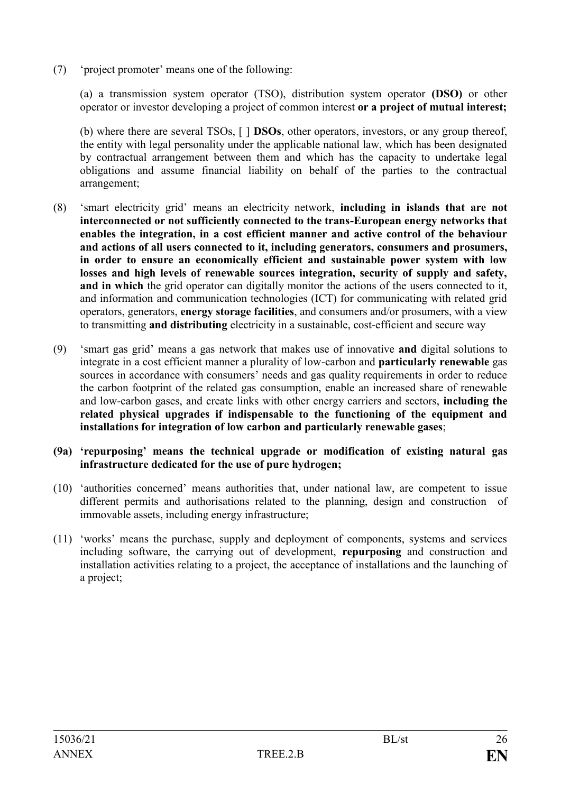(7) 'project promoter' means one of the following:

(a) a transmission system operator (TSO), distribution system operator **(DSO)** or other operator or investor developing a project of common interest **or a project of mutual interest;**

(b) where there are several TSOs, [ ] **DSOs**, other operators, investors, or any group thereof, the entity with legal personality under the applicable national law, which has been designated by contractual arrangement between them and which has the capacity to undertake legal obligations and assume financial liability on behalf of the parties to the contractual arrangement;

- (8) 'smart electricity grid' means an electricity network, **including in islands that are not interconnected or not sufficiently connected to the trans-European energy networks that enables the integration, in a cost efficient manner and active control of the behaviour and actions of all users connected to it, including generators, consumers and prosumers, in order to ensure an economically efficient and sustainable power system with low losses and high levels of renewable sources integration, security of supply and safety, and in which** the grid operator can digitally monitor the actions of the users connected to it, and information and communication technologies (ICT) for communicating with related grid operators, generators, **energy storage facilities**, and consumers and/or prosumers, with a view to transmitting **and distributing** electricity in a sustainable, cost-efficient and secure way
- (9) 'smart gas grid' means a gas network that makes use of innovative **and** digital solutions to integrate in a cost efficient manner a plurality of low-carbon and **particularly renewable** gas sources in accordance with consumers' needs and gas quality requirements in order to reduce the carbon footprint of the related gas consumption, enable an increased share of renewable and low-carbon gases, and create links with other energy carriers and sectors, **including the related physical upgrades if indispensable to the functioning of the equipment and installations for integration of low carbon and particularly renewable gases**;
- **(9a) 'repurposing' means the technical upgrade or modification of existing natural gas infrastructure dedicated for the use of pure hydrogen;**
- (10) 'authorities concerned' means authorities that, under national law, are competent to issue different permits and authorisations related to the planning, design and construction of immovable assets, including energy infrastructure;
- (11) 'works' means the purchase, supply and deployment of components, systems and services including software, the carrying out of development, **repurposing** and construction and installation activities relating to a project, the acceptance of installations and the launching of a project;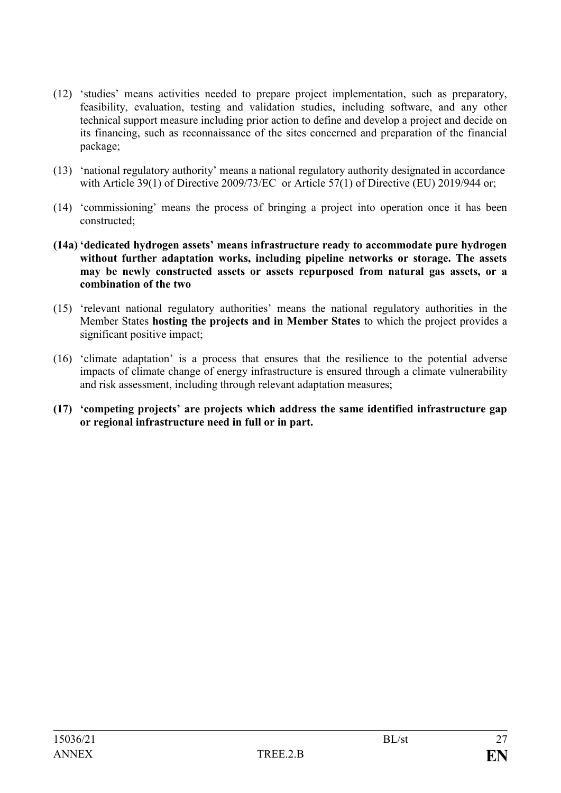- (12) 'studies' means activities needed to prepare project implementation, such as preparatory, feasibility, evaluation, testing and validation studies, including software, and any other technical support measure including prior action to define and develop a project and decide on its financing, such as reconnaissance of the sites concerned and preparation of the financial package;
- (13) 'national regulatory authority' means a national regulatory authority designated in accordance with Article 39(1) of Directive 2009/73/EC or Article 57(1) of Directive (EU) 2019/944 or;
- (14) 'commissioning' means the process of bringing a project into operation once it has been constructed;
- **(14a) 'dedicated hydrogen assets' means infrastructure ready to accommodate pure hydrogen without further adaptation works, including pipeline networks or storage. The assets may be newly constructed assets or assets repurposed from natural gas assets, or a combination of the two**
- (15) 'relevant national regulatory authorities' means the national regulatory authorities in the Member States **hosting the projects and in Member States** to which the project provides a significant positive impact;
- (16) 'climate adaptation' is a process that ensures that the resilience to the potential adverse impacts of climate change of energy infrastructure is ensured through a climate vulnerability and risk assessment, including through relevant adaptation measures;
- **(17) 'competing projects' are projects which address the same identified infrastructure gap or regional infrastructure need in full or in part.**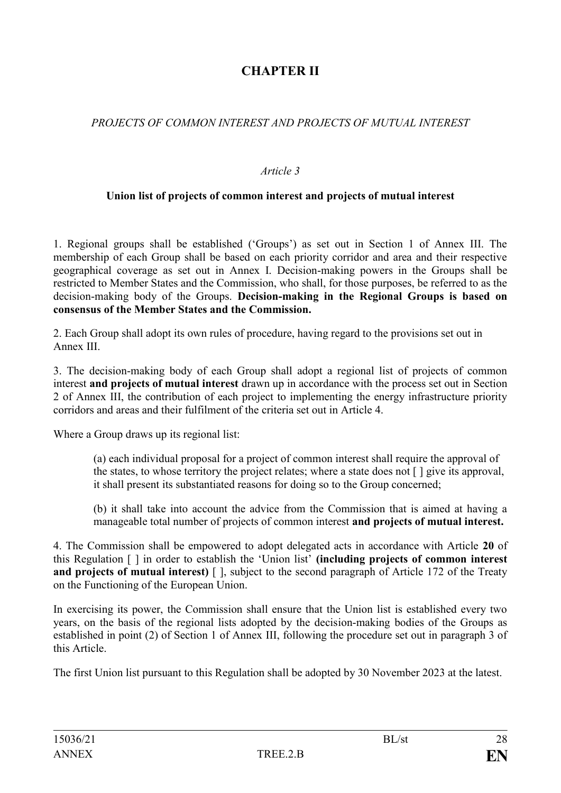# **CHAPTER II**

## *PROJECTS OF COMMON INTEREST AND PROJECTS OF MUTUAL INTEREST*

## *Article 3*

## **Union list of projects of common interest and projects of mutual interest**

1. Regional groups shall be established ('Groups') as set out in Section 1 of Annex III. The membership of each Group shall be based on each priority corridor and area and their respective geographical coverage as set out in Annex I. Decision-making powers in the Groups shall be restricted to Member States and the Commission, who shall, for those purposes, be referred to as the decision-making body of the Groups. **Decision-making in the Regional Groups is based on consensus of the Member States and the Commission.**

2. Each Group shall adopt its own rules of procedure, having regard to the provisions set out in Annex III.

3. The decision-making body of each Group shall adopt a regional list of projects of common interest **and projects of mutual interest** drawn up in accordance with the process set out in Section 2 of Annex III, the contribution of each project to implementing the energy infrastructure priority corridors and areas and their fulfilment of the criteria set out in Article 4.

Where a Group draws up its regional list:

(a) each individual proposal for a project of common interest shall require the approval of the states, to whose territory the project relates; where a state does not [ ] give its approval, it shall present its substantiated reasons for doing so to the Group concerned;

(b) it shall take into account the advice from the Commission that is aimed at having a manageable total number of projects of common interest **and projects of mutual interest.**

4. The Commission shall be empowered to adopt delegated acts in accordance with Article **20** of this Regulation [ ] in order to establish the 'Union list' **(including projects of common interest and projects of mutual interest)** [ ], subject to the second paragraph of Article 172 of the Treaty on the Functioning of the European Union.

In exercising its power, the Commission shall ensure that the Union list is established every two years, on the basis of the regional lists adopted by the decision-making bodies of the Groups as established in point (2) of Section 1 of Annex III, following the procedure set out in paragraph 3 of this Article.

The first Union list pursuant to this Regulation shall be adopted by 30 November 2023 at the latest.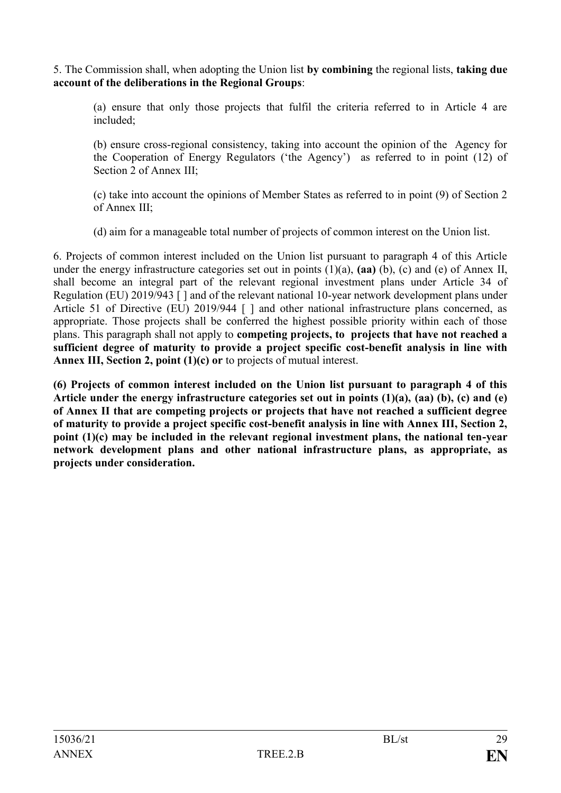5. The Commission shall, when adopting the Union list **by combining** the regional lists, **taking due account of the deliberations in the Regional Groups**:

(a) ensure that only those projects that fulfil the criteria referred to in Article 4 are included;

(b) ensure cross-regional consistency, taking into account the opinion of the Agency for the Cooperation of Energy Regulators ('the Agency') as referred to in point (12) of Section 2 of Annex III;

(c) take into account the opinions of Member States as referred to in point (9) of Section 2 of Annex III;

(d) aim for a manageable total number of projects of common interest on the Union list.

6. Projects of common interest included on the Union list pursuant to paragraph 4 of this Article under the energy infrastructure categories set out in points (1)(a), **(aa)** (b), (c) and (e) of Annex II, shall become an integral part of the relevant regional investment plans under Article 34 of Regulation (EU) 2019/943 [ ] and of the relevant national 10-year network development plans under Article 51 of Directive (EU) 2019/944 [ ] and other national infrastructure plans concerned, as appropriate. Those projects shall be conferred the highest possible priority within each of those plans. This paragraph shall not apply to **competing projects, to projects that have not reached a sufficient degree of maturity to provide a project specific cost-benefit analysis in line with Annex III, Section 2, point (1)(c) or** to projects of mutual interest.

**(6) Projects of common interest included on the Union list pursuant to paragraph 4 of this Article under the energy infrastructure categories set out in points (1)(a), (aa) (b), (c) and (e) of Annex II that are competing projects or projects that have not reached a sufficient degree of maturity to provide a project specific cost-benefit analysis in line with Annex III, Section 2, point (1)(c) may be included in the relevant regional investment plans, the national ten-year network development plans and other national infrastructure plans, as appropriate, as projects under consideration.**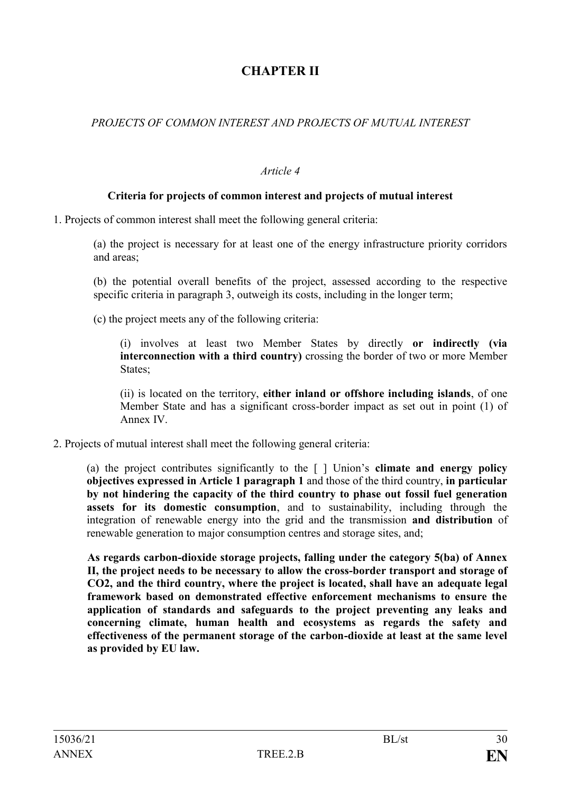# **CHAPTER II**

## *PROJECTS OF COMMON INTEREST AND PROJECTS OF MUTUAL INTEREST*

#### *Article 4*

### **Criteria for projects of common interest and projects of mutual interest**

1. Projects of common interest shall meet the following general criteria:

(a) the project is necessary for at least one of the energy infrastructure priority corridors and areas;

(b) the potential overall benefits of the project, assessed according to the respective specific criteria in paragraph 3, outweigh its costs, including in the longer term;

(c) the project meets any of the following criteria:

(i) involves at least two Member States by directly **or indirectly (via interconnection with a third country)** crossing the border of two or more Member States;

(ii) is located on the territory, **either inland or offshore including islands**, of one Member State and has a significant cross-border impact as set out in point (1) of Annex IV.

2. Projects of mutual interest shall meet the following general criteria:

(a) the project contributes significantly to the [ ] Union's **climate and energy policy objectives expressed in Article 1 paragraph 1** and those of the third country, **in particular by not hindering the capacity of the third country to phase out fossil fuel generation assets for its domestic consumption**, and to sustainability, including through the integration of renewable energy into the grid and the transmission **and distribution** of renewable generation to major consumption centres and storage sites, and;

**As regards carbon-dioxide storage projects, falling under the category 5(ba) of Annex II, the project needs to be necessary to allow the cross-border transport and storage of CO2, and the third country, where the project is located, shall have an adequate legal framework based on demonstrated effective enforcement mechanisms to ensure the application of standards and safeguards to the project preventing any leaks and concerning climate, human health and ecosystems as regards the safety and effectiveness of the permanent storage of the carbon-dioxide at least at the same level as provided by EU law.**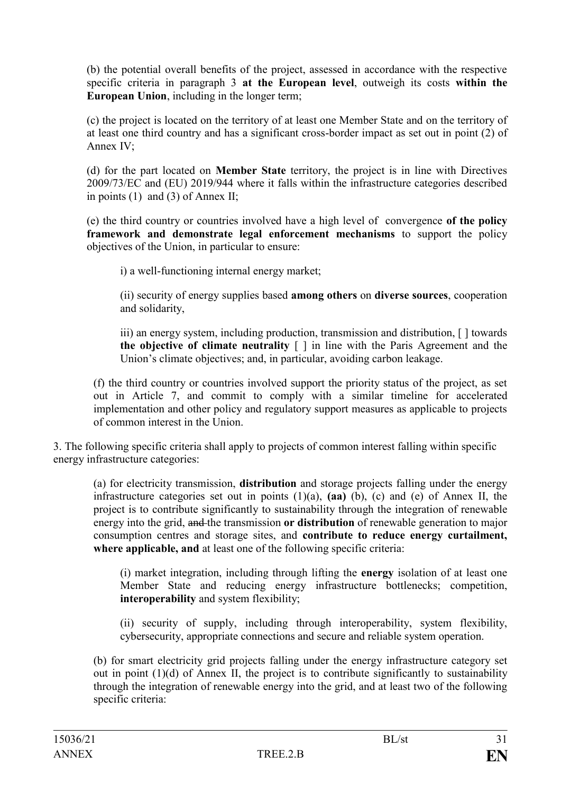(b) the potential overall benefits of the project, assessed in accordance with the respective specific criteria in paragraph 3 **at the European level**, outweigh its costs **within the European Union**, including in the longer term;

(c) the project is located on the territory of at least one Member State and on the territory of at least one third country and has a significant cross-border impact as set out in point (2) of Annex IV;

(d) for the part located on **Member State** territory, the project is in line with Directives 2009/73/EC and (EU) 2019/944 where it falls within the infrastructure categories described in points (1) and (3) of Annex II;

(e) the third country or countries involved have a high level of convergence **of the policy framework and demonstrate legal enforcement mechanisms** to support the policy objectives of the Union, in particular to ensure:

i) a well-functioning internal energy market;

(ii) security of energy supplies based **among others** on **diverse sources**, cooperation and solidarity,

iii) an energy system, including production, transmission and distribution, [ ] towards **the objective of climate neutrality** [ ] in line with the Paris Agreement and the Union's climate objectives; and, in particular, avoiding carbon leakage.

(f) the third country or countries involved support the priority status of the project, as set out in Article 7, and commit to comply with a similar timeline for accelerated implementation and other policy and regulatory support measures as applicable to projects of common interest in the Union.

3. The following specific criteria shall apply to projects of common interest falling within specific energy infrastructure categories:

(a) for electricity transmission, **distribution** and storage projects falling under the energy infrastructure categories set out in points (1)(a), **(aa)** (b), (c) and (e) of Annex II, the project is to contribute significantly to sustainability through the integration of renewable energy into the grid, and the transmission **or distribution** of renewable generation to major consumption centres and storage sites, and **contribute to reduce energy curtailment, where applicable, and** at least one of the following specific criteria:

(i) market integration, including through lifting the **energy** isolation of at least one Member State and reducing energy infrastructure bottlenecks; competition, **interoperability** and system flexibility;

(ii) security of supply, including through interoperability, system flexibility, cybersecurity, appropriate connections and secure and reliable system operation.

(b) for smart electricity grid projects falling under the energy infrastructure category set out in point (1)(d) of Annex II, the project is to contribute significantly to sustainability through the integration of renewable energy into the grid, and at least two of the following specific criteria: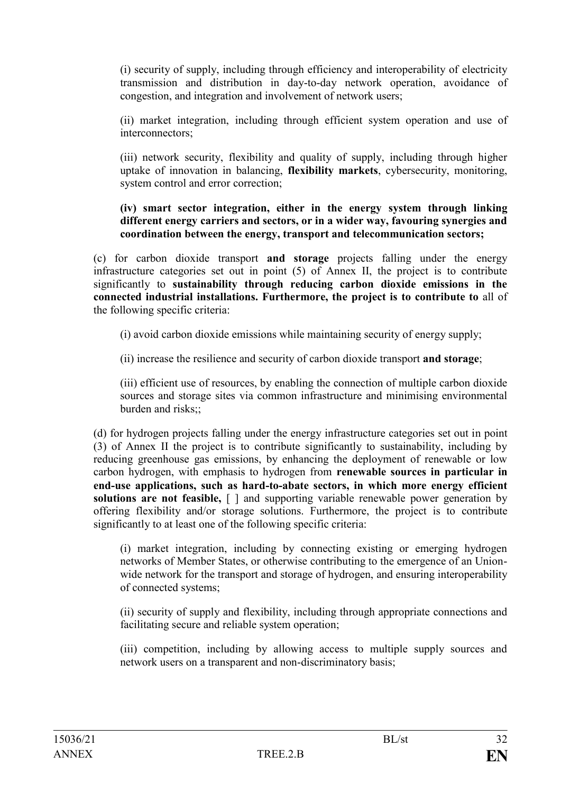(i) security of supply, including through efficiency and interoperability of electricity transmission and distribution in day-to-day network operation, avoidance of congestion, and integration and involvement of network users;

(ii) market integration, including through efficient system operation and use of interconnectors;

(iii) network security, flexibility and quality of supply, including through higher uptake of innovation in balancing, **flexibility markets**, cybersecurity, monitoring, system control and error correction;

**(iv) smart sector integration, either in the energy system through linking different energy carriers and sectors, or in a wider way, favouring synergies and coordination between the energy, transport and telecommunication sectors;**

(c) for carbon dioxide transport **and storage** projects falling under the energy infrastructure categories set out in point (5) of Annex II, the project is to contribute significantly to **sustainability through reducing carbon dioxide emissions in the connected industrial installations. Furthermore, the project is to contribute to** all of the following specific criteria:

(i) avoid carbon dioxide emissions while maintaining security of energy supply;

(ii) increase the resilience and security of carbon dioxide transport **and storage**;

(iii) efficient use of resources, by enabling the connection of multiple carbon dioxide sources and storage sites via common infrastructure and minimising environmental burden and risks $\cdot\cdot$ 

(d) for hydrogen projects falling under the energy infrastructure categories set out in point (3) of Annex II the project is to contribute significantly to sustainability, including by reducing greenhouse gas emissions, by enhancing the deployment of renewable or low carbon hydrogen, with emphasis to hydrogen from **renewable sources in particular in end-use applications, such as hard-to-abate sectors, in which more energy efficient solutions are not feasible,** [ ] and supporting variable renewable power generation by offering flexibility and/or storage solutions. Furthermore, the project is to contribute significantly to at least one of the following specific criteria:

(i) market integration, including by connecting existing or emerging hydrogen networks of Member States, or otherwise contributing to the emergence of an Unionwide network for the transport and storage of hydrogen, and ensuring interoperability of connected systems;

(ii) security of supply and flexibility, including through appropriate connections and facilitating secure and reliable system operation;

(iii) competition, including by allowing access to multiple supply sources and network users on a transparent and non-discriminatory basis;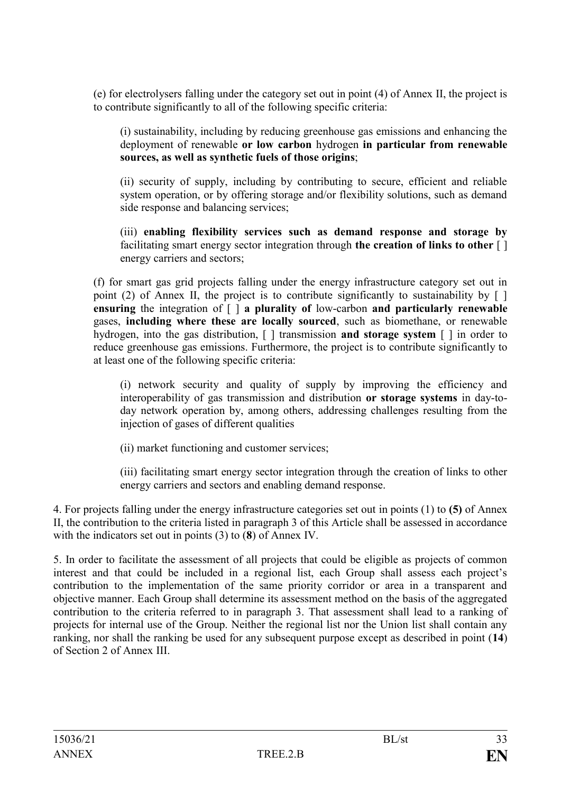(e) for electrolysers falling under the category set out in point (4) of Annex II, the project is to contribute significantly to all of the following specific criteria:

(i) sustainability, including by reducing greenhouse gas emissions and enhancing the deployment of renewable **or low carbon** hydrogen **in particular from renewable sources, as well as synthetic fuels of those origins**;

(ii) security of supply, including by contributing to secure, efficient and reliable system operation, or by offering storage and/or flexibility solutions, such as demand side response and balancing services;

(iii) **enabling flexibility services such as demand response and storage by** facilitating smart energy sector integration through **the creation of links to other** [ ] energy carriers and sectors;

(f) for smart gas grid projects falling under the energy infrastructure category set out in point (2) of Annex II, the project is to contribute significantly to sustainability by  $\lceil \cdot \rceil$ **ensuring** the integration of [ ] **a plurality of** low-carbon **and particularly renewable**  gases, **including where these are locally sourced**, such as biomethane, or renewable hydrogen, into the gas distribution, [ ] transmission **and storage system** [ ] in order to reduce greenhouse gas emissions. Furthermore, the project is to contribute significantly to at least one of the following specific criteria:

(i) network security and quality of supply by improving the efficiency and interoperability of gas transmission and distribution **or storage systems** in day-today network operation by, among others, addressing challenges resulting from the injection of gases of different qualities

(ii) market functioning and customer services;

(iii) facilitating smart energy sector integration through the creation of links to other energy carriers and sectors and enabling demand response.

4. For projects falling under the energy infrastructure categories set out in points (1) to **(5)** of Annex II, the contribution to the criteria listed in paragraph 3 of this Article shall be assessed in accordance with the indicators set out in points (3) to (**8**) of Annex IV.

5. In order to facilitate the assessment of all projects that could be eligible as projects of common interest and that could be included in a regional list, each Group shall assess each project's contribution to the implementation of the same priority corridor or area in a transparent and objective manner. Each Group shall determine its assessment method on the basis of the aggregated contribution to the criteria referred to in paragraph 3. That assessment shall lead to a ranking of projects for internal use of the Group. Neither the regional list nor the Union list shall contain any ranking, nor shall the ranking be used for any subsequent purpose except as described in point (**14**) of Section 2 of Annex III.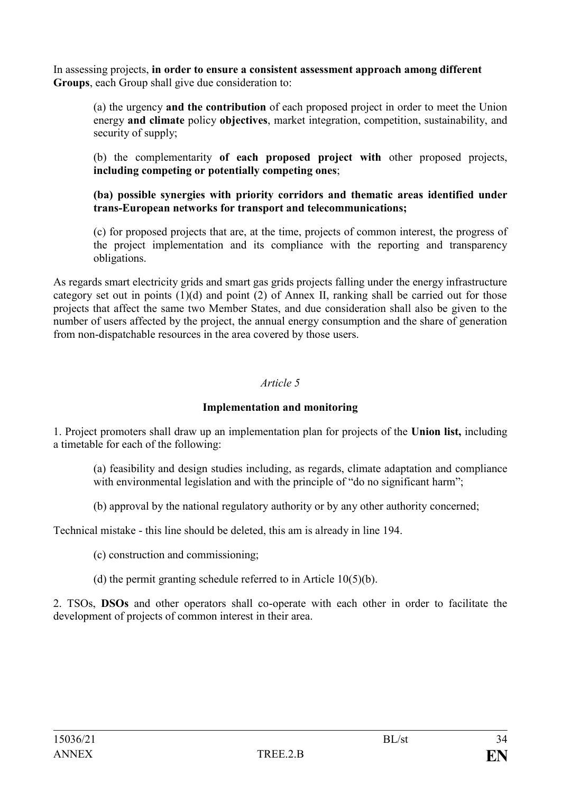In assessing projects, **in order to ensure a consistent assessment approach among different Groups**, each Group shall give due consideration to:

(a) the urgency **and the contribution** of each proposed project in order to meet the Union energy **and climate** policy **objectives**, market integration, competition, sustainability, and security of supply;

(b) the complementarity **of each proposed project with** other proposed projects, **including competing or potentially competing ones**;

### **(ba) possible synergies with priority corridors and thematic areas identified under trans-European networks for transport and telecommunications;**

(c) for proposed projects that are, at the time, projects of common interest, the progress of the project implementation and its compliance with the reporting and transparency obligations.

As regards smart electricity grids and smart gas grids projects falling under the energy infrastructure category set out in points (1)(d) and point (2) of Annex II, ranking shall be carried out for those projects that affect the same two Member States, and due consideration shall also be given to the number of users affected by the project, the annual energy consumption and the share of generation from non-dispatchable resources in the area covered by those users.

## *Article 5*

#### **Implementation and monitoring**

1. Project promoters shall draw up an implementation plan for projects of the **Union list,** including a timetable for each of the following:

(a) feasibility and design studies including, as regards, climate adaptation and compliance with environmental legislation and with the principle of "do no significant harm";

(b) approval by the national regulatory authority or by any other authority concerned;

Technical mistake - this line should be deleted, this am is already in line 194.

(c) construction and commissioning;

(d) the permit granting schedule referred to in Article 10(5)(b).

2. TSOs, **DSOs** and other operators shall co-operate with each other in order to facilitate the development of projects of common interest in their area.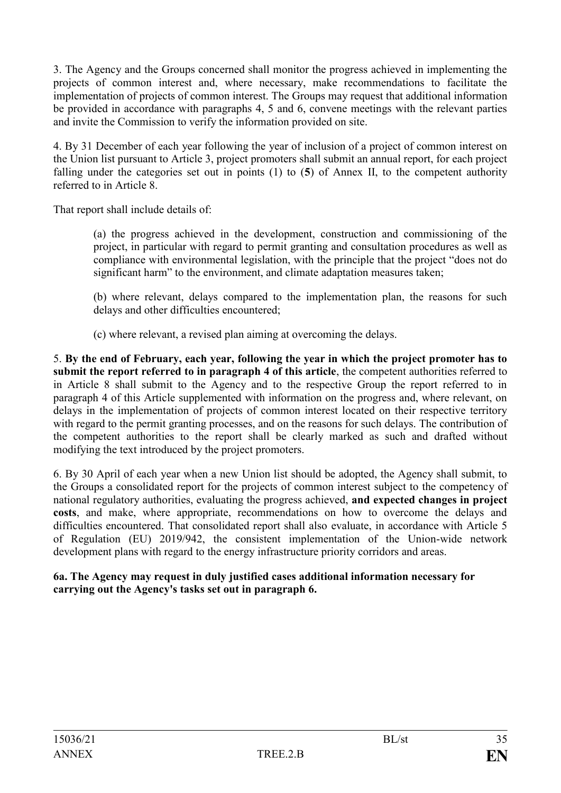3. The Agency and the Groups concerned shall monitor the progress achieved in implementing the projects of common interest and, where necessary, make recommendations to facilitate the implementation of projects of common interest. The Groups may request that additional information be provided in accordance with paragraphs 4, 5 and 6, convene meetings with the relevant parties and invite the Commission to verify the information provided on site.

4. By 31 December of each year following the year of inclusion of a project of common interest on the Union list pursuant to Article 3, project promoters shall submit an annual report, for each project falling under the categories set out in points (1) to (**5**) of Annex II, to the competent authority referred to in Article 8.

That report shall include details of:

(a) the progress achieved in the development, construction and commissioning of the project, in particular with regard to permit granting and consultation procedures as well as compliance with environmental legislation, with the principle that the project "does not do significant harm" to the environment, and climate adaptation measures taken;

(b) where relevant, delays compared to the implementation plan, the reasons for such delays and other difficulties encountered;

(c) where relevant, a revised plan aiming at overcoming the delays.

5. **By the end of February, each year, following the year in which the project promoter has to submit the report referred to in paragraph 4 of this article**, the competent authorities referred to in Article 8 shall submit to the Agency and to the respective Group the report referred to in paragraph 4 of this Article supplemented with information on the progress and, where relevant, on delays in the implementation of projects of common interest located on their respective territory with regard to the permit granting processes, and on the reasons for such delays. The contribution of the competent authorities to the report shall be clearly marked as such and drafted without modifying the text introduced by the project promoters.

6. By 30 April of each year when a new Union list should be adopted, the Agency shall submit, to the Groups a consolidated report for the projects of common interest subject to the competency of national regulatory authorities, evaluating the progress achieved, **and expected changes in project costs**, and make, where appropriate, recommendations on how to overcome the delays and difficulties encountered. That consolidated report shall also evaluate, in accordance with Article 5 of Regulation (EU) 2019/942, the consistent implementation of the Union-wide network development plans with regard to the energy infrastructure priority corridors and areas.

## **6a. The Agency may request in duly justified cases additional information necessary for carrying out the Agency's tasks set out in paragraph 6.**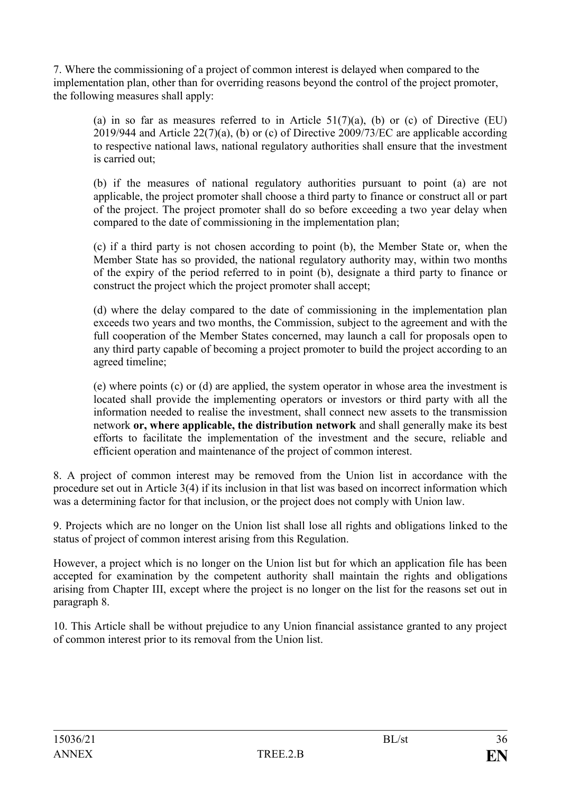7. Where the commissioning of a project of common interest is delayed when compared to the implementation plan, other than for overriding reasons beyond the control of the project promoter, the following measures shall apply:

(a) in so far as measures referred to in Article  $51(7)(a)$ , (b) or (c) of Directive (EU) 2019/944 and Article 22(7)(a), (b) or (c) of Directive 2009/73/EC are applicable according to respective national laws, national regulatory authorities shall ensure that the investment is carried out;

(b) if the measures of national regulatory authorities pursuant to point (a) are not applicable, the project promoter shall choose a third party to finance or construct all or part of the project. The project promoter shall do so before exceeding a two year delay when compared to the date of commissioning in the implementation plan;

(c) if a third party is not chosen according to point (b), the Member State or, when the Member State has so provided, the national regulatory authority may, within two months of the expiry of the period referred to in point (b), designate a third party to finance or construct the project which the project promoter shall accept;

(d) where the delay compared to the date of commissioning in the implementation plan exceeds two years and two months, the Commission, subject to the agreement and with the full cooperation of the Member States concerned, may launch a call for proposals open to any third party capable of becoming a project promoter to build the project according to an agreed timeline;

(e) where points (c) or (d) are applied, the system operator in whose area the investment is located shall provide the implementing operators or investors or third party with all the information needed to realise the investment, shall connect new assets to the transmission network **or, where applicable, the distribution network** and shall generally make its best efforts to facilitate the implementation of the investment and the secure, reliable and efficient operation and maintenance of the project of common interest.

8. A project of common interest may be removed from the Union list in accordance with the procedure set out in Article 3(4) if its inclusion in that list was based on incorrect information which was a determining factor for that inclusion, or the project does not comply with Union law.

9. Projects which are no longer on the Union list shall lose all rights and obligations linked to the status of project of common interest arising from this Regulation.

However, a project which is no longer on the Union list but for which an application file has been accepted for examination by the competent authority shall maintain the rights and obligations arising from Chapter III, except where the project is no longer on the list for the reasons set out in paragraph 8.

10. This Article shall be without prejudice to any Union financial assistance granted to any project of common interest prior to its removal from the Union list.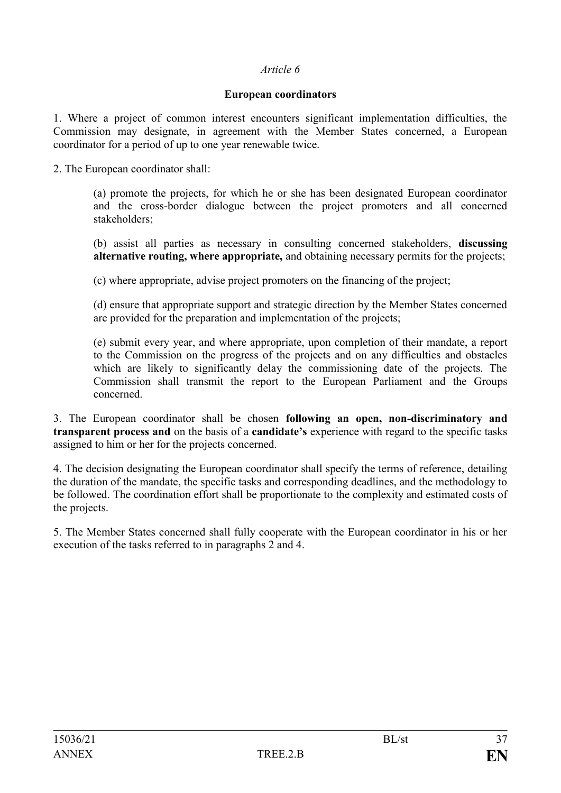### **European coordinators**

1. Where a project of common interest encounters significant implementation difficulties, the Commission may designate, in agreement with the Member States concerned, a European coordinator for a period of up to one year renewable twice.

2. The European coordinator shall:

(a) promote the projects, for which he or she has been designated European coordinator and the cross-border dialogue between the project promoters and all concerned stakeholders;

(b) assist all parties as necessary in consulting concerned stakeholders, **discussing alternative routing, where appropriate,** and obtaining necessary permits for the projects;

(c) where appropriate, advise project promoters on the financing of the project;

(d) ensure that appropriate support and strategic direction by the Member States concerned are provided for the preparation and implementation of the projects;

(e) submit every year, and where appropriate, upon completion of their mandate, a report to the Commission on the progress of the projects and on any difficulties and obstacles which are likely to significantly delay the commissioning date of the projects. The Commission shall transmit the report to the European Parliament and the Groups concerned.

3. The European coordinator shall be chosen **following an open, non-discriminatory and transparent process and** on the basis of a **candidate's** experience with regard to the specific tasks assigned to him or her for the projects concerned.

4. The decision designating the European coordinator shall specify the terms of reference, detailing the duration of the mandate, the specific tasks and corresponding deadlines, and the methodology to be followed. The coordination effort shall be proportionate to the complexity and estimated costs of the projects.

5. The Member States concerned shall fully cooperate with the European coordinator in his or her execution of the tasks referred to in paragraphs 2 and 4.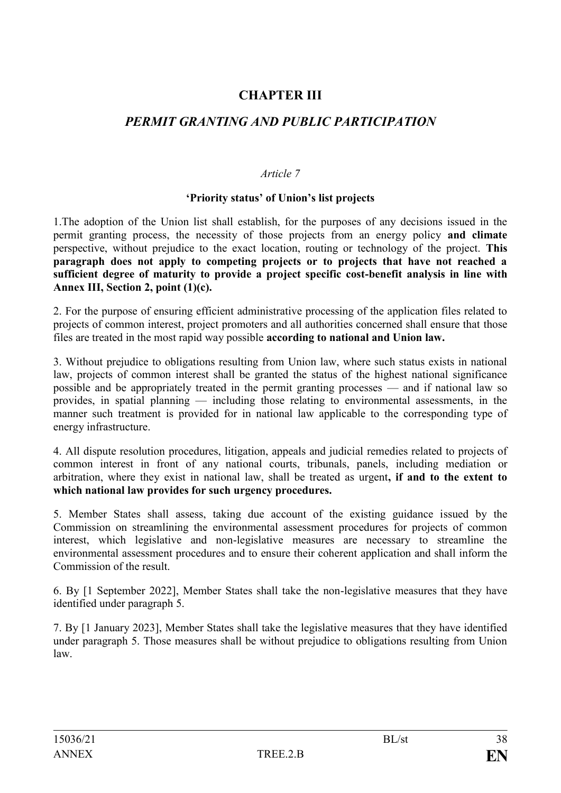# **CHAPTER III**

# *PERMIT GRANTING AND PUBLIC PARTICIPATION*

### *Article 7*

### **'Priority status' of Union's list projects**

1.The adoption of the Union list shall establish, for the purposes of any decisions issued in the permit granting process, the necessity of those projects from an energy policy **and climate** perspective, without prejudice to the exact location, routing or technology of the project. **This paragraph does not apply to competing projects or to projects that have not reached a sufficient degree of maturity to provide a project specific cost-benefit analysis in line with Annex III, Section 2, point (1)(c).**

2. For the purpose of ensuring efficient administrative processing of the application files related to projects of common interest, project promoters and all authorities concerned shall ensure that those files are treated in the most rapid way possible **according to national and Union law.**

3. Without prejudice to obligations resulting from Union law, where such status exists in national law, projects of common interest shall be granted the status of the highest national significance possible and be appropriately treated in the permit granting processes — and if national law so provides, in spatial planning — including those relating to environmental assessments, in the manner such treatment is provided for in national law applicable to the corresponding type of energy infrastructure.

4. All dispute resolution procedures, litigation, appeals and judicial remedies related to projects of common interest in front of any national courts, tribunals, panels, including mediation or arbitration, where they exist in national law, shall be treated as urgent**, if and to the extent to which national law provides for such urgency procedures.**

5. Member States shall assess, taking due account of the existing guidance issued by the Commission on streamlining the environmental assessment procedures for projects of common interest, which legislative and non-legislative measures are necessary to streamline the environmental assessment procedures and to ensure their coherent application and shall inform the Commission of the result.

6. By [1 September 2022], Member States shall take the non-legislative measures that they have identified under paragraph 5.

7. By [1 January 2023], Member States shall take the legislative measures that they have identified under paragraph 5. Those measures shall be without prejudice to obligations resulting from Union law.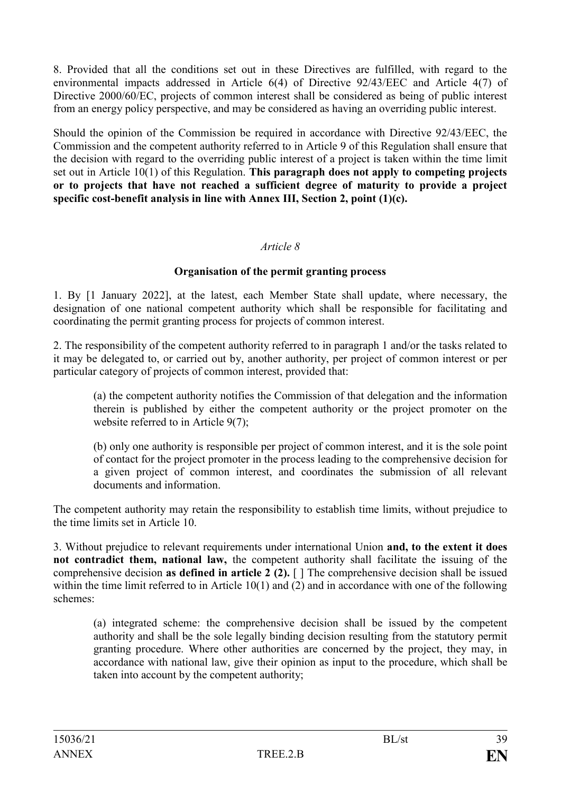8. Provided that all the conditions set out in these Directives are fulfilled, with regard to the environmental impacts addressed in Article 6(4) of Directive 92/43/EEC and Article 4(7) of Directive 2000/60/EC, projects of common interest shall be considered as being of public interest from an energy policy perspective, and may be considered as having an overriding public interest.

Should the opinion of the Commission be required in accordance with Directive 92/43/EEC, the Commission and the competent authority referred to in Article 9 of this Regulation shall ensure that the decision with regard to the overriding public interest of a project is taken within the time limit set out in Article 10(1) of this Regulation. **This paragraph does not apply to competing projects or to projects that have not reached a sufficient degree of maturity to provide a project specific cost-benefit analysis in line with Annex III, Section 2, point (1)(c).**

### *Article 8*

### **Organisation of the permit granting process**

1. By [1 January 2022], at the latest, each Member State shall update, where necessary, the designation of one national competent authority which shall be responsible for facilitating and coordinating the permit granting process for projects of common interest.

2. The responsibility of the competent authority referred to in paragraph 1 and/or the tasks related to it may be delegated to, or carried out by, another authority, per project of common interest or per particular category of projects of common interest, provided that:

(a) the competent authority notifies the Commission of that delegation and the information therein is published by either the competent authority or the project promoter on the website referred to in Article 9(7);

(b) only one authority is responsible per project of common interest, and it is the sole point of contact for the project promoter in the process leading to the comprehensive decision for a given project of common interest, and coordinates the submission of all relevant documents and information.

The competent authority may retain the responsibility to establish time limits, without prejudice to the time limits set in Article 10.

3. Without prejudice to relevant requirements under international Union **and, to the extent it does not contradict them, national law,** the competent authority shall facilitate the issuing of the comprehensive decision **as defined in article 2 (2).** [ ] The comprehensive decision shall be issued within the time limit referred to in Article  $10(1)$  and  $(2)$  and in accordance with one of the following schemes:

(a) integrated scheme: the comprehensive decision shall be issued by the competent authority and shall be the sole legally binding decision resulting from the statutory permit granting procedure. Where other authorities are concerned by the project, they may, in accordance with national law, give their opinion as input to the procedure, which shall be taken into account by the competent authority;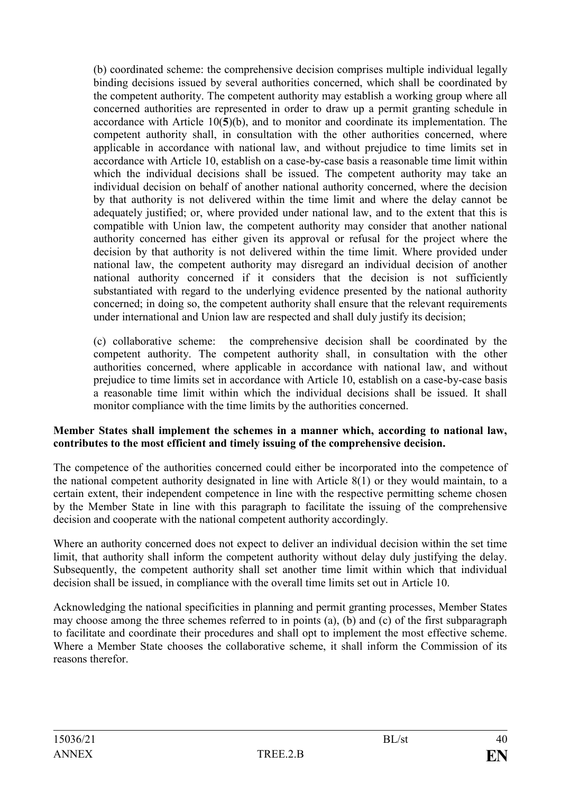(b) coordinated scheme: the comprehensive decision comprises multiple individual legally binding decisions issued by several authorities concerned, which shall be coordinated by the competent authority. The competent authority may establish a working group where all concerned authorities are represented in order to draw up a permit granting schedule in accordance with Article 10(**5**)(b), and to monitor and coordinate its implementation. The competent authority shall, in consultation with the other authorities concerned, where applicable in accordance with national law, and without prejudice to time limits set in accordance with Article 10, establish on a case-by-case basis a reasonable time limit within which the individual decisions shall be issued. The competent authority may take an individual decision on behalf of another national authority concerned, where the decision by that authority is not delivered within the time limit and where the delay cannot be adequately justified; or, where provided under national law, and to the extent that this is compatible with Union law, the competent authority may consider that another national authority concerned has either given its approval or refusal for the project where the decision by that authority is not delivered within the time limit. Where provided under national law, the competent authority may disregard an individual decision of another national authority concerned if it considers that the decision is not sufficiently substantiated with regard to the underlying evidence presented by the national authority concerned; in doing so, the competent authority shall ensure that the relevant requirements under international and Union law are respected and shall duly justify its decision;

(c) collaborative scheme: the comprehensive decision shall be coordinated by the competent authority. The competent authority shall, in consultation with the other authorities concerned, where applicable in accordance with national law, and without prejudice to time limits set in accordance with Article 10, establish on a case-by-case basis a reasonable time limit within which the individual decisions shall be issued. It shall monitor compliance with the time limits by the authorities concerned.

### **Member States shall implement the schemes in a manner which, according to national law, contributes to the most efficient and timely issuing of the comprehensive decision.**

The competence of the authorities concerned could either be incorporated into the competence of the national competent authority designated in line with Article 8(1) or they would maintain, to a certain extent, their independent competence in line with the respective permitting scheme chosen by the Member State in line with this paragraph to facilitate the issuing of the comprehensive decision and cooperate with the national competent authority accordingly.

Where an authority concerned does not expect to deliver an individual decision within the set time limit, that authority shall inform the competent authority without delay duly justifying the delay. Subsequently, the competent authority shall set another time limit within which that individual decision shall be issued, in compliance with the overall time limits set out in Article 10.

Acknowledging the national specificities in planning and permit granting processes, Member States may choose among the three schemes referred to in points (a), (b) and (c) of the first subparagraph to facilitate and coordinate their procedures and shall opt to implement the most effective scheme. Where a Member State chooses the collaborative scheme, it shall inform the Commission of its reasons therefor.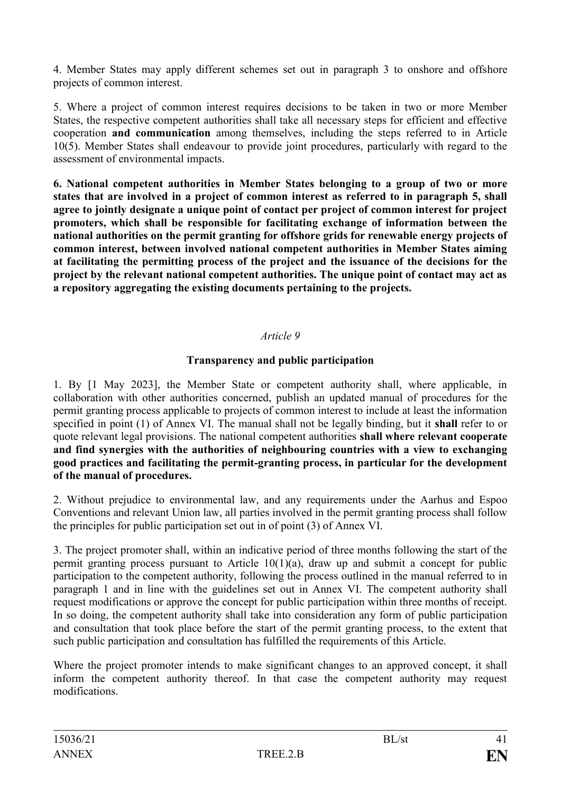4. Member States may apply different schemes set out in paragraph 3 to onshore and offshore projects of common interest.

5. Where a project of common interest requires decisions to be taken in two or more Member States, the respective competent authorities shall take all necessary steps for efficient and effective cooperation **and communication** among themselves, including the steps referred to in Article 10(5). Member States shall endeavour to provide joint procedures, particularly with regard to the assessment of environmental impacts.

**6. National competent authorities in Member States belonging to a group of two or more states that are involved in a project of common interest as referred to in paragraph 5, shall agree to jointly designate a unique point of contact per project of common interest for project promoters, which shall be responsible for facilitating exchange of information between the national authorities on the permit granting for offshore grids for renewable energy projects of common interest, between involved national competent authorities in Member States aiming at facilitating the permitting process of the project and the issuance of the decisions for the project by the relevant national competent authorities. The unique point of contact may act as a repository aggregating the existing documents pertaining to the projects.** 

## *Article 9*

## **Transparency and public participation**

1. By [1 May 2023], the Member State or competent authority shall, where applicable, in collaboration with other authorities concerned, publish an updated manual of procedures for the permit granting process applicable to projects of common interest to include at least the information specified in point (1) of Annex VI. The manual shall not be legally binding, but it **shall** refer to or quote relevant legal provisions. The national competent authorities **shall where relevant cooperate and find synergies with the authorities of neighbouring countries with a view to exchanging good practices and facilitating the permit-granting process, in particular for the development of the manual of procedures.**

2. Without prejudice to environmental law, and any requirements under the Aarhus and Espoo Conventions and relevant Union law, all parties involved in the permit granting process shall follow the principles for public participation set out in of point (3) of Annex VI.

3. The project promoter shall, within an indicative period of three months following the start of the permit granting process pursuant to Article  $10(1)(a)$ , draw up and submit a concept for public participation to the competent authority, following the process outlined in the manual referred to in paragraph 1 and in line with the guidelines set out in Annex VI. The competent authority shall request modifications or approve the concept for public participation within three months of receipt. In so doing, the competent authority shall take into consideration any form of public participation and consultation that took place before the start of the permit granting process, to the extent that such public participation and consultation has fulfilled the requirements of this Article.

Where the project promoter intends to make significant changes to an approved concept, it shall inform the competent authority thereof. In that case the competent authority may request modifications.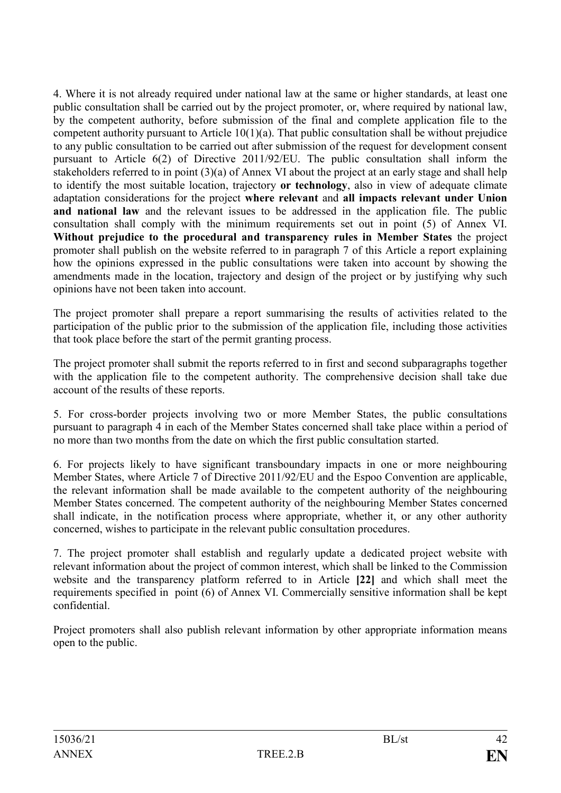4. Where it is not already required under national law at the same or higher standards, at least one public consultation shall be carried out by the project promoter, or, where required by national law, by the competent authority, before submission of the final and complete application file to the competent authority pursuant to Article 10(1)(a). That public consultation shall be without prejudice to any public consultation to be carried out after submission of the request for development consent pursuant to Article 6(2) of Directive 2011/92/EU. The public consultation shall inform the stakeholders referred to in point (3)(a) of Annex VI about the project at an early stage and shall help to identify the most suitable location, trajectory **or technology**, also in view of adequate climate adaptation considerations for the project **where relevant** and **all impacts relevant under Union**  and national law and the relevant issues to be addressed in the application file. The public consultation shall comply with the minimum requirements set out in point (5) of Annex VI. **Without prejudice to the procedural and transparency rules in Member States** the project promoter shall publish on the website referred to in paragraph 7 of this Article a report explaining how the opinions expressed in the public consultations were taken into account by showing the amendments made in the location, trajectory and design of the project or by justifying why such opinions have not been taken into account.

The project promoter shall prepare a report summarising the results of activities related to the participation of the public prior to the submission of the application file, including those activities that took place before the start of the permit granting process.

The project promoter shall submit the reports referred to in first and second subparagraphs together with the application file to the competent authority. The comprehensive decision shall take due account of the results of these reports.

5. For cross-border projects involving two or more Member States, the public consultations pursuant to paragraph 4 in each of the Member States concerned shall take place within a period of no more than two months from the date on which the first public consultation started.

6. For projects likely to have significant transboundary impacts in one or more neighbouring Member States, where Article 7 of Directive 2011/92/EU and the Espoo Convention are applicable, the relevant information shall be made available to the competent authority of the neighbouring Member States concerned. The competent authority of the neighbouring Member States concerned shall indicate, in the notification process where appropriate, whether it, or any other authority concerned, wishes to participate in the relevant public consultation procedures.

7. The project promoter shall establish and regularly update a dedicated project website with relevant information about the project of common interest, which shall be linked to the Commission website and the transparency platform referred to in Article **[22]** and which shall meet the requirements specified in point (6) of Annex VI. Commercially sensitive information shall be kept confidential.

Project promoters shall also publish relevant information by other appropriate information means open to the public.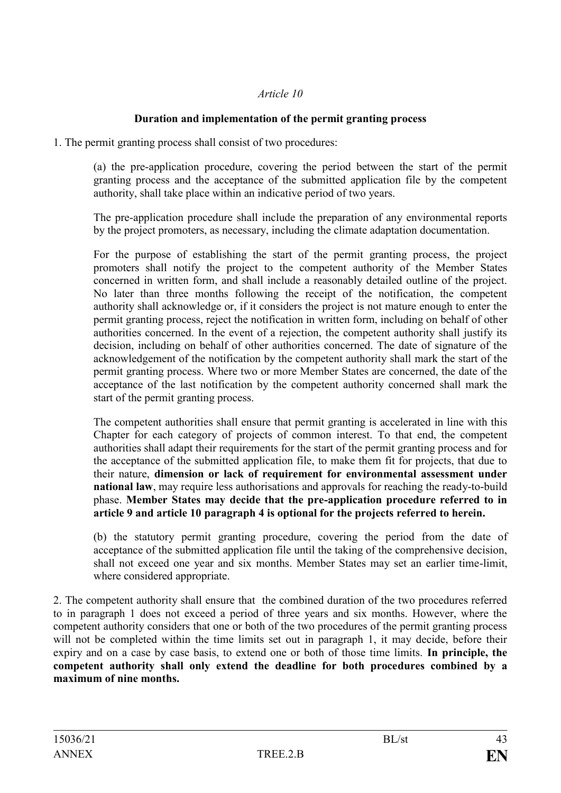## **Duration and implementation of the permit granting process**

1. The permit granting process shall consist of two procedures:

(a) the pre-application procedure, covering the period between the start of the permit granting process and the acceptance of the submitted application file by the competent authority, shall take place within an indicative period of two years.

The pre-application procedure shall include the preparation of any environmental reports by the project promoters, as necessary, including the climate adaptation documentation.

For the purpose of establishing the start of the permit granting process, the project promoters shall notify the project to the competent authority of the Member States concerned in written form, and shall include a reasonably detailed outline of the project. No later than three months following the receipt of the notification, the competent authority shall acknowledge or, if it considers the project is not mature enough to enter the permit granting process, reject the notification in written form, including on behalf of other authorities concerned. In the event of a rejection, the competent authority shall justify its decision, including on behalf of other authorities concerned. The date of signature of the acknowledgement of the notification by the competent authority shall mark the start of the permit granting process. Where two or more Member States are concerned, the date of the acceptance of the last notification by the competent authority concerned shall mark the start of the permit granting process.

The competent authorities shall ensure that permit granting is accelerated in line with this Chapter for each category of projects of common interest. To that end, the competent authorities shall adapt their requirements for the start of the permit granting process and for the acceptance of the submitted application file, to make them fit for projects, that due to their nature, **dimension or lack of requirement for environmental assessment under national law**, may require less authorisations and approvals for reaching the ready-to-build phase. **Member States may decide that the pre-application procedure referred to in article 9 and article 10 paragraph 4 is optional for the projects referred to herein.**

(b) the statutory permit granting procedure, covering the period from the date of acceptance of the submitted application file until the taking of the comprehensive decision, shall not exceed one year and six months. Member States may set an earlier time-limit, where considered appropriate.

2. The competent authority shall ensure that the combined duration of the two procedures referred to in paragraph 1 does not exceed a period of three years and six months. However, where the competent authority considers that one or both of the two procedures of the permit granting process will not be completed within the time limits set out in paragraph 1, it may decide, before their expiry and on a case by case basis, to extend one or both of those time limits. **In principle, the competent authority shall only extend the deadline for both procedures combined by a maximum of nine months.**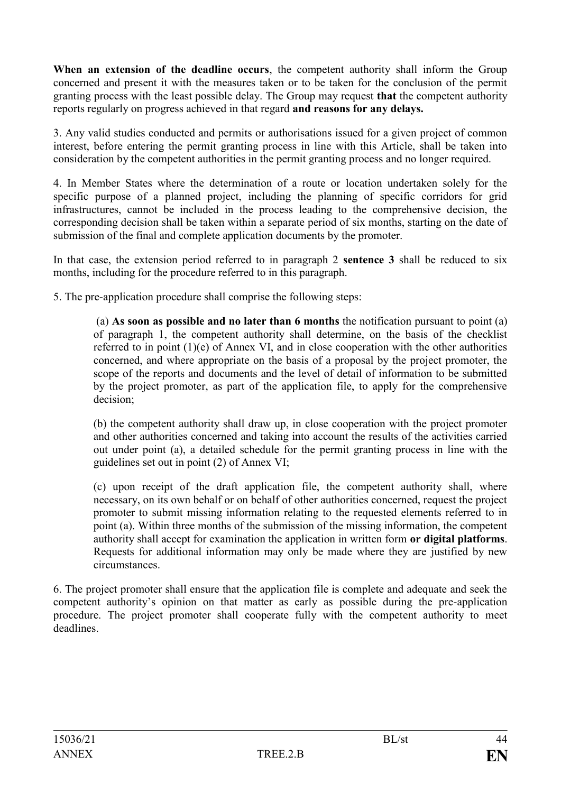**When an extension of the deadline occurs**, the competent authority shall inform the Group concerned and present it with the measures taken or to be taken for the conclusion of the permit granting process with the least possible delay. The Group may request **that** the competent authority reports regularly on progress achieved in that regard **and reasons for any delays.**

3. Any valid studies conducted and permits or authorisations issued for a given project of common interest, before entering the permit granting process in line with this Article, shall be taken into consideration by the competent authorities in the permit granting process and no longer required.

4. In Member States where the determination of a route or location undertaken solely for the specific purpose of a planned project, including the planning of specific corridors for grid infrastructures, cannot be included in the process leading to the comprehensive decision, the corresponding decision shall be taken within a separate period of six months, starting on the date of submission of the final and complete application documents by the promoter.

In that case, the extension period referred to in paragraph 2 **sentence 3** shall be reduced to six months, including for the procedure referred to in this paragraph.

5. The pre-application procedure shall comprise the following steps:

(a) **As soon as possible and no later than 6 months** the notification pursuant to point (a) of paragraph 1, the competent authority shall determine, on the basis of the checklist referred to in point (1)(e) of Annex VI, and in close cooperation with the other authorities concerned, and where appropriate on the basis of a proposal by the project promoter, the scope of the reports and documents and the level of detail of information to be submitted by the project promoter, as part of the application file, to apply for the comprehensive decision;

(b) the competent authority shall draw up, in close cooperation with the project promoter and other authorities concerned and taking into account the results of the activities carried out under point (a), a detailed schedule for the permit granting process in line with the guidelines set out in point (2) of Annex VI;

(c) upon receipt of the draft application file, the competent authority shall, where necessary, on its own behalf or on behalf of other authorities concerned, request the project promoter to submit missing information relating to the requested elements referred to in point (a). Within three months of the submission of the missing information, the competent authority shall accept for examination the application in written form **or digital platforms**. Requests for additional information may only be made where they are justified by new circumstances.

6. The project promoter shall ensure that the application file is complete and adequate and seek the competent authority's opinion on that matter as early as possible during the pre-application procedure. The project promoter shall cooperate fully with the competent authority to meet deadlines.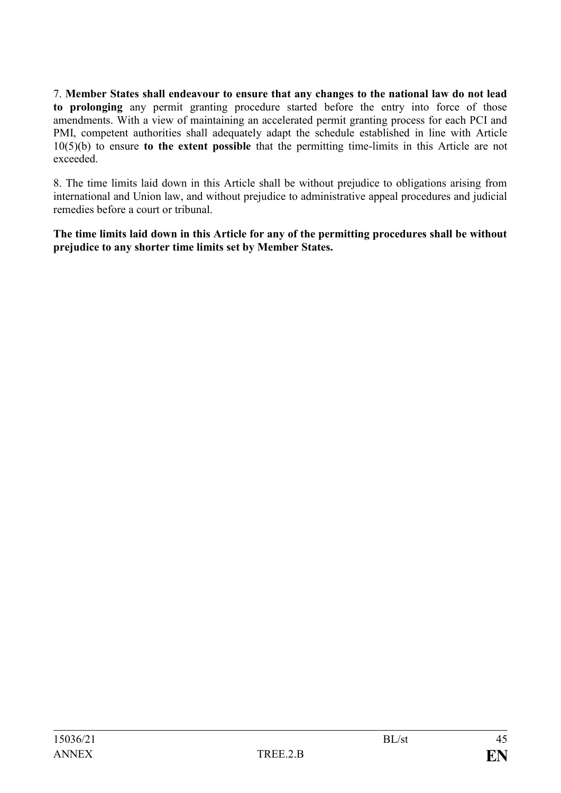7. **Member States shall endeavour to ensure that any changes to the national law do not lead to prolonging** any permit granting procedure started before the entry into force of those amendments. With a view of maintaining an accelerated permit granting process for each PCI and PMI, competent authorities shall adequately adapt the schedule established in line with Article 10(5)(b) to ensure **to the extent possible** that the permitting time-limits in this Article are not exceeded.

8. The time limits laid down in this Article shall be without prejudice to obligations arising from international and Union law, and without prejudice to administrative appeal procedures and judicial remedies before a court or tribunal.

**The time limits laid down in this Article for any of the permitting procedures shall be without prejudice to any shorter time limits set by Member States.**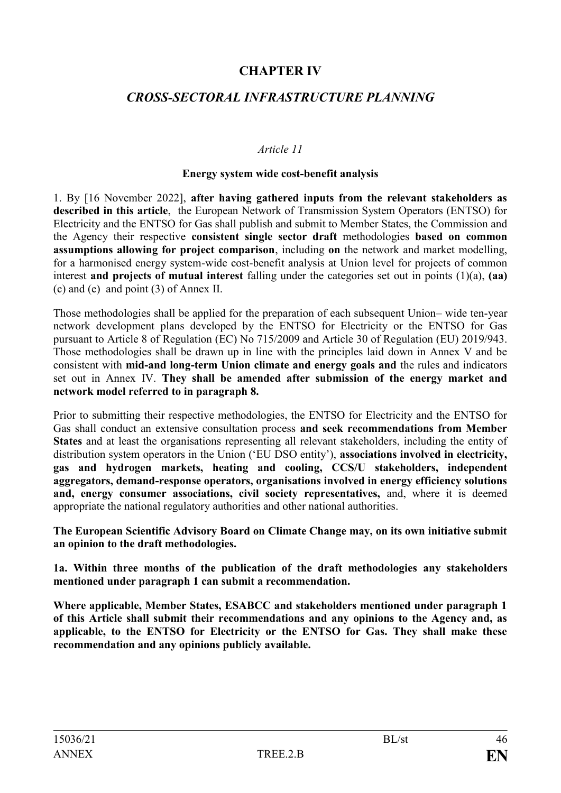## **CHAPTER IV**

## *CROSS-SECTORAL INFRASTRUCTURE PLANNING*

### *Article 11*

#### **Energy system wide cost-benefit analysis**

1. By [16 November 2022], **after having gathered inputs from the relevant stakeholders as described in this article**, the European Network of Transmission System Operators (ENTSO) for Electricity and the ENTSO for Gas shall publish and submit to Member States, the Commission and the Agency their respective **consistent single sector draft** methodologies **based on common assumptions allowing for project comparison**, including **on** the network and market modelling, for a harmonised energy system-wide cost-benefit analysis at Union level for projects of common interest **and projects of mutual interest** falling under the categories set out in points (1)(a), **(aa)** (c) and (e) and point (3) of Annex II.

Those methodologies shall be applied for the preparation of each subsequent Union– wide ten-year network development plans developed by the ENTSO for Electricity or the ENTSO for Gas pursuant to Article 8 of Regulation (EC) No 715/2009 and Article 30 of Regulation (EU) 2019/943. Those methodologies shall be drawn up in line with the principles laid down in Annex V and be consistent with **mid-and long-term Union climate and energy goals and** the rules and indicators set out in Annex IV. **They shall be amended after submission of the energy market and network model referred to in paragraph 8.**

Prior to submitting their respective methodologies, the ENTSO for Electricity and the ENTSO for Gas shall conduct an extensive consultation process **and seek recommendations from Member States** and at least the organisations representing all relevant stakeholders, including the entity of distribution system operators in the Union ('EU DSO entity'), **associations involved in electricity, gas and hydrogen markets, heating and cooling, CCS/U stakeholders, independent aggregators, demand-response operators, organisations involved in energy efficiency solutions and, energy consumer associations, civil society representatives,** and, where it is deemed appropriate the national regulatory authorities and other national authorities.

**The European Scientific Advisory Board on Climate Change may, on its own initiative submit an opinion to the draft methodologies.**

**1a. Within three months of the publication of the draft methodologies any stakeholders mentioned under paragraph 1 can submit a recommendation.**

**Where applicable, Member States, ESABCC and stakeholders mentioned under paragraph 1 of this Article shall submit their recommendations and any opinions to the Agency and, as applicable, to the ENTSO for Electricity or the ENTSO for Gas. They shall make these recommendation and any opinions publicly available.**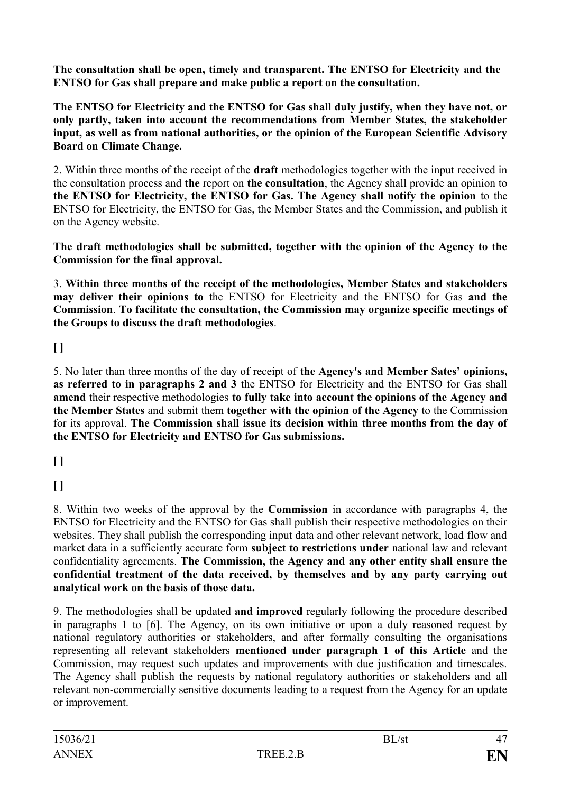**The consultation shall be open, timely and transparent. The ENTSO for Electricity and the ENTSO for Gas shall prepare and make public a report on the consultation.**

**The ENTSO for Electricity and the ENTSO for Gas shall duly justify, when they have not, or only partly, taken into account the recommendations from Member States, the stakeholder input, as well as from national authorities, or the opinion of the European Scientific Advisory Board on Climate Change.**

2. Within three months of the receipt of the **draft** methodologies together with the input received in the consultation process and **the** report on **the consultation**, the Agency shall provide an opinion to **the ENTSO for Electricity, the ENTSO for Gas. The Agency shall notify the opinion** to the ENTSO for Electricity, the ENTSO for Gas, the Member States and the Commission, and publish it on the Agency website.

**The draft methodologies shall be submitted, together with the opinion of the Agency to the Commission for the final approval.**

3. **Within three months of the receipt of the methodologies, Member States and stakeholders may deliver their opinions to** the ENTSO for Electricity and the ENTSO for Gas **and the Commission**. **To facilitate the consultation, the Commission may organize specific meetings of the Groups to discuss the draft methodologies**.

## **[ ]**

5. No later than three months of the day of receipt of **the Agency's and Member Sates' opinions, as referred to in paragraphs 2 and 3** the ENTSO for Electricity and the ENTSO for Gas shall **amend** their respective methodologies **to fully take into account the opinions of the Agency and the Member States** and submit them **together with the opinion of the Agency** to the Commission for its approval. **The Commission shall issue its decision within three months from the day of the ENTSO for Electricity and ENTSO for Gas submissions.**

**[ ]**

**[ ]**

8. Within two weeks of the approval by the **Commission** in accordance with paragraphs 4, the ENTSO for Electricity and the ENTSO for Gas shall publish their respective methodologies on their websites. They shall publish the corresponding input data and other relevant network, load flow and market data in a sufficiently accurate form **subject to restrictions under** national law and relevant confidentiality agreements. **The Commission, the Agency and any other entity shall ensure the confidential treatment of the data received, by themselves and by any party carrying out analytical work on the basis of those data.**

9. The methodologies shall be updated **and improved** regularly following the procedure described in paragraphs 1 to [6]. The Agency, on its own initiative or upon a duly reasoned request by national regulatory authorities or stakeholders, and after formally consulting the organisations representing all relevant stakeholders **mentioned under paragraph 1 of this Article** and the Commission, may request such updates and improvements with due justification and timescales. The Agency shall publish the requests by national regulatory authorities or stakeholders and all relevant non-commercially sensitive documents leading to a request from the Agency for an update or improvement.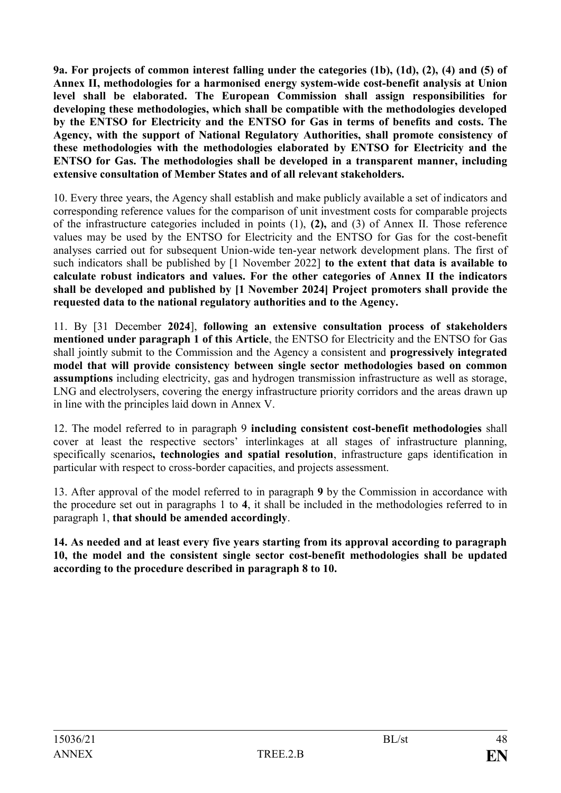**9a. For projects of common interest falling under the categories (1b), (1d), (2), (4) and (5) of Annex II, methodologies for a harmonised energy system-wide cost-benefit analysis at Union level shall be elaborated. The European Commission shall assign responsibilities for developing these methodologies, which shall be compatible with the methodologies developed by the ENTSO for Electricity and the ENTSO for Gas in terms of benefits and costs. The Agency, with the support of National Regulatory Authorities, shall promote consistency of these methodologies with the methodologies elaborated by ENTSO for Electricity and the ENTSO for Gas. The methodologies shall be developed in a transparent manner, including extensive consultation of Member States and of all relevant stakeholders.**

10. Every three years, the Agency shall establish and make publicly available a set of indicators and corresponding reference values for the comparison of unit investment costs for comparable projects of the infrastructure categories included in points (1), **(2),** and (3) of Annex II. Those reference values may be used by the ENTSO for Electricity and the ENTSO for Gas for the cost-benefit analyses carried out for subsequent Union-wide ten-year network development plans. The first of such indicators shall be published by [1 November 2022] **to the extent that data is available to calculate robust indicators and values. For the other categories of Annex II the indicators shall be developed and published by [1 November 2024] Project promoters shall provide the requested data to the national regulatory authorities and to the Agency.**

11. By [31 December **2024**], **following an extensive consultation process of stakeholders mentioned under paragraph 1 of this Article**, the ENTSO for Electricity and the ENTSO for Gas shall jointly submit to the Commission and the Agency a consistent and **progressively integrated model that will provide consistency between single sector methodologies based on common assumptions** including electricity, gas and hydrogen transmission infrastructure as well as storage, LNG and electrolysers, covering the energy infrastructure priority corridors and the areas drawn up in line with the principles laid down in Annex V.

12. The model referred to in paragraph 9 **including consistent cost-benefit methodologies** shall cover at least the respective sectors' interlinkages at all stages of infrastructure planning, specifically scenarios**, technologies and spatial resolution**, infrastructure gaps identification in particular with respect to cross-border capacities, and projects assessment.

13. After approval of the model referred to in paragraph **9** by the Commission in accordance with the procedure set out in paragraphs 1 to **4**, it shall be included in the methodologies referred to in paragraph 1, **that should be amended accordingly**.

**14. As needed and at least every five years starting from its approval according to paragraph 10, the model and the consistent single sector cost-benefit methodologies shall be updated according to the procedure described in paragraph 8 to 10.**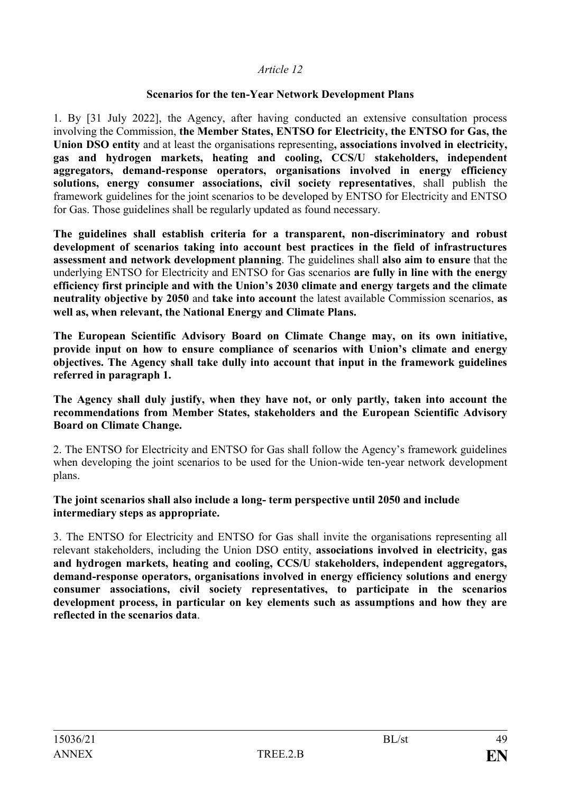### **Scenarios for the ten-Year Network Development Plans**

1. By [31 July 2022], the Agency, after having conducted an extensive consultation process involving the Commission, **the Member States, ENTSO for Electricity, the ENTSO for Gas, the Union DSO entity** and at least the organisations representing**, associations involved in electricity, gas and hydrogen markets, heating and cooling, CCS/U stakeholders, independent aggregators, demand-response operators, organisations involved in energy efficiency solutions, energy consumer associations, civil society representatives**, shall publish the framework guidelines for the joint scenarios to be developed by ENTSO for Electricity and ENTSO for Gas. Those guidelines shall be regularly updated as found necessary.

**The guidelines shall establish criteria for a transparent, non-discriminatory and robust development of scenarios taking into account best practices in the field of infrastructures assessment and network development planning**. The guidelines shall **also aim to ensure** that the underlying ENTSO for Electricity and ENTSO for Gas scenarios **are fully in line with the energy efficiency first principle and with the Union's 2030 climate and energy targets and the climate neutrality objective by 2050** and **take into account** the latest available Commission scenarios, **as well as, when relevant, the National Energy and Climate Plans.**

**The European Scientific Advisory Board on Climate Change may, on its own initiative, provide input on how to ensure compliance of scenarios with Union's climate and energy objectives. The Agency shall take dully into account that input in the framework guidelines referred in paragraph 1.** 

**The Agency shall duly justify, when they have not, or only partly, taken into account the recommendations from Member States, stakeholders and the European Scientific Advisory Board on Climate Change.** 

2. The ENTSO for Electricity and ENTSO for Gas shall follow the Agency's framework guidelines when developing the joint scenarios to be used for the Union-wide ten-year network development plans.

### **The joint scenarios shall also include a long- term perspective until 2050 and include intermediary steps as appropriate.**

3. The ENTSO for Electricity and ENTSO for Gas shall invite the organisations representing all relevant stakeholders, including the Union DSO entity, **associations involved in electricity, gas and hydrogen markets, heating and cooling, CCS/U stakeholders, independent aggregators, demand-response operators, organisations involved in energy efficiency solutions and energy consumer associations, civil society representatives, to participate in the scenarios development process, in particular on key elements such as assumptions and how they are reflected in the scenarios data**.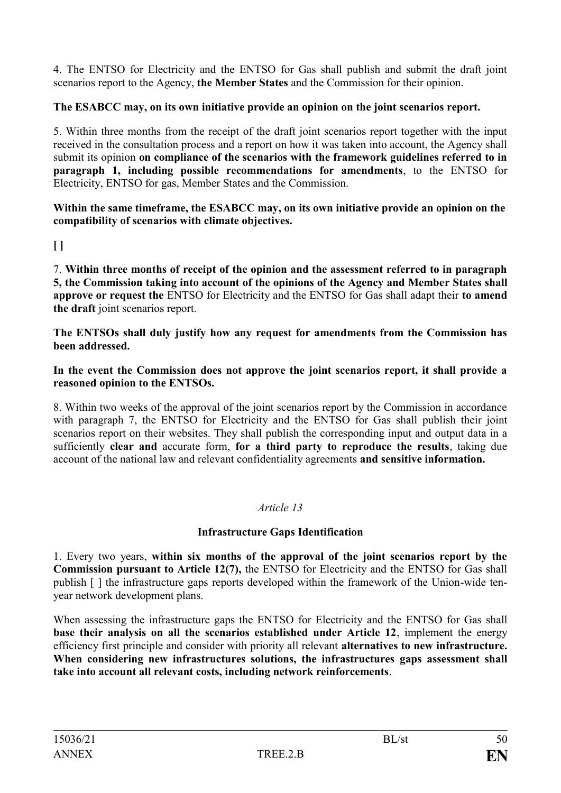4. The ENTSO for Electricity and the ENTSO for Gas shall publish and submit the draft joint scenarios report to the Agency, **the Member States** and the Commission for their opinion.

## **The ESABCC may, on its own initiative provide an opinion on the joint scenarios report.**

5. Within three months from the receipt of the draft joint scenarios report together with the input received in the consultation process and a report on how it was taken into account, the Agency shall submit its opinion **on compliance of the scenarios with the framework guidelines referred to in paragraph 1, including possible recommendations for amendments**, to the ENTSO for Electricity, ENTSO for gas, Member States and the Commission.

**Within the same timeframe, the ESABCC may, on its own initiative provide an opinion on the compatibility of scenarios with climate objectives.**

## **[ ]**

7. **Within three months of receipt of the opinion and the assessment referred to in paragraph 5, the Commission taking into account of the opinions of the Agency and Member States shall approve or request the** ENTSO for Electricity and the ENTSO for Gas shall adapt their **to amend the draft** joint scenarios report.

**The ENTSOs shall duly justify how any request for amendments from the Commission has been addressed.**

### **In the event the Commission does not approve the joint scenarios report, it shall provide a reasoned opinion to the ENTSOs.**

8. Within two weeks of the approval of the joint scenarios report by the Commission in accordance with paragraph 7, the ENTSO for Electricity and the ENTSO for Gas shall publish their joint scenarios report on their websites. They shall publish the corresponding input and output data in a sufficiently **clear and** accurate form, **for a third party to reproduce the results**, taking due account of the national law and relevant confidentiality agreements **and sensitive information.**

## *Article 13*

## **Infrastructure Gaps Identification**

1. Every two years, **within six months of the approval of the joint scenarios report by the Commission pursuant to Article 12(7),** the ENTSO for Electricity and the ENTSO for Gas shall publish [ ] the infrastructure gaps reports developed within the framework of the Union-wide tenyear network development plans.

When assessing the infrastructure gaps the ENTSO for Electricity and the ENTSO for Gas shall **base their analysis on all the scenarios established under Article 12**, implement the energy efficiency first principle and consider with priority all relevant **alternatives to new infrastructure. When considering new infrastructures solutions, the infrastructures gaps assessment shall take into account all relevant costs, including network reinforcements**.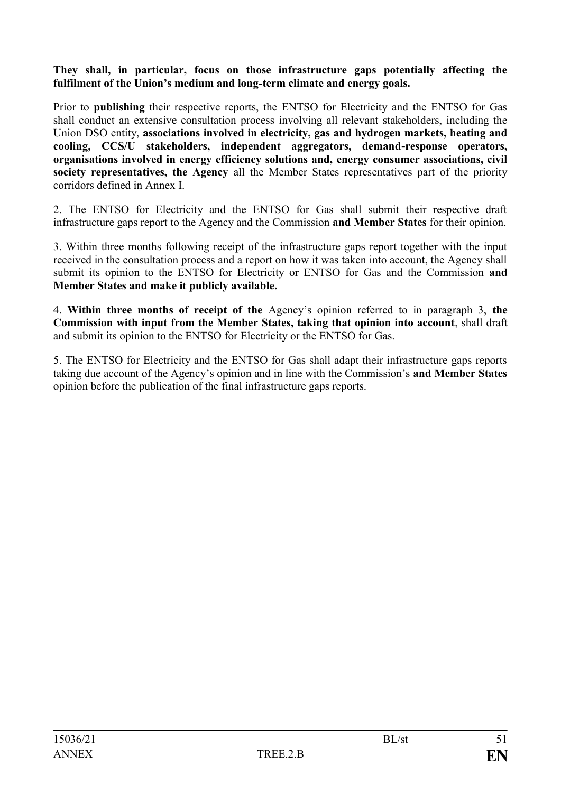### **They shall, in particular, focus on those infrastructure gaps potentially affecting the fulfilment of the Union's medium and long-term climate and energy goals.**

Prior to **publishing** their respective reports, the ENTSO for Electricity and the ENTSO for Gas shall conduct an extensive consultation process involving all relevant stakeholders, including the Union DSO entity, **associations involved in electricity, gas and hydrogen markets, heating and cooling, CCS/U stakeholders, independent aggregators, demand-response operators, organisations involved in energy efficiency solutions and, energy consumer associations, civil society representatives, the Agency** all the Member States representatives part of the priority corridors defined in Annex I.

2. The ENTSO for Electricity and the ENTSO for Gas shall submit their respective draft infrastructure gaps report to the Agency and the Commission **and Member States** for their opinion.

3. Within three months following receipt of the infrastructure gaps report together with the input received in the consultation process and a report on how it was taken into account, the Agency shall submit its opinion to the ENTSO for Electricity or ENTSO for Gas and the Commission **and Member States and make it publicly available.**

4. **Within three months of receipt of the** Agency's opinion referred to in paragraph 3, **the Commission with input from the Member States, taking that opinion into account**, shall draft and submit its opinion to the ENTSO for Electricity or the ENTSO for Gas.

5. The ENTSO for Electricity and the ENTSO for Gas shall adapt their infrastructure gaps reports taking due account of the Agency's opinion and in line with the Commission's **and Member States** opinion before the publication of the final infrastructure gaps reports.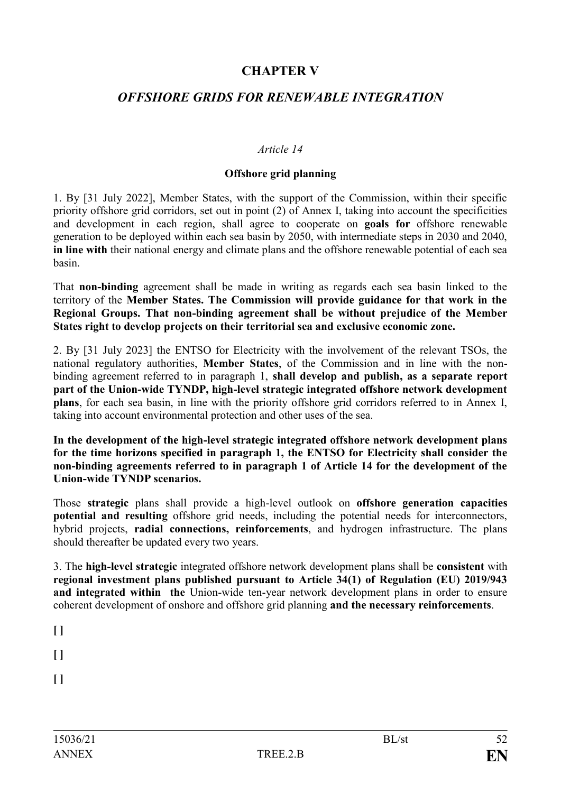# **CHAPTER V**

## *OFFSHORE GRIDS FOR RENEWABLE INTEGRATION*

### *Article 14*

### **Offshore grid planning**

1. By [31 July 2022], Member States, with the support of the Commission, within their specific priority offshore grid corridors, set out in point (2) of Annex I, taking into account the specificities and development in each region, shall agree to cooperate on **goals for** offshore renewable generation to be deployed within each sea basin by 2050, with intermediate steps in 2030 and 2040, **in line with** their national energy and climate plans and the offshore renewable potential of each sea basin.

That **non-binding** agreement shall be made in writing as regards each sea basin linked to the territory of the **Member States. The Commission will provide guidance for that work in the Regional Groups. That non-binding agreement shall be without prejudice of the Member States right to develop projects on their territorial sea and exclusive economic zone.** 

2. By [31 July 2023] the ENTSO for Electricity with the involvement of the relevant TSOs, the national regulatory authorities, **Member States**, of the Commission and in line with the nonbinding agreement referred to in paragraph 1, **shall develop and publish, as a separate report part of the Union-wide TYNDP, high-level strategic integrated offshore network development plans**, for each sea basin, in line with the priority offshore grid corridors referred to in Annex I, taking into account environmental protection and other uses of the sea.

**In the development of the high-level strategic integrated offshore network development plans for the time horizons specified in paragraph 1, the ENTSO for Electricity shall consider the non-binding agreements referred to in paragraph 1 of Article 14 for the development of the Union-wide TYNDP scenarios.** 

Those **strategic** plans shall provide a high-level outlook on **offshore generation capacities potential and resulting** offshore grid needs, including the potential needs for interconnectors, hybrid projects, **radial connections, reinforcements**, and hydrogen infrastructure. The plans should thereafter be updated every two years.

3. The **high-level strategic** integrated offshore network development plans shall be **consistent** with **regional investment plans published pursuant to Article 34(1) of Regulation (EU) 2019/943 and integrated within the** Union-wide ten-year network development plans in order to ensure coherent development of onshore and offshore grid planning **and the necessary reinforcements**.

**[ ]** 

**[ ]**

**[ ]**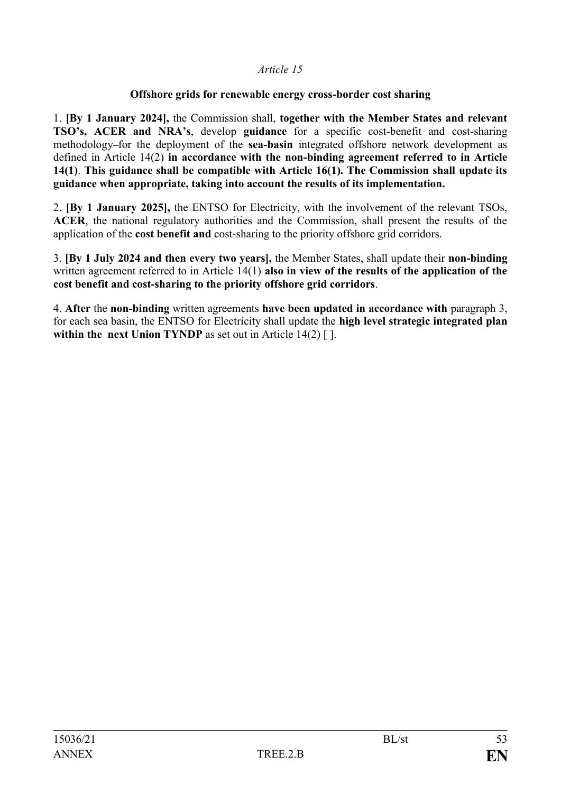### **Offshore grids for renewable energy cross-border cost sharing**

1. **[By 1 January 2024],** the Commission shall, **together with the Member States and relevant TSO's, ACER and NRA's**, develop **guidance** for a specific cost-benefit and cost-sharing methodology-for the deployment of the **sea-basin** integrated offshore network development as defined in Article 14(2) **in accordance with the non-binding agreement referred to in Article 14(1)**. **This guidance shall be compatible with Article 16(1). The Commission shall update its guidance when appropriate, taking into account the results of its implementation.**

2. **[By 1 January 2025],** the ENTSO for Electricity, with the involvement of the relevant TSOs, **ACER**, the national regulatory authorities and the Commission, shall present the results of the application of the **cost benefit and** cost-sharing to the priority offshore grid corridors.

3. **[By 1 July 2024 and then every two years],** the Member States, shall update their **non-binding** written agreement referred to in Article 14(1) **also in view of the results of the application of the cost benefit and cost-sharing to the priority offshore grid corridors**.

4. **After** the **non-binding** written agreements **have been updated in accordance with** paragraph 3, for each sea basin, the ENTSO for Electricity shall update the **high level strategic integrated plan within the next Union TYNDP** as set out in Article 14(2) [].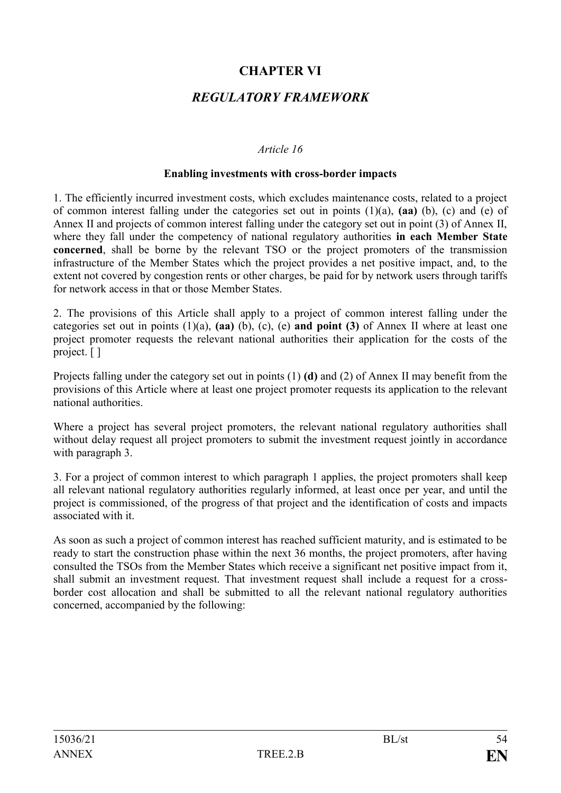# **CHAPTER VI**

## *REGULATORY FRAMEWORK*

### *Article 16*

#### **Enabling investments with cross-border impacts**

1. The efficiently incurred investment costs, which excludes maintenance costs, related to a project of common interest falling under the categories set out in points (1)(a), **(aa)** (b), (c) and (e) of Annex II and projects of common interest falling under the category set out in point (3) of Annex II, where they fall under the competency of national regulatory authorities **in each Member State concerned**, shall be borne by the relevant TSO or the project promoters of the transmission infrastructure of the Member States which the project provides a net positive impact, and, to the extent not covered by congestion rents or other charges, be paid for by network users through tariffs for network access in that or those Member States.

2. The provisions of this Article shall apply to a project of common interest falling under the categories set out in points (1)(a), **(aa)** (b), (c), (e) **and point (3)** of Annex II where at least one project promoter requests the relevant national authorities their application for the costs of the project. [ ]

Projects falling under the category set out in points (1) **(d)** and (2) of Annex II may benefit from the provisions of this Article where at least one project promoter requests its application to the relevant national authorities.

Where a project has several project promoters, the relevant national regulatory authorities shall without delay request all project promoters to submit the investment request jointly in accordance with paragraph 3.

3. For a project of common interest to which paragraph 1 applies, the project promoters shall keep all relevant national regulatory authorities regularly informed, at least once per year, and until the project is commissioned, of the progress of that project and the identification of costs and impacts associated with it.

As soon as such a project of common interest has reached sufficient maturity, and is estimated to be ready to start the construction phase within the next 36 months, the project promoters, after having consulted the TSOs from the Member States which receive a significant net positive impact from it, shall submit an investment request. That investment request shall include a request for a crossborder cost allocation and shall be submitted to all the relevant national regulatory authorities concerned, accompanied by the following: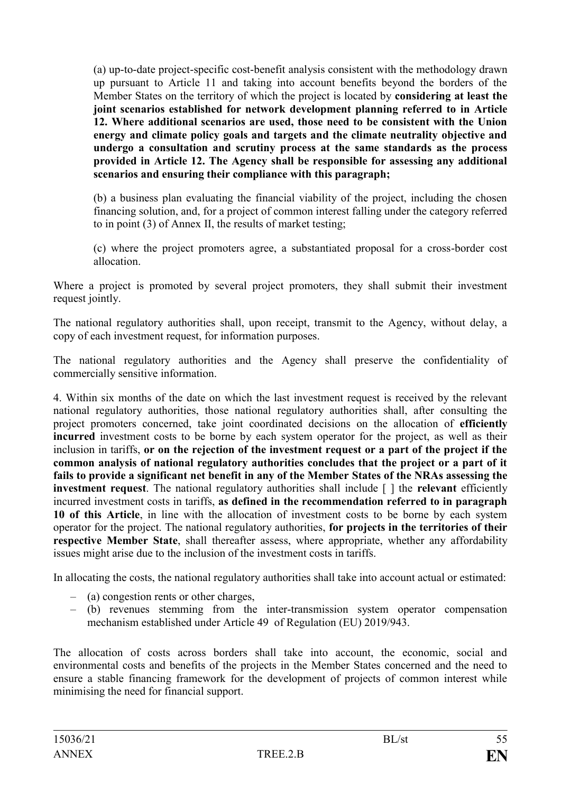(a) up-to-date project-specific cost-benefit analysis consistent with the methodology drawn up pursuant to Article 11 and taking into account benefits beyond the borders of the Member States on the territory of which the project is located by **considering at least the joint scenarios established for network development planning referred to in Article 12. Where additional scenarios are used, those need to be consistent with the Union energy and climate policy goals and targets and the climate neutrality objective and undergo a consultation and scrutiny process at the same standards as the process provided in Article 12. The Agency shall be responsible for assessing any additional scenarios and ensuring their compliance with this paragraph;**

(b) a business plan evaluating the financial viability of the project, including the chosen financing solution, and, for a project of common interest falling under the category referred to in point (3) of Annex II, the results of market testing;

(c) where the project promoters agree, a substantiated proposal for a cross-border cost allocation.

Where a project is promoted by several project promoters, they shall submit their investment request jointly.

The national regulatory authorities shall, upon receipt, transmit to the Agency, without delay, a copy of each investment request, for information purposes.

The national regulatory authorities and the Agency shall preserve the confidentiality of commercially sensitive information.

4. Within six months of the date on which the last investment request is received by the relevant national regulatory authorities, those national regulatory authorities shall, after consulting the project promoters concerned, take joint coordinated decisions on the allocation of **efficiently incurred** investment costs to be borne by each system operator for the project, as well as their inclusion in tariffs, **or on the rejection of the investment request or a part of the project if the common analysis of national regulatory authorities concludes that the project or a part of it fails to provide a significant net benefit in any of the Member States of the NRAs assessing the investment request**. The national regulatory authorities shall include [ ] the **relevant** efficiently incurred investment costs in tariffs, **as defined in the recommendation referred to in paragraph 10 of this Article**, in line with the allocation of investment costs to be borne by each system operator for the project. The national regulatory authorities, **for projects in the territories of their respective Member State**, shall thereafter assess, where appropriate, whether any affordability issues might arise due to the inclusion of the investment costs in tariffs.

In allocating the costs, the national regulatory authorities shall take into account actual or estimated:

- (a) congestion rents or other charges,
- (b) revenues stemming from the inter-transmission system operator compensation mechanism established under Article 49 of Regulation (EU) 2019/943.

The allocation of costs across borders shall take into account, the economic, social and environmental costs and benefits of the projects in the Member States concerned and the need to ensure a stable financing framework for the development of projects of common interest while minimising the need for financial support.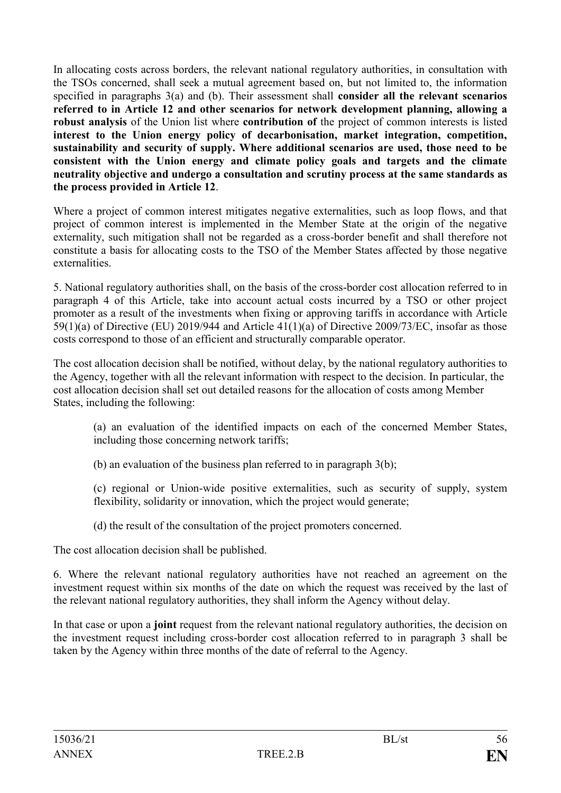In allocating costs across borders, the relevant national regulatory authorities, in consultation with the TSOs concerned, shall seek a mutual agreement based on, but not limited to, the information specified in paragraphs 3(a) and (b). Their assessment shall **consider all the relevant scenarios referred to in Article 12 and other scenarios for network development planning, allowing a robust analysis** of the Union list where **contribution of** the project of common interests is listed **interest to the Union energy policy of decarbonisation, market integration, competition, sustainability and security of supply. Where additional scenarios are used, those need to be consistent with the Union energy and climate policy goals and targets and the climate neutrality objective and undergo a consultation and scrutiny process at the same standards as the process provided in Article 12**.

Where a project of common interest mitigates negative externalities, such as loop flows, and that project of common interest is implemented in the Member State at the origin of the negative externality, such mitigation shall not be regarded as a cross-border benefit and shall therefore not constitute a basis for allocating costs to the TSO of the Member States affected by those negative externalities.

5. National regulatory authorities shall, on the basis of the cross-border cost allocation referred to in paragraph 4 of this Article, take into account actual costs incurred by a TSO or other project promoter as a result of the investments when fixing or approving tariffs in accordance with Article 59(1)(a) of Directive (EU) 2019/944 and Article 41(1)(a) of Directive 2009/73/EC, insofar as those costs correspond to those of an efficient and structurally comparable operator.

The cost allocation decision shall be notified, without delay, by the national regulatory authorities to the Agency, together with all the relevant information with respect to the decision. In particular, the cost allocation decision shall set out detailed reasons for the allocation of costs among Member States, including the following:

(a) an evaluation of the identified impacts on each of the concerned Member States, including those concerning network tariffs;

- (b) an evaluation of the business plan referred to in paragraph 3(b);
- (c) regional or Union-wide positive externalities, such as security of supply, system flexibility, solidarity or innovation, which the project would generate;
- (d) the result of the consultation of the project promoters concerned.

The cost allocation decision shall be published.

6. Where the relevant national regulatory authorities have not reached an agreement on the investment request within six months of the date on which the request was received by the last of the relevant national regulatory authorities, they shall inform the Agency without delay.

In that case or upon a **joint** request from the relevant national regulatory authorities, the decision on the investment request including cross-border cost allocation referred to in paragraph 3 shall be taken by the Agency within three months of the date of referral to the Agency.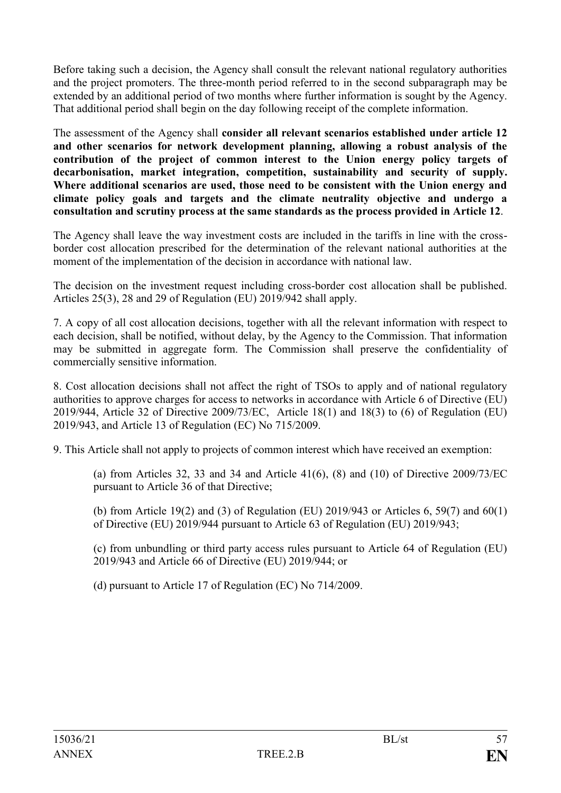Before taking such a decision, the Agency shall consult the relevant national regulatory authorities and the project promoters. The three-month period referred to in the second subparagraph may be extended by an additional period of two months where further information is sought by the Agency. That additional period shall begin on the day following receipt of the complete information.

The assessment of the Agency shall **consider all relevant scenarios established under article 12 and other scenarios for network development planning, allowing a robust analysis of the contribution of the project of common interest to the Union energy policy targets of decarbonisation, market integration, competition, sustainability and security of supply. Where additional scenarios are used, those need to be consistent with the Union energy and climate policy goals and targets and the climate neutrality objective and undergo a consultation and scrutiny process at the same standards as the process provided in Article 12**.

The Agency shall leave the way investment costs are included in the tariffs in line with the crossborder cost allocation prescribed for the determination of the relevant national authorities at the moment of the implementation of the decision in accordance with national law.

The decision on the investment request including cross-border cost allocation shall be published. Articles 25(3), 28 and 29 of Regulation (EU) 2019/942 shall apply.

7. A copy of all cost allocation decisions, together with all the relevant information with respect to each decision, shall be notified, without delay, by the Agency to the Commission. That information may be submitted in aggregate form. The Commission shall preserve the confidentiality of commercially sensitive information.

8. Cost allocation decisions shall not affect the right of TSOs to apply and of national regulatory authorities to approve charges for access to networks in accordance with Article 6 of Directive (EU) 2019/944, Article 32 of Directive 2009/73/EC, Article 18(1) and 18(3) to (6) of Regulation (EU) 2019/943, and Article 13 of Regulation (EC) No 715/2009.

9. This Article shall not apply to projects of common interest which have received an exemption:

(a) from Articles 32, 33 and 34 and Article  $41(6)$ ,  $(8)$  and  $(10)$  of Directive 2009/73/EC pursuant to Article 36 of that Directive;

(b) from Article 19(2) and (3) of Regulation (EU) 2019/943 or Articles 6, 59(7) and 60(1) of Directive (EU) 2019/944 pursuant to Article 63 of Regulation (EU) 2019/943;

(c) from unbundling or third party access rules pursuant to Article 64 of Regulation (EU) 2019/943 and Article 66 of Directive (EU) 2019/944; or

(d) pursuant to Article 17 of Regulation (EC) No 714/2009.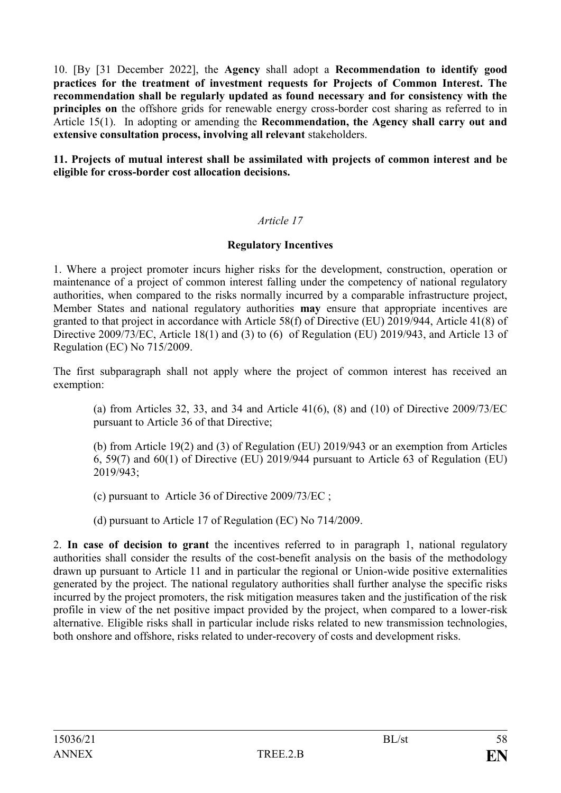10. [By [31 December 2022], the **Agency** shall adopt a **Recommendation to identify good practices for the treatment of investment requests for Projects of Common Interest. The recommendation shall be regularly updated as found necessary and for consistency with the principles on** the offshore grids for renewable energy cross-border cost sharing as referred to in Article 15(1). In adopting or amending the **Recommendation, the Agency shall carry out and extensive consultation process, involving all relevant** stakeholders.

**11. Projects of mutual interest shall be assimilated with projects of common interest and be eligible for cross-border cost allocation decisions.**

### *Article 17*

### **Regulatory Incentives**

1. Where a project promoter incurs higher risks for the development, construction, operation or maintenance of a project of common interest falling under the competency of national regulatory authorities, when compared to the risks normally incurred by a comparable infrastructure project, Member States and national regulatory authorities **may** ensure that appropriate incentives are granted to that project in accordance with Article 58(f) of Directive (EU) 2019/944, Article 41(8) of Directive 2009/73/EC, Article 18(1) and (3) to (6) of Regulation (EU) 2019/943, and Article 13 of Regulation (EC) No 715/2009.

The first subparagraph shall not apply where the project of common interest has received an exemption:

(a) from Articles 32, 33, and 34 and Article 41(6), (8) and (10) of Directive 2009/73/EC pursuant to Article 36 of that Directive;

(b) from Article 19(2) and (3) of Regulation (EU) 2019/943 or an exemption from Articles 6, 59(7) and 60(1) of Directive (EU) 2019/944 pursuant to Article 63 of Regulation (EU) 2019/943;

(c) pursuant to Article 36 of Directive 2009/73/EC ;

(d) pursuant to Article 17 of Regulation (EC) No 714/2009.

2. **In case of decision to grant** the incentives referred to in paragraph 1, national regulatory authorities shall consider the results of the cost-benefit analysis on the basis of the methodology drawn up pursuant to Article 11 and in particular the regional or Union-wide positive externalities generated by the project. The national regulatory authorities shall further analyse the specific risks incurred by the project promoters, the risk mitigation measures taken and the justification of the risk profile in view of the net positive impact provided by the project, when compared to a lower-risk alternative. Eligible risks shall in particular include risks related to new transmission technologies, both onshore and offshore, risks related to under-recovery of costs and development risks.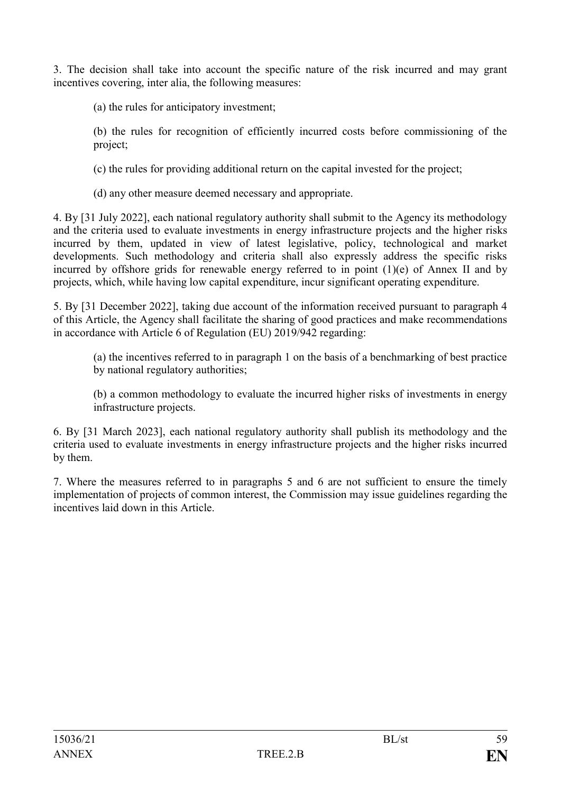3. The decision shall take into account the specific nature of the risk incurred and may grant incentives covering, inter alia, the following measures:

(a) the rules for anticipatory investment;

(b) the rules for recognition of efficiently incurred costs before commissioning of the project;

(c) the rules for providing additional return on the capital invested for the project;

(d) any other measure deemed necessary and appropriate.

4. By [31 July 2022], each national regulatory authority shall submit to the Agency its methodology and the criteria used to evaluate investments in energy infrastructure projects and the higher risks incurred by them, updated in view of latest legislative, policy, technological and market developments. Such methodology and criteria shall also expressly address the specific risks incurred by offshore grids for renewable energy referred to in point (1)(e) of Annex II and by projects, which, while having low capital expenditure, incur significant operating expenditure.

5. By [31 December 2022], taking due account of the information received pursuant to paragraph 4 of this Article, the Agency shall facilitate the sharing of good practices and make recommendations in accordance with Article 6 of Regulation (EU) 2019/942 regarding:

(a) the incentives referred to in paragraph 1 on the basis of a benchmarking of best practice by national regulatory authorities;

(b) a common methodology to evaluate the incurred higher risks of investments in energy infrastructure projects.

6. By [31 March 2023], each national regulatory authority shall publish its methodology and the criteria used to evaluate investments in energy infrastructure projects and the higher risks incurred by them.

7. Where the measures referred to in paragraphs 5 and 6 are not sufficient to ensure the timely implementation of projects of common interest, the Commission may issue guidelines regarding the incentives laid down in this Article.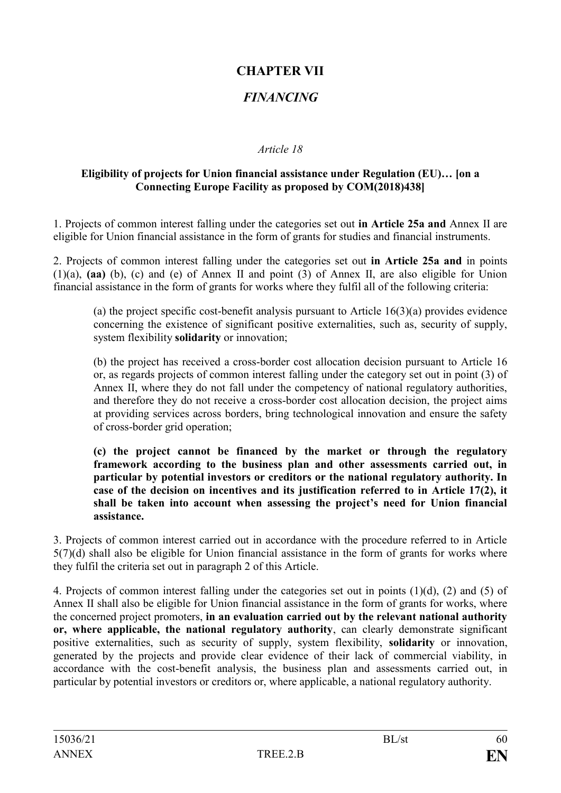# **CHAPTER VII**

# *FINANCING*

## *Article 18*

## **Eligibility of projects for Union financial assistance under Regulation (EU)… [on a Connecting Europe Facility as proposed by COM(2018)438]**

1. Projects of common interest falling under the categories set out **in Article 25a and** Annex II are eligible for Union financial assistance in the form of grants for studies and financial instruments.

2. Projects of common interest falling under the categories set out **in Article 25a and** in points (1)(a), **(aa)** (b), (c) and (e) of Annex II and point (3) of Annex II, are also eligible for Union financial assistance in the form of grants for works where they fulfil all of the following criteria:

(a) the project specific cost-benefit analysis pursuant to Article 16(3)(a) provides evidence concerning the existence of significant positive externalities, such as, security of supply, system flexibility **solidarity** or innovation;

(b) the project has received a cross-border cost allocation decision pursuant to Article 16 or, as regards projects of common interest falling under the category set out in point (3) of Annex II, where they do not fall under the competency of national regulatory authorities, and therefore they do not receive a cross-border cost allocation decision, the project aims at providing services across borders, bring technological innovation and ensure the safety of cross-border grid operation;

**(c) the project cannot be financed by the market or through the regulatory framework according to the business plan and other assessments carried out, in particular by potential investors or creditors or the national regulatory authority. In case of the decision on incentives and its justification referred to in Article 17(2), it shall be taken into account when assessing the project's need for Union financial assistance.**

3. Projects of common interest carried out in accordance with the procedure referred to in Article 5(7)(d) shall also be eligible for Union financial assistance in the form of grants for works where they fulfil the criteria set out in paragraph 2 of this Article.

4. Projects of common interest falling under the categories set out in points (1)(d), (2) and (5) of Annex II shall also be eligible for Union financial assistance in the form of grants for works, where the concerned project promoters, **in an evaluation carried out by the relevant national authority or, where applicable, the national regulatory authority**, can clearly demonstrate significant positive externalities, such as security of supply, system flexibility, **solidarity** or innovation, generated by the projects and provide clear evidence of their lack of commercial viability, in accordance with the cost-benefit analysis, the business plan and assessments carried out, in particular by potential investors or creditors or, where applicable, a national regulatory authority.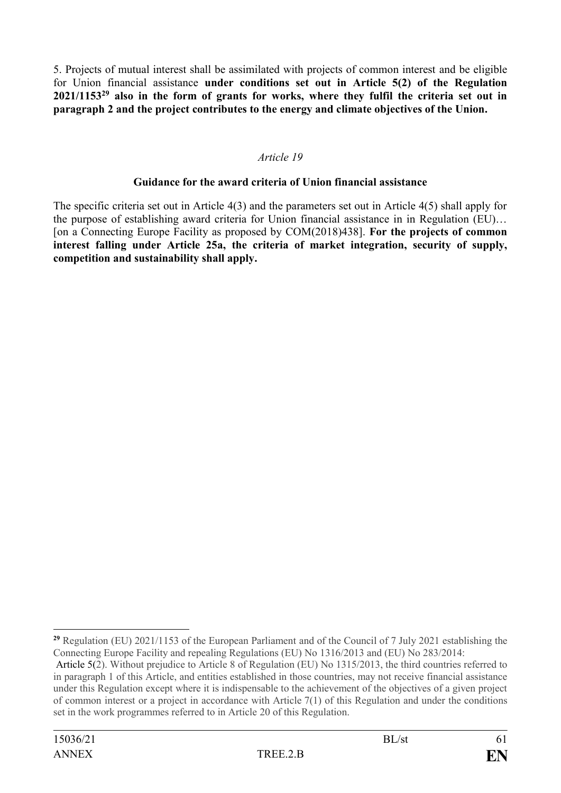5. Projects of mutual interest shall be assimilated with projects of common interest and be eligible for Union financial assistance **under conditions set out in Article 5(2) of the Regulation 2021/1153<sup>29</sup> also in the form of grants for works, where they fulfil the criteria set out in paragraph 2 and the project contributes to the energy and climate objectives of the Union.**

## *Article 19*

### **Guidance for the award criteria of Union financial assistance**

The specific criteria set out in Article 4(3) and the parameters set out in Article 4(5) shall apply for the purpose of establishing award criteria for Union financial assistance in in Regulation (EU)… [on a Connecting Europe Facility as proposed by COM(2018)438]. **For the projects of common interest falling under Article 25a, the criteria of market integration, security of supply, competition and sustainability shall apply.**

<sup>1</sup> **<sup>29</sup>** Regulation (EU) 2021/1153 of the European Parliament and of the Council of 7 July 2021 establishing the Connecting Europe Facility and repealing Regulations (EU) No 1316/2013 and (EU) No 283/2014:

Article 5(2). Without prejudice to Article 8 of Regulation (EU) No 1315/2013, the third countries referred to in paragraph 1 of this Article, and entities established in those countries, may not receive financial assistance under this Regulation except where it is indispensable to the achievement of the objectives of a given project of common interest or a project in accordance with Article 7(1) of this Regulation and under the conditions set in the work programmes referred to in Article 20 of this Regulation.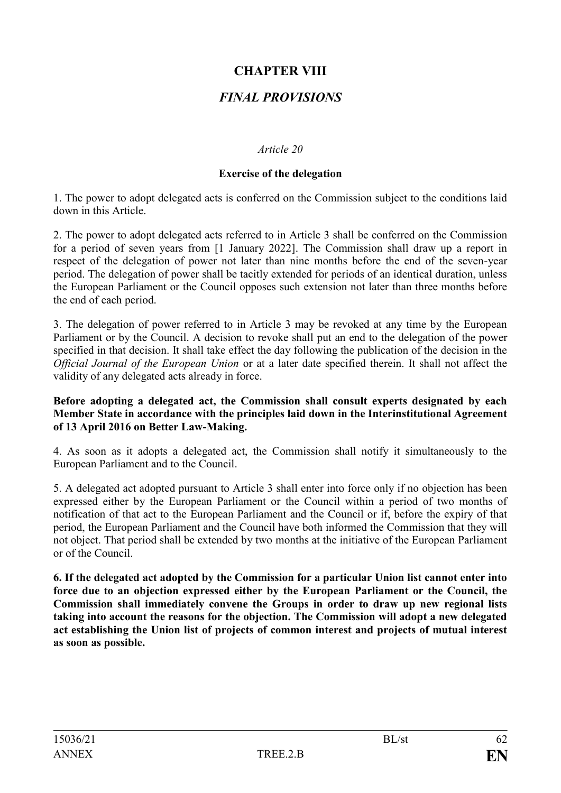# **CHAPTER VIII**

# *FINAL PROVISIONS*

## *Article 20*

### **Exercise of the delegation**

1. The power to adopt delegated acts is conferred on the Commission subject to the conditions laid down in this Article.

2. The power to adopt delegated acts referred to in Article 3 shall be conferred on the Commission for a period of seven years from [1 January 2022]. The Commission shall draw up a report in respect of the delegation of power not later than nine months before the end of the seven-year period. The delegation of power shall be tacitly extended for periods of an identical duration, unless the European Parliament or the Council opposes such extension not later than three months before the end of each period.

3. The delegation of power referred to in Article 3 may be revoked at any time by the European Parliament or by the Council. A decision to revoke shall put an end to the delegation of the power specified in that decision. It shall take effect the day following the publication of the decision in the *Official Journal of the European Union* or at a later date specified therein. It shall not affect the validity of any delegated acts already in force.

#### **Before adopting a delegated act, the Commission shall consult experts designated by each Member State in accordance with the principles laid down in the Interinstitutional Agreement of 13 April 2016 on Better Law-Making.**

4. As soon as it adopts a delegated act, the Commission shall notify it simultaneously to the European Parliament and to the Council.

5. A delegated act adopted pursuant to Article 3 shall enter into force only if no objection has been expressed either by the European Parliament or the Council within a period of two months of notification of that act to the European Parliament and the Council or if, before the expiry of that period, the European Parliament and the Council have both informed the Commission that they will not object. That period shall be extended by two months at the initiative of the European Parliament or of the Council.

**6. If the delegated act adopted by the Commission for a particular Union list cannot enter into force due to an objection expressed either by the European Parliament or the Council, the Commission shall immediately convene the Groups in order to draw up new regional lists taking into account the reasons for the objection. The Commission will adopt a new delegated act establishing the Union list of projects of common interest and projects of mutual interest as soon as possible.**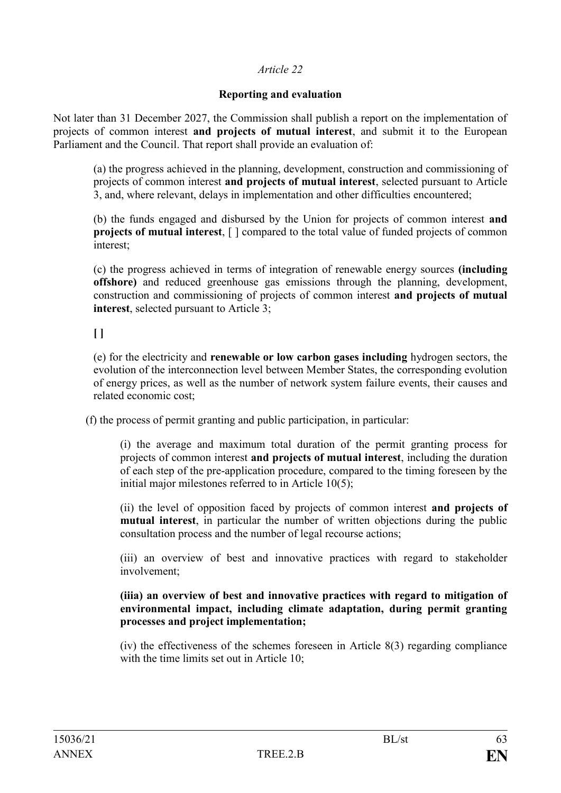## **Reporting and evaluation**

Not later than 31 December 2027, the Commission shall publish a report on the implementation of projects of common interest **and projects of mutual interest**, and submit it to the European Parliament and the Council. That report shall provide an evaluation of:

(a) the progress achieved in the planning, development, construction and commissioning of projects of common interest **and projects of mutual interest**, selected pursuant to Article 3, and, where relevant, delays in implementation and other difficulties encountered;

(b) the funds engaged and disbursed by the Union for projects of common interest **and projects of mutual interest**,  $\lceil \cdot \rceil$  compared to the total value of funded projects of common interest;

(c) the progress achieved in terms of integration of renewable energy sources **(including offshore)** and reduced greenhouse gas emissions through the planning, development, construction and commissioning of projects of common interest **and projects of mutual interest**, selected pursuant to Article 3;

**[ ]** 

(e) for the electricity and **renewable or low carbon gases including** hydrogen sectors, the evolution of the interconnection level between Member States, the corresponding evolution of energy prices, as well as the number of network system failure events, their causes and related economic cost;

(f) the process of permit granting and public participation, in particular:

(i) the average and maximum total duration of the permit granting process for projects of common interest **and projects of mutual interest**, including the duration of each step of the pre-application procedure, compared to the timing foreseen by the initial major milestones referred to in Article 10(5);

(ii) the level of opposition faced by projects of common interest **and projects of mutual interest**, in particular the number of written objections during the public consultation process and the number of legal recourse actions;

(iii) an overview of best and innovative practices with regard to stakeholder involvement;

#### **(iiia) an overview of best and innovative practices with regard to mitigation of environmental impact, including climate adaptation, during permit granting processes and project implementation;**

(iv) the effectiveness of the schemes foreseen in Article 8(3) regarding compliance with the time limits set out in Article 10: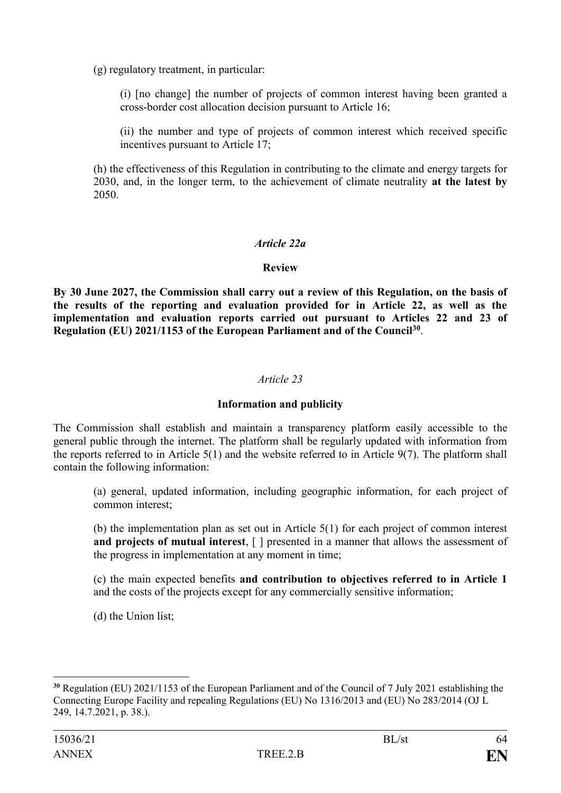(g) regulatory treatment, in particular:

(i) [no change] the number of projects of common interest having been granted a cross-border cost allocation decision pursuant to Article 16;

(ii) the number and type of projects of common interest which received specific incentives pursuant to Article 17;

(h) the effectiveness of this Regulation in contributing to the climate and energy targets for 2030, and, in the longer term, to the achievement of climate neutrality **at the latest by** 2050.

### *Article 22a*

### **Review**

**By 30 June 2027, the Commission shall carry out a review of this Regulation, on the basis of the results of the reporting and evaluation provided for in Article 22, as well as the implementation and evaluation reports carried out pursuant to Articles 22 and 23 of Regulation (EU) 2021/1153 of the European Parliament and of the Council<sup>30</sup>** .

### *Article 23*

### **Information and publicity**

The Commission shall establish and maintain a transparency platform easily accessible to the general public through the internet. The platform shall be regularly updated with information from the reports referred to in Article 5(1) and the website referred to in Article 9(7). The platform shall contain the following information:

(a) general, updated information, including geographic information, for each project of common interest;

(b) the implementation plan as set out in Article 5(1) for each project of common interest **and projects of mutual interest**. [ ] presented in a manner that allows the assessment of the progress in implementation at any moment in time;

(c) the main expected benefits **and contribution to objectives referred to in Article 1** and the costs of the projects except for any commercially sensitive information;

(d) the Union list;

1

**<sup>30</sup>** Regulation (EU) 2021/1153 of the European Parliament and of the Council of 7 July 2021 establishing the Connecting Europe Facility and repealing Regulations (EU) No 1316/2013 and (EU) No 283/2014 (OJ L 249, 14.7.2021, p. 38.).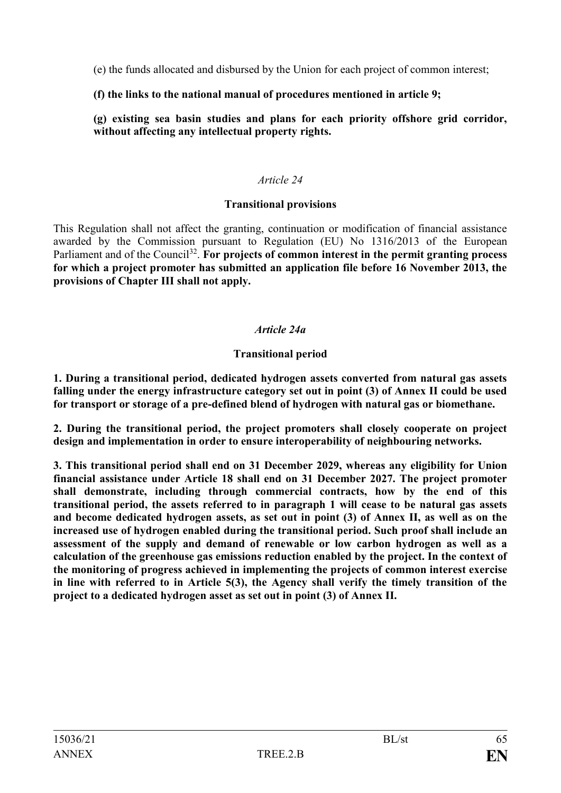(e) the funds allocated and disbursed by the Union for each project of common interest;

## **(f) the links to the national manual of procedures mentioned in article 9;**

**(g) existing sea basin studies and plans for each priority offshore grid corridor, without affecting any intellectual property rights.**

## *Article 24*

## **Transitional provisions**

This Regulation shall not affect the granting, continuation or modification of financial assistance awarded by the Commission pursuant to Regulation (EU) No 1316/2013 of the European Parliament and of the Council<sup>32</sup>. For projects of common interest in the permit granting process **for which a project promoter has submitted an application file before 16 November 2013, the provisions of Chapter III shall not apply.**

## *Article 24a*

## **Transitional period**

**1. During a transitional period, dedicated hydrogen assets converted from natural gas assets falling under the energy infrastructure category set out in point (3) of Annex II could be used for transport or storage of a pre-defined blend of hydrogen with natural gas or biomethane.** 

**2. During the transitional period, the project promoters shall closely cooperate on project design and implementation in order to ensure interoperability of neighbouring networks.**

**3. This transitional period shall end on 31 December 2029, whereas any eligibility for Union financial assistance under Article 18 shall end on 31 December 2027. The project promoter shall demonstrate, including through commercial contracts, how by the end of this transitional period, the assets referred to in paragraph 1 will cease to be natural gas assets and become dedicated hydrogen assets, as set out in point (3) of Annex II, as well as on the increased use of hydrogen enabled during the transitional period. Such proof shall include an assessment of the supply and demand of renewable or low carbon hydrogen as well as a calculation of the greenhouse gas emissions reduction enabled by the project. In the context of the monitoring of progress achieved in implementing the projects of common interest exercise in line with referred to in Article 5(3), the Agency shall verify the timely transition of the project to a dedicated hydrogen asset as set out in point (3) of Annex II.**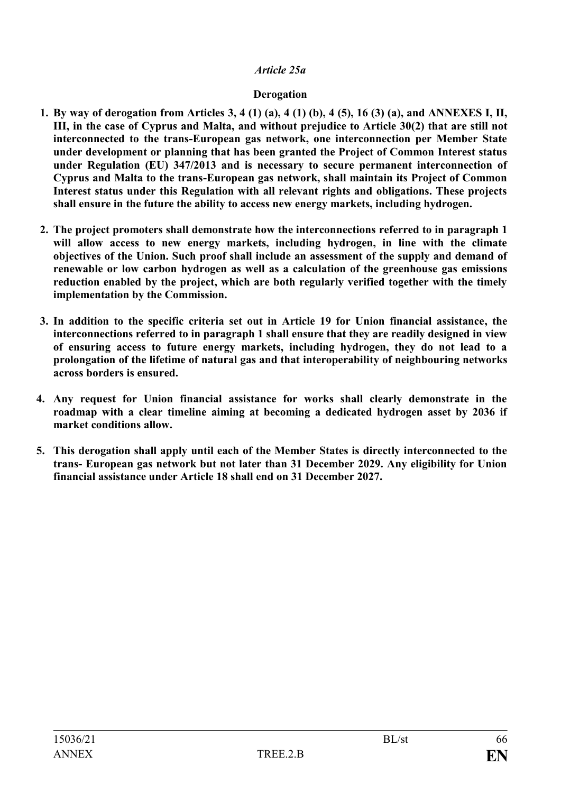### *Article 25a*

### **Derogation**

- **1. By way of derogation from Articles 3, 4 (1) (a), 4 (1) (b), 4 (5), 16 (3) (a), and ANNEXES I, II, III, in the case of Cyprus and Malta, and without prejudice to Article 30(2) that are still not interconnected to the trans-European gas network, one interconnection per Member State under development or planning that has been granted the Project of Common Interest status under Regulation (EU) 347/2013 and is necessary to secure permanent interconnection of Cyprus and Malta to the trans-European gas network, shall maintain its Project of Common Interest status under this Regulation with all relevant rights and obligations. These projects shall ensure in the future the ability to access new energy markets, including hydrogen.**
- **2. The project promoters shall demonstrate how the interconnections referred to in paragraph 1 will allow access to new energy markets, including hydrogen, in line with the climate objectives of the Union. Such proof shall include an assessment of the supply and demand of renewable or low carbon hydrogen as well as a calculation of the greenhouse gas emissions reduction enabled by the project, which are both regularly verified together with the timely implementation by the Commission.**
- **3. In addition to the specific criteria set out in Article 19 for Union financial assistance, the interconnections referred to in paragraph 1 shall ensure that they are readily designed in view of ensuring access to future energy markets, including hydrogen, they do not lead to a prolongation of the lifetime of natural gas and that interoperability of neighbouring networks across borders is ensured.**
- **4. Any request for Union financial assistance for works shall clearly demonstrate in the roadmap with a clear timeline aiming at becoming a dedicated hydrogen asset by 2036 if market conditions allow.**
- **5. This derogation shall apply until each of the Member States is directly interconnected to the trans- European gas network but not later than 31 December 2029. Any eligibility for Union financial assistance under Article 18 shall end on 31 December 2027.**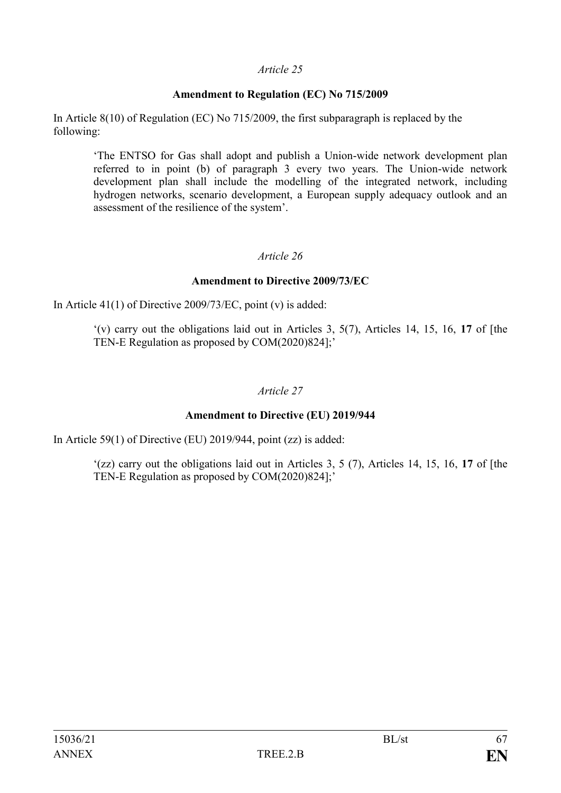### **Amendment to Regulation (EC) No 715/2009**

In Article 8(10) of Regulation (EC) No 715/2009, the first subparagraph is replaced by the following:

'The ENTSO for Gas shall adopt and publish a Union-wide network development plan referred to in point (b) of paragraph 3 every two years. The Union-wide network development plan shall include the modelling of the integrated network, including hydrogen networks, scenario development, a European supply adequacy outlook and an assessment of the resilience of the system'.

## *Article 26*

### **Amendment to Directive 2009/73/EC**

In Article  $41(1)$  of Directive 2009/73/EC, point (v) is added:

'(v) carry out the obligations laid out in Articles 3, 5(7), Articles 14, 15, 16, **17** of [the TEN-E Regulation as proposed by COM(2020)824];'

### *Article 27*

## **Amendment to Directive (EU) 2019/944**

In Article 59(1) of Directive (EU) 2019/944, point (zz) is added:

'(zz) carry out the obligations laid out in Articles 3, 5 (7), Articles 14, 15, 16, **17** of [the TEN-E Regulation as proposed by COM(2020)824];'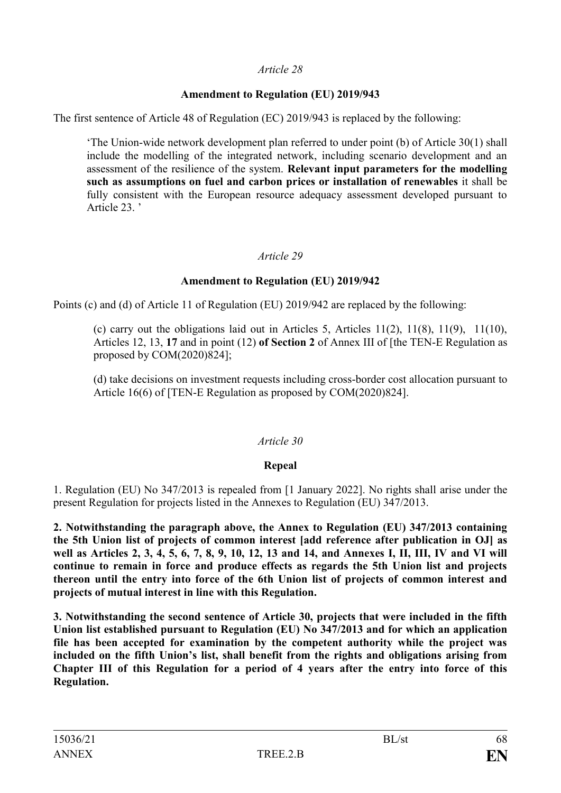## **Amendment to Regulation (EU) 2019/943**

The first sentence of Article 48 of Regulation (EC) 2019/943 is replaced by the following:

'The Union-wide network development plan referred to under point (b) of Article 30(1) shall include the modelling of the integrated network, including scenario development and an assessment of the resilience of the system. **Relevant input parameters for the modelling such as assumptions on fuel and carbon prices or installation of renewables** it shall be fully consistent with the European resource adequacy assessment developed pursuant to Article 23. '

## *Article 29*

## **Amendment to Regulation (EU) 2019/942**

Points (c) and (d) of Article 11 of Regulation (EU) 2019/942 are replaced by the following:

(c) carry out the obligations laid out in Articles 5, Articles  $11(2)$ ,  $11(8)$ ,  $11(9)$ ,  $11(10)$ , Articles 12, 13, **17** and in point (12) **of Section 2** of Annex III of [the TEN-E Regulation as proposed by COM(2020)824];

(d) take decisions on investment requests including cross-border cost allocation pursuant to Article 16(6) of [TEN-E Regulation as proposed by COM(2020)824].

## *Article 30*

## **Repeal**

1. Regulation (EU) No 347/2013 is repealed from [1 January 2022]. No rights shall arise under the present Regulation for projects listed in the Annexes to Regulation (EU) 347/2013.

**2. Notwithstanding the paragraph above, the Annex to Regulation (EU) 347/2013 containing the 5th Union list of projects of common interest [add reference after publication in OJ] as well as Articles 2, 3, 4, 5, 6, 7, 8, 9, 10, 12, 13 and 14, and Annexes I, II, III, IV and VI will continue to remain in force and produce effects as regards the 5th Union list and projects thereon until the entry into force of the 6th Union list of projects of common interest and projects of mutual interest in line with this Regulation.**

**3. Notwithstanding the second sentence of Article 30, projects that were included in the fifth Union list established pursuant to Regulation (EU) No 347/2013 and for which an application file has been accepted for examination by the competent authority while the project was included on the fifth Union's list, shall benefit from the rights and obligations arising from Chapter III of this Regulation for a period of 4 years after the entry into force of this Regulation.**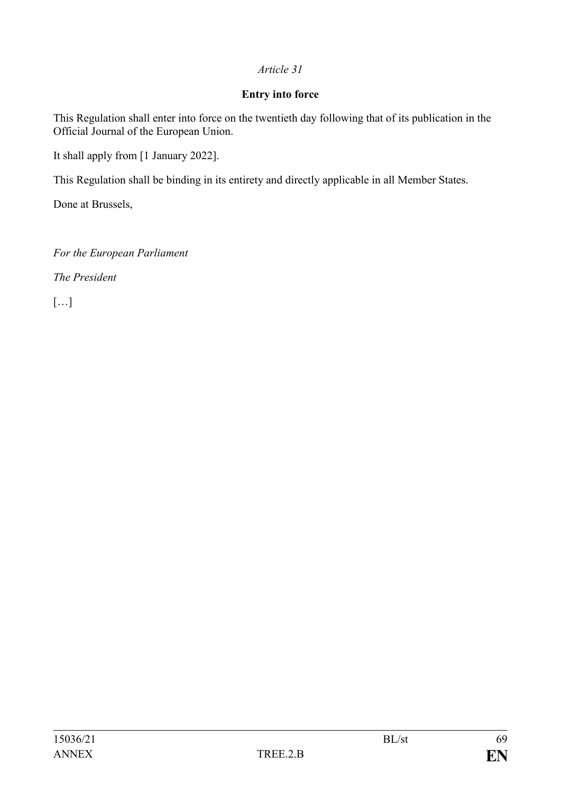## **Entry into force**

This Regulation shall enter into force on the twentieth day following that of its publication in the Official Journal of the European Union.

It shall apply from [1 January 2022].

This Regulation shall be binding in its entirety and directly applicable in all Member States.

Done at Brussels,

*For the European Parliament*

*The President*

[…]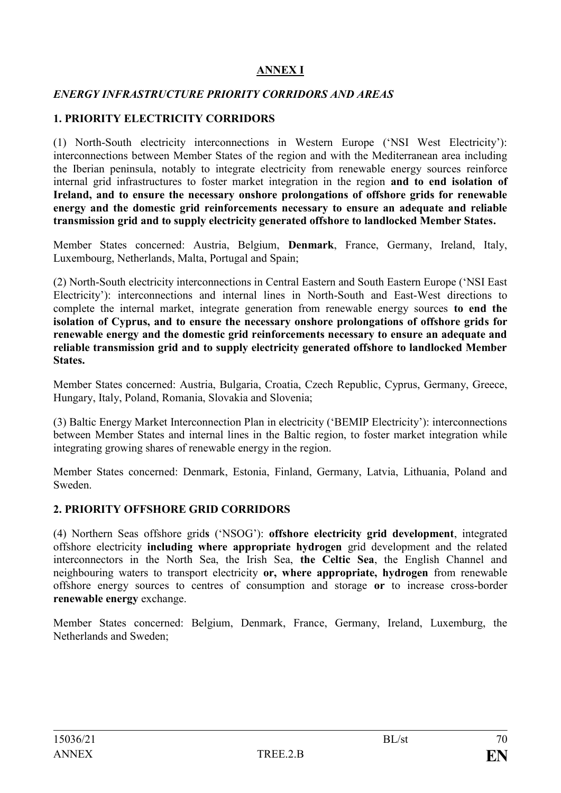## **ANNEX I**

## *ENERGY INFRASTRUCTURE PRIORITY CORRIDORS AND AREAS*

### **1. PRIORITY ELECTRICITY CORRIDORS**

(1) North-South electricity interconnections in Western Europe ('NSI West Electricity'): interconnections between Member States of the region and with the Mediterranean area including the Iberian peninsula, notably to integrate electricity from renewable energy sources reinforce internal grid infrastructures to foster market integration in the region **and to end isolation of Ireland, and to ensure the necessary onshore prolongations of offshore grids for renewable energy and the domestic grid reinforcements necessary to ensure an adequate and reliable transmission grid and to supply electricity generated offshore to landlocked Member States.**

Member States concerned: Austria, Belgium, **Denmark**, France, Germany, Ireland, Italy, Luxembourg, Netherlands, Malta, Portugal and Spain;

(2) North-South electricity interconnections in Central Eastern and South Eastern Europe ('NSI East Electricity'): interconnections and internal lines in North-South and East-West directions to complete the internal market, integrate generation from renewable energy sources **to end the isolation of Cyprus, and to ensure the necessary onshore prolongations of offshore grids for renewable energy and the domestic grid reinforcements necessary to ensure an adequate and reliable transmission grid and to supply electricity generated offshore to landlocked Member States.**

Member States concerned: Austria, Bulgaria, Croatia, Czech Republic, Cyprus, Germany, Greece, Hungary, Italy, Poland, Romania, Slovakia and Slovenia;

(3) Baltic Energy Market Interconnection Plan in electricity ('BEMIP Electricity'): interconnections between Member States and internal lines in the Baltic region, to foster market integration while integrating growing shares of renewable energy in the region.

Member States concerned: Denmark, Estonia, Finland, Germany, Latvia, Lithuania, Poland and Sweden.

### **2. PRIORITY OFFSHORE GRID CORRIDORS**

(4) Northern Seas offshore grid**s** ('NSOG'): **offshore electricity grid development**, integrated offshore electricity **including where appropriate hydrogen** grid development and the related interconnectors in the North Sea, the Irish Sea, **the Celtic Sea**, the English Channel and neighbouring waters to transport electricity **or, where appropriate, hydrogen** from renewable offshore energy sources to centres of consumption and storage **or** to increase cross-border **renewable energy** exchange.

Member States concerned: Belgium, Denmark, France, Germany, Ireland, Luxemburg, the Netherlands and Sweden;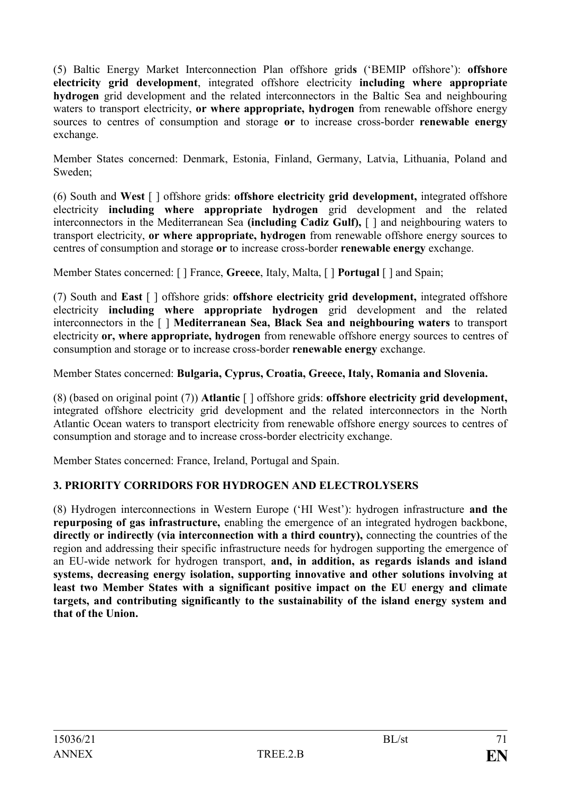(5) Baltic Energy Market Interconnection Plan offshore grid**s** ('BEMIP offshore'): **offshore electricity grid development**, integrated offshore electricity **including where appropriate hydrogen** grid development and the related interconnectors in the Baltic Sea and neighbouring waters to transport electricity, **or where appropriate, hydrogen** from renewable offshore energy sources to centres of consumption and storage **or** to increase cross-border **renewable energy** exchange.

Member States concerned: Denmark, Estonia, Finland, Germany, Latvia, Lithuania, Poland and Sweden;

(6) South and **West** [ ] offshore grid**s**: **offshore electricity grid development,** integrated offshore electricity **including where appropriate hydrogen** grid development and the related interconnectors in the Mediterranean Sea **(including Cadiz Gulf),** [ ] and neighbouring waters to transport electricity, **or where appropriate, hydrogen** from renewable offshore energy sources to centres of consumption and storage **or** to increase cross-border **renewable energy** exchange.

Member States concerned: [ ] France, **Greece**, Italy, Malta, [ ] **Portugal** [ ] and Spain;

(7) South and **East** [ ] offshore grid**s**: **offshore electricity grid development,** integrated offshore electricity **including where appropriate hydrogen** grid development and the related interconnectors in the [ ] **Mediterranean Sea, Black Sea and neighbouring waters** to transport electricity **or, where appropriate, hydrogen** from renewable offshore energy sources to centres of consumption and storage or to increase cross-border **renewable energy** exchange.

Member States concerned: **Bulgaria, Cyprus, Croatia, Greece, Italy, Romania and Slovenia.**

(8) (based on original point (7)) **Atlantic** [ ] offshore grid**s**: **offshore electricity grid development,** integrated offshore electricity grid development and the related interconnectors in the North Atlantic Ocean waters to transport electricity from renewable offshore energy sources to centres of consumption and storage and to increase cross-border electricity exchange.

Member States concerned: France, Ireland, Portugal and Spain.

## **3. PRIORITY CORRIDORS FOR HYDROGEN AND ELECTROLYSERS**

(8) Hydrogen interconnections in Western Europe ('HI West'): hydrogen infrastructure **and the repurposing of gas infrastructure,** enabling the emergence of an integrated hydrogen backbone, **directly or indirectly (via interconnection with a third country),** connecting the countries of the region and addressing their specific infrastructure needs for hydrogen supporting the emergence of an EU-wide network for hydrogen transport, **and, in addition, as regards islands and island systems, decreasing energy isolation, supporting innovative and other solutions involving at least two Member States with a significant positive impact on the EU energy and climate targets, and contributing significantly to the sustainability of the island energy system and that of the Union.**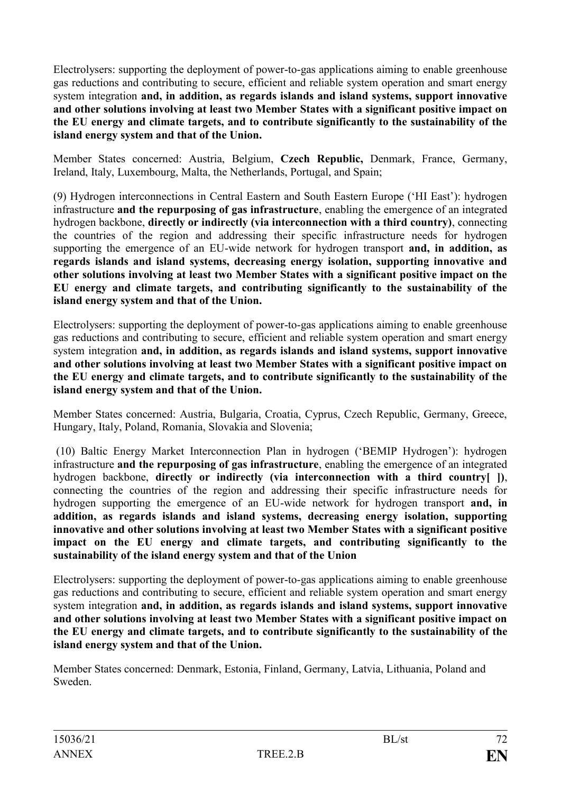Electrolysers: supporting the deployment of power-to-gas applications aiming to enable greenhouse gas reductions and contributing to secure, efficient and reliable system operation and smart energy system integration **and, in addition, as regards islands and island systems, support innovative and other solutions involving at least two Member States with a significant positive impact on the EU energy and climate targets, and to contribute significantly to the sustainability of the island energy system and that of the Union.**

Member States concerned: Austria, Belgium, **Czech Republic,** Denmark, France, Germany, Ireland, Italy, Luxembourg, Malta, the Netherlands, Portugal, and Spain;

(9) Hydrogen interconnections in Central Eastern and South Eastern Europe ('HI East'): hydrogen infrastructure **and the repurposing of gas infrastructure**, enabling the emergence of an integrated hydrogen backbone, **directly or indirectly (via interconnection with a third country)**, connecting the countries of the region and addressing their specific infrastructure needs for hydrogen supporting the emergence of an EU-wide network for hydrogen transport **and, in addition, as regards islands and island systems, decreasing energy isolation, supporting innovative and other solutions involving at least two Member States with a significant positive impact on the EU energy and climate targets, and contributing significantly to the sustainability of the island energy system and that of the Union.**

Electrolysers: supporting the deployment of power-to-gas applications aiming to enable greenhouse gas reductions and contributing to secure, efficient and reliable system operation and smart energy system integration **and, in addition, as regards islands and island systems, support innovative and other solutions involving at least two Member States with a significant positive impact on the EU energy and climate targets, and to contribute significantly to the sustainability of the island energy system and that of the Union.**

Member States concerned: Austria, Bulgaria, Croatia, Cyprus, Czech Republic, Germany, Greece, Hungary, Italy, Poland, Romania, Slovakia and Slovenia;

(10) Baltic Energy Market Interconnection Plan in hydrogen ('BEMIP Hydrogen'): hydrogen infrastructure **and the repurposing of gas infrastructure**, enabling the emergence of an integrated hydrogen backbone, **directly or indirectly (via interconnection with a third country[ ])**, connecting the countries of the region and addressing their specific infrastructure needs for hydrogen supporting the emergence of an EU-wide network for hydrogen transport **and, in addition, as regards islands and island systems, decreasing energy isolation, supporting innovative and other solutions involving at least two Member States with a significant positive impact on the EU energy and climate targets, and contributing significantly to the sustainability of the island energy system and that of the Union**

Electrolysers: supporting the deployment of power-to-gas applications aiming to enable greenhouse gas reductions and contributing to secure, efficient and reliable system operation and smart energy system integration **and, in addition, as regards islands and island systems, support innovative and other solutions involving at least two Member States with a significant positive impact on the EU energy and climate targets, and to contribute significantly to the sustainability of the island energy system and that of the Union.**

Member States concerned: Denmark, Estonia, Finland, Germany, Latvia, Lithuania, Poland and Sweden.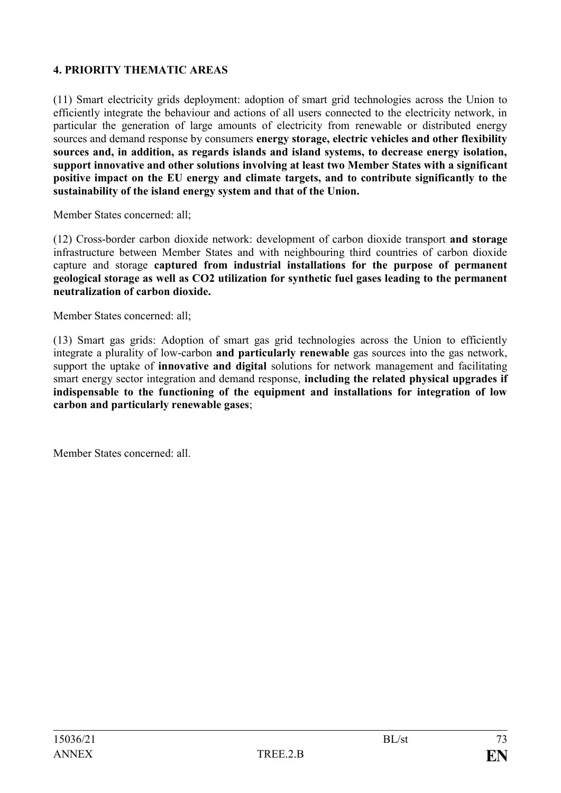## **4. PRIORITY THEMATIC AREAS**

(11) Smart electricity grids deployment: adoption of smart grid technologies across the Union to efficiently integrate the behaviour and actions of all users connected to the electricity network, in particular the generation of large amounts of electricity from renewable or distributed energy sources and demand response by consumers **energy storage, electric vehicles and other flexibility sources and, in addition, as regards islands and island systems, to decrease energy isolation, support innovative and other solutions involving at least two Member States with a significant positive impact on the EU energy and climate targets, and to contribute significantly to the sustainability of the island energy system and that of the Union.** 

Member States concerned: all;

(12) Cross-border carbon dioxide network: development of carbon dioxide transport **and storage** infrastructure between Member States and with neighbouring third countries of carbon dioxide capture and storage **captured from industrial installations for the purpose of permanent geological storage as well as CO2 utilization for synthetic fuel gases leading to the permanent neutralization of carbon dioxide.**

Member States concerned: all;

(13) Smart gas grids: Adoption of smart gas grid technologies across the Union to efficiently integrate a plurality of low-carbon **and particularly renewable** gas sources into the gas network, support the uptake of **innovative and digital** solutions for network management and facilitating smart energy sector integration and demand response, **including the related physical upgrades if indispensable to the functioning of the equipment and installations for integration of low carbon and particularly renewable gases**;

Member States concerned: all.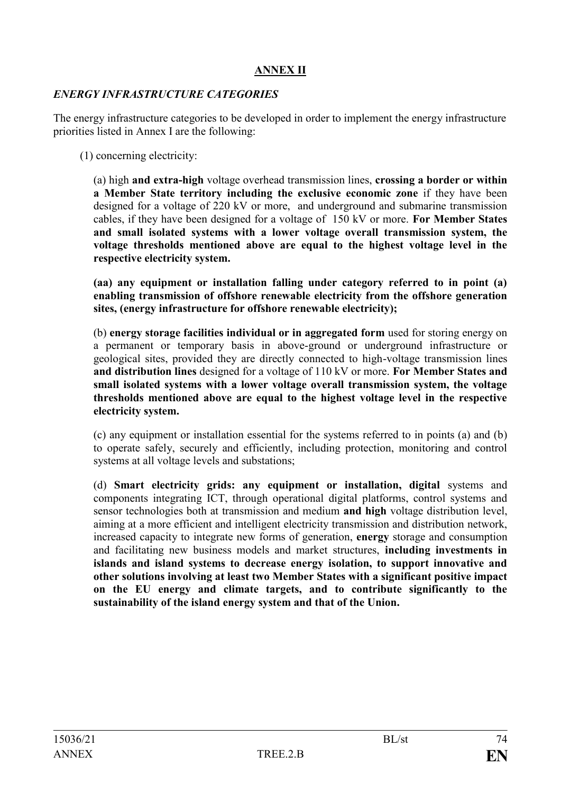## **ANNEX II**

### *ENERGY INFRASTRUCTURE CATEGORIES*

The energy infrastructure categories to be developed in order to implement the energy infrastructure priorities listed in Annex I are the following:

(1) concerning electricity:

(a) high **and extra-high** voltage overhead transmission lines, **crossing a border or within a Member State territory including the exclusive economic zone** if they have been designed for a voltage of 220 kV or more, and underground and submarine transmission cables, if they have been designed for a voltage of 150 kV or more. **For Member States and small isolated systems with a lower voltage overall transmission system, the voltage thresholds mentioned above are equal to the highest voltage level in the respective electricity system.**

**(aa) any equipment or installation falling under category referred to in point (a) enabling transmission of offshore renewable electricity from the offshore generation sites, (energy infrastructure for offshore renewable electricity);**

(b) **energy storage facilities individual or in aggregated form** used for storing energy on a permanent or temporary basis in above-ground or underground infrastructure or geological sites, provided they are directly connected to high-voltage transmission lines **and distribution lines** designed for a voltage of 110 kV or more. **For Member States and small isolated systems with a lower voltage overall transmission system, the voltage thresholds mentioned above are equal to the highest voltage level in the respective electricity system.**

(c) any equipment or installation essential for the systems referred to in points (a) and (b) to operate safely, securely and efficiently, including protection, monitoring and control systems at all voltage levels and substations;

(d) **Smart electricity grids: any equipment or installation, digital** systems and components integrating ICT, through operational digital platforms, control systems and sensor technologies both at transmission and medium **and high** voltage distribution level, aiming at a more efficient and intelligent electricity transmission and distribution network, increased capacity to integrate new forms of generation, **energy** storage and consumption and facilitating new business models and market structures, **including investments in islands and island systems to decrease energy isolation, to support innovative and other solutions involving at least two Member States with a significant positive impact on the EU energy and climate targets, and to contribute significantly to the sustainability of the island energy system and that of the Union.**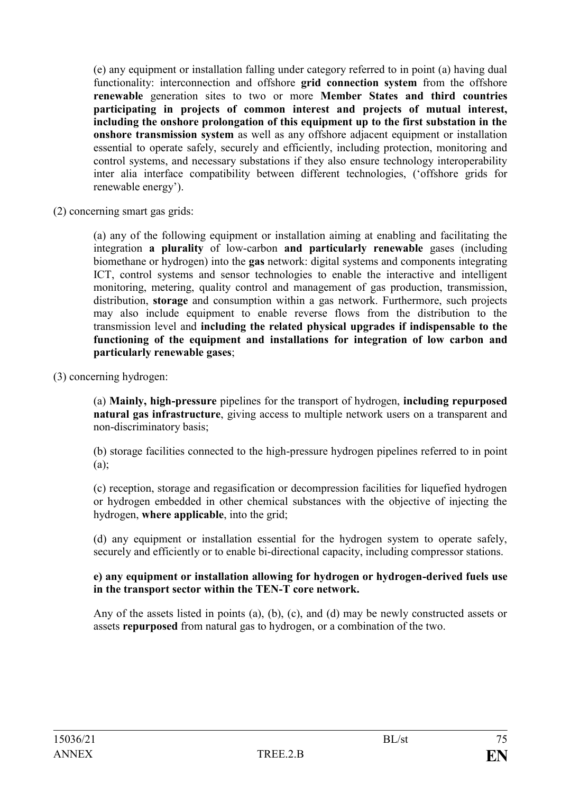(e) any equipment or installation falling under category referred to in point (a) having dual functionality: interconnection and offshore **grid connection system** from the offshore **renewable** generation sites to two or more **Member States and third countries participating in projects of common interest and projects of mutual interest, including the onshore prolongation of this equipment up to the first substation in the onshore transmission system** as well as any offshore adjacent equipment or installation essential to operate safely, securely and efficiently, including protection, monitoring and control systems, and necessary substations if they also ensure technology interoperability inter alia interface compatibility between different technologies, ('offshore grids for renewable energy').

(2) concerning smart gas grids:

(a) any of the following equipment or installation aiming at enabling and facilitating the integration **a plurality** of low-carbon **and particularly renewable** gases (including biomethane or hydrogen) into the **gas** network: digital systems and components integrating ICT, control systems and sensor technologies to enable the interactive and intelligent monitoring, metering, quality control and management of gas production, transmission, distribution, **storage** and consumption within a gas network. Furthermore, such projects may also include equipment to enable reverse flows from the distribution to the transmission level and **including the related physical upgrades if indispensable to the functioning of the equipment and installations for integration of low carbon and particularly renewable gases**;

(3) concerning hydrogen:

(a) **Mainly, high-pressure** pipelines for the transport of hydrogen, **including repurposed natural gas infrastructure**, giving access to multiple network users on a transparent and non-discriminatory basis;

(b) storage facilities connected to the high-pressure hydrogen pipelines referred to in point  $(a)$ ;

(c) reception, storage and regasification or decompression facilities for liquefied hydrogen or hydrogen embedded in other chemical substances with the objective of injecting the hydrogen, **where applicable**, into the grid;

(d) any equipment or installation essential for the hydrogen system to operate safely, securely and efficiently or to enable bi-directional capacity, including compressor stations.

### **e) any equipment or installation allowing for hydrogen or hydrogen-derived fuels use in the transport sector within the TEN-T core network.**

Any of the assets listed in points (a), (b), (c), and (d) may be newly constructed assets or assets **repurposed** from natural gas to hydrogen, or a combination of the two.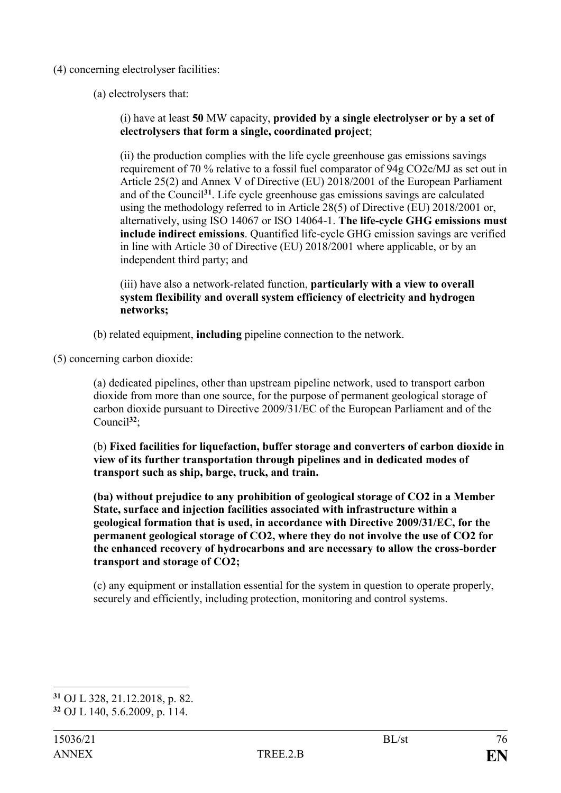- (4) concerning electrolyser facilities:
	- (a) electrolysers that:

(i) have at least **50** MW capacity, **provided by a single electrolyser or by a set of electrolysers that form a single, coordinated project**;

(ii) the production complies with the life cycle greenhouse gas emissions savings requirement of 70 % relative to a fossil fuel comparator of 94g CO2e/MJ as set out in Article 25(2) and Annex V of Directive (EU) 2018/2001 of the European Parliament and of the Council**<sup>31</sup>**. Life cycle greenhouse gas emissions savings are calculated using the methodology referred to in Article 28(5) of Directive (EU) 2018/2001 or, alternatively, using ISO 14067 or ISO 14064-1. **The life-cycle GHG emissions must include indirect emissions**. Quantified life-cycle GHG emission savings are verified in line with Article 30 of Directive (EU) 2018/2001 where applicable, or by an independent third party; and

(iii) have also a network-related function, **particularly with a view to overall system flexibility and overall system efficiency of electricity and hydrogen networks;**

(b) related equipment, **including** pipeline connection to the network.

(5) concerning carbon dioxide:

(a) dedicated pipelines, other than upstream pipeline network, used to transport carbon dioxide from more than one source, for the purpose of permanent geological storage of carbon dioxide pursuant to Directive 2009/31/EC of the European Parliament and of the Council**<sup>32</sup>**;

(b) **Fixed facilities for liquefaction, buffer storage and converters of carbon dioxide in view of its further transportation through pipelines and in dedicated modes of transport such as ship, barge, truck, and train.**

**(ba) without prejudice to any prohibition of geological storage of CO2 in a Member State, surface and injection facilities associated with infrastructure within a geological formation that is used, in accordance with Directive 2009/31/EC, for the permanent geological storage of CO2, where they do not involve the use of CO2 for the enhanced recovery of hydrocarbons and are necessary to allow the cross-border transport and storage of CO2;**

(c) any equipment or installation essential for the system in question to operate properly, securely and efficiently, including protection, monitoring and control systems.

<sup>1</sup> **<sup>31</sup>** OJ L 328, 21.12.2018, p. 82.

**<sup>32</sup>** OJ L 140, 5.6.2009, p. 114.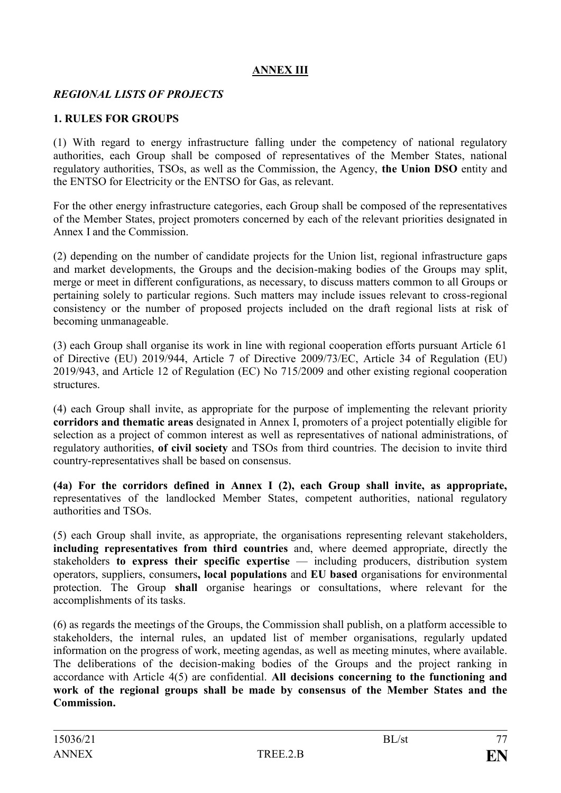# **ANNEX III**

### *REGIONAL LISTS OF PROJECTS*

### **1. RULES FOR GROUPS**

(1) With regard to energy infrastructure falling under the competency of national regulatory authorities, each Group shall be composed of representatives of the Member States, national regulatory authorities, TSOs, as well as the Commission, the Agency, **the Union DSO** entity and the ENTSO for Electricity or the ENTSO for Gas, as relevant.

For the other energy infrastructure categories, each Group shall be composed of the representatives of the Member States, project promoters concerned by each of the relevant priorities designated in Annex I and the Commission.

(2) depending on the number of candidate projects for the Union list, regional infrastructure gaps and market developments, the Groups and the decision-making bodies of the Groups may split, merge or meet in different configurations, as necessary, to discuss matters common to all Groups or pertaining solely to particular regions. Such matters may include issues relevant to cross-regional consistency or the number of proposed projects included on the draft regional lists at risk of becoming unmanageable.

(3) each Group shall organise its work in line with regional cooperation efforts pursuant Article 61 of Directive (EU) 2019/944, Article 7 of Directive 2009/73/EC, Article 34 of Regulation (EU) 2019/943, and Article 12 of Regulation (EC) No 715/2009 and other existing regional cooperation structures.

(4) each Group shall invite, as appropriate for the purpose of implementing the relevant priority **corridors and thematic areas** designated in Annex I, promoters of a project potentially eligible for selection as a project of common interest as well as representatives of national administrations, of regulatory authorities, **of civil society** and TSOs from third countries. The decision to invite third country-representatives shall be based on consensus.

**(4a) For the corridors defined in Annex I (2), each Group shall invite, as appropriate,** representatives of the landlocked Member States, competent authorities, national regulatory authorities and TSOs.

(5) each Group shall invite, as appropriate, the organisations representing relevant stakeholders, **including representatives from third countries** and, where deemed appropriate, directly the stakeholders **to express their specific expertise** — including producers, distribution system operators, suppliers, consumers**, local populations** and **EU based** organisations for environmental protection. The Group **shall** organise hearings or consultations, where relevant for the accomplishments of its tasks.

(6) as regards the meetings of the Groups, the Commission shall publish, on a platform accessible to stakeholders, the internal rules, an updated list of member organisations, regularly updated information on the progress of work, meeting agendas, as well as meeting minutes, where available. The deliberations of the decision-making bodies of the Groups and the project ranking in accordance with Article 4(5) are confidential. **All decisions concerning to the functioning and work of the regional groups shall be made by consensus of the Member States and the Commission.**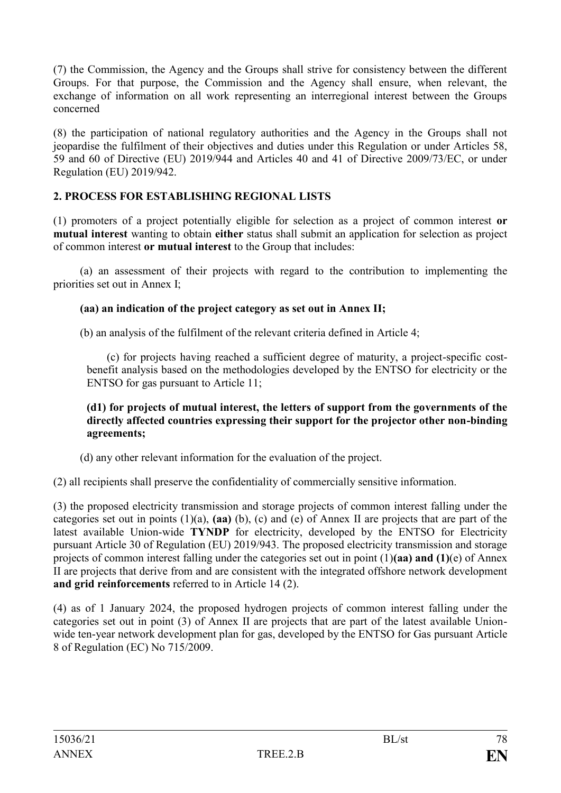(7) the Commission, the Agency and the Groups shall strive for consistency between the different Groups. For that purpose, the Commission and the Agency shall ensure, when relevant, the exchange of information on all work representing an interregional interest between the Groups concerned

(8) the participation of national regulatory authorities and the Agency in the Groups shall not jeopardise the fulfilment of their objectives and duties under this Regulation or under Articles 58, 59 and 60 of Directive (EU) 2019/944 and Articles 40 and 41 of Directive 2009/73/EC, or under Regulation (EU) 2019/942.

## **2. PROCESS FOR ESTABLISHING REGIONAL LISTS**

(1) promoters of a project potentially eligible for selection as a project of common interest **or mutual interest** wanting to obtain **either** status shall submit an application for selection as project of common interest **or mutual interest** to the Group that includes:

(a) an assessment of their projects with regard to the contribution to implementing the priorities set out in Annex I;

### **(aa) an indication of the project category as set out in Annex II;**

(b) an analysis of the fulfilment of the relevant criteria defined in Article 4;

(c) for projects having reached a sufficient degree of maturity, a project-specific costbenefit analysis based on the methodologies developed by the ENTSO for electricity or the ENTSO for gas pursuant to Article 11;

#### **(d1) for projects of mutual interest, the letters of support from the governments of the directly affected countries expressing their support for the projector other non-binding agreements;**

(d) any other relevant information for the evaluation of the project.

(2) all recipients shall preserve the confidentiality of commercially sensitive information.

(3) the proposed electricity transmission and storage projects of common interest falling under the categories set out in points (1)(a), **(aa)** (b), (c) and (e) of Annex II are projects that are part of the latest available Union-wide **TYNDP** for electricity, developed by the ENTSO for Electricity pursuant Article 30 of Regulation (EU) 2019/943. The proposed electricity transmission and storage projects of common interest falling under the categories set out in point (1)**(aa) and (1)**(e) of Annex II are projects that derive from and are consistent with the integrated offshore network development **and grid reinforcements** referred to in Article 14 (2).

(4) as of 1 January 2024, the proposed hydrogen projects of common interest falling under the categories set out in point (3) of Annex II are projects that are part of the latest available Unionwide ten-year network development plan for gas, developed by the ENTSO for Gas pursuant Article 8 of Regulation (EC) No 715/2009.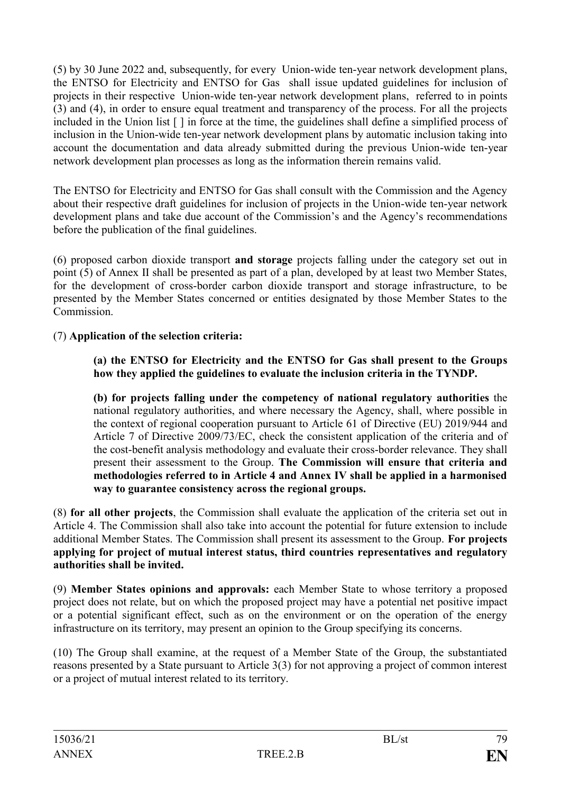(5) by 30 June 2022 and, subsequently, for every Union-wide ten-year network development plans, the ENTSO for Electricity and ENTSO for Gas shall issue updated guidelines for inclusion of projects in their respective Union-wide ten-year network development plans, referred to in points (3) and (4), in order to ensure equal treatment and transparency of the process. For all the projects included in the Union list [ ] in force at the time, the guidelines shall define a simplified process of inclusion in the Union-wide ten-year network development plans by automatic inclusion taking into account the documentation and data already submitted during the previous Union-wide ten-year network development plan processes as long as the information therein remains valid.

The ENTSO for Electricity and ENTSO for Gas shall consult with the Commission and the Agency about their respective draft guidelines for inclusion of projects in the Union-wide ten-year network development plans and take due account of the Commission's and the Agency's recommendations before the publication of the final guidelines.

(6) proposed carbon dioxide transport **and storage** projects falling under the category set out in point (5) of Annex II shall be presented as part of a plan, developed by at least two Member States, for the development of cross-border carbon dioxide transport and storage infrastructure, to be presented by the Member States concerned or entities designated by those Member States to the Commission.

# (7) **Application of the selection criteria:**

### **(a) the ENTSO for Electricity and the ENTSO for Gas shall present to the Groups how they applied the guidelines to evaluate the inclusion criteria in the TYNDP.**

**(b) for projects falling under the competency of national regulatory authorities** the national regulatory authorities, and where necessary the Agency, shall, where possible in the context of regional cooperation pursuant to Article 61 of Directive (EU) 2019/944 and Article 7 of Directive 2009/73/EC, check the consistent application of the criteria and of the cost-benefit analysis methodology and evaluate their cross-border relevance. They shall present their assessment to the Group. **The Commission will ensure that criteria and methodologies referred to in Article 4 and Annex IV shall be applied in a harmonised way to guarantee consistency across the regional groups.**

(8) **for all other projects**, the Commission shall evaluate the application of the criteria set out in Article 4. The Commission shall also take into account the potential for future extension to include additional Member States. The Commission shall present its assessment to the Group. **For projects applying for project of mutual interest status, third countries representatives and regulatory authorities shall be invited.**

(9) **Member States opinions and approvals:** each Member State to whose territory a proposed project does not relate, but on which the proposed project may have a potential net positive impact or a potential significant effect, such as on the environment or on the operation of the energy infrastructure on its territory, may present an opinion to the Group specifying its concerns.

(10) The Group shall examine, at the request of a Member State of the Group, the substantiated reasons presented by a State pursuant to Article 3(3) for not approving a project of common interest or a project of mutual interest related to its territory.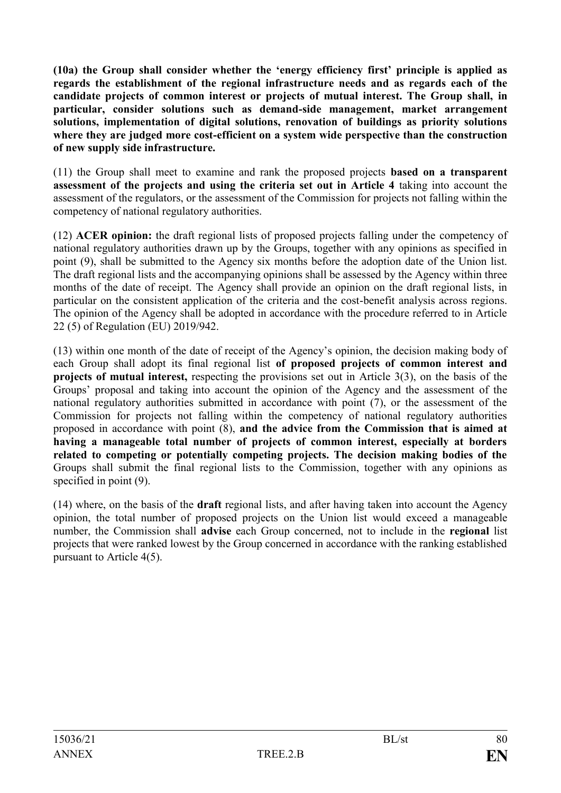**(10a) the Group shall consider whether the 'energy efficiency first' principle is applied as regards the establishment of the regional infrastructure needs and as regards each of the candidate projects of common interest or projects of mutual interest. The Group shall, in particular, consider solutions such as demand-side management, market arrangement solutions, implementation of digital solutions, renovation of buildings as priority solutions where they are judged more cost-efficient on a system wide perspective than the construction of new supply side infrastructure.**

(11) the Group shall meet to examine and rank the proposed projects **based on a transparent assessment of the projects and using the criteria set out in Article 4** taking into account the assessment of the regulators, or the assessment of the Commission for projects not falling within the competency of national regulatory authorities.

(12) **ACER opinion:** the draft regional lists of proposed projects falling under the competency of national regulatory authorities drawn up by the Groups, together with any opinions as specified in point (9), shall be submitted to the Agency six months before the adoption date of the Union list. The draft regional lists and the accompanying opinions shall be assessed by the Agency within three months of the date of receipt. The Agency shall provide an opinion on the draft regional lists, in particular on the consistent application of the criteria and the cost-benefit analysis across regions. The opinion of the Agency shall be adopted in accordance with the procedure referred to in Article 22 (5) of Regulation (EU) 2019/942.

(13) within one month of the date of receipt of the Agency's opinion, the decision making body of each Group shall adopt its final regional list **of proposed projects of common interest and projects of mutual interest,** respecting the provisions set out in Article 3(3), on the basis of the Groups' proposal and taking into account the opinion of the Agency and the assessment of the national regulatory authorities submitted in accordance with point (7), or the assessment of the Commission for projects not falling within the competency of national regulatory authorities proposed in accordance with point (8), **and the advice from the Commission that is aimed at having a manageable total number of projects of common interest, especially at borders related to competing or potentially competing projects. The decision making bodies of the** Groups shall submit the final regional lists to the Commission, together with any opinions as specified in point  $(9)$ .

(14) where, on the basis of the **draft** regional lists, and after having taken into account the Agency opinion, the total number of proposed projects on the Union list would exceed a manageable number, the Commission shall **advise** each Group concerned, not to include in the **regional** list projects that were ranked lowest by the Group concerned in accordance with the ranking established pursuant to Article 4(5).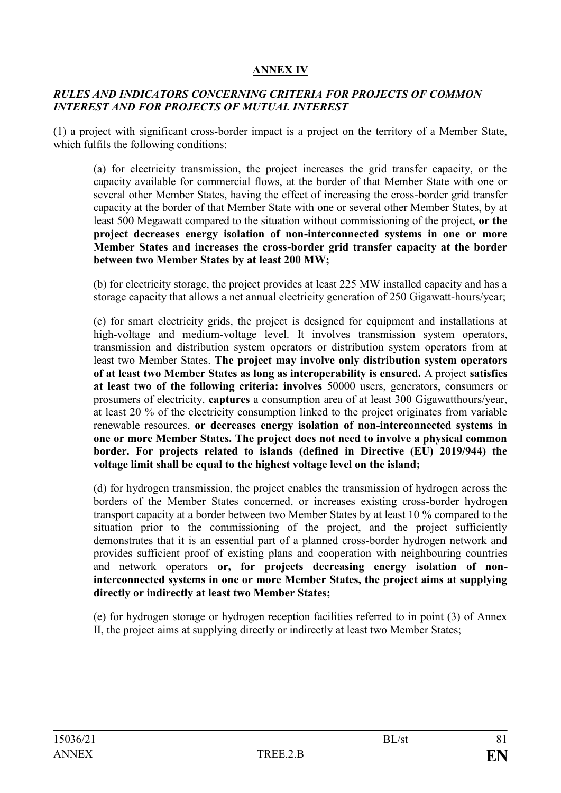# **ANNEX IV**

### *RULES AND INDICATORS CONCERNING CRITERIA FOR PROJECTS OF COMMON INTEREST AND FOR PROJECTS OF MUTUAL INTEREST*

(1) a project with significant cross-border impact is a project on the territory of a Member State, which fulfils the following conditions:

(a) for electricity transmission, the project increases the grid transfer capacity, or the capacity available for commercial flows, at the border of that Member State with one or several other Member States, having the effect of increasing the cross-border grid transfer capacity at the border of that Member State with one or several other Member States, by at least 500 Megawatt compared to the situation without commissioning of the project, **or the project decreases energy isolation of non-interconnected systems in one or more Member States and increases the cross-border grid transfer capacity at the border between two Member States by at least 200 MW;**

(b) for electricity storage, the project provides at least 225 MW installed capacity and has a storage capacity that allows a net annual electricity generation of 250 Gigawatt-hours/year;

(c) for smart electricity grids, the project is designed for equipment and installations at high-voltage and medium-voltage level. It involves transmission system operators, transmission and distribution system operators or distribution system operators from at least two Member States. **The project may involve only distribution system operators of at least two Member States as long as interoperability is ensured.** A project **satisfies at least two of the following criteria: involves** 50000 users, generators, consumers or prosumers of electricity, **captures** a consumption area of at least 300 Gigawatthours/year, at least 20 % of the electricity consumption linked to the project originates from variable renewable resources, **or decreases energy isolation of non-interconnected systems in one or more Member States. The project does not need to involve a physical common border. For projects related to islands (defined in Directive (EU) 2019/944) the voltage limit shall be equal to the highest voltage level on the island;**

(d) for hydrogen transmission, the project enables the transmission of hydrogen across the borders of the Member States concerned, or increases existing cross-border hydrogen transport capacity at a border between two Member States by at least 10 % compared to the situation prior to the commissioning of the project, and the project sufficiently demonstrates that it is an essential part of a planned cross-border hydrogen network and provides sufficient proof of existing plans and cooperation with neighbouring countries and network operators **or, for projects decreasing energy isolation of noninterconnected systems in one or more Member States, the project aims at supplying directly or indirectly at least two Member States;**

(e) for hydrogen storage or hydrogen reception facilities referred to in point (3) of Annex II, the project aims at supplying directly or indirectly at least two Member States;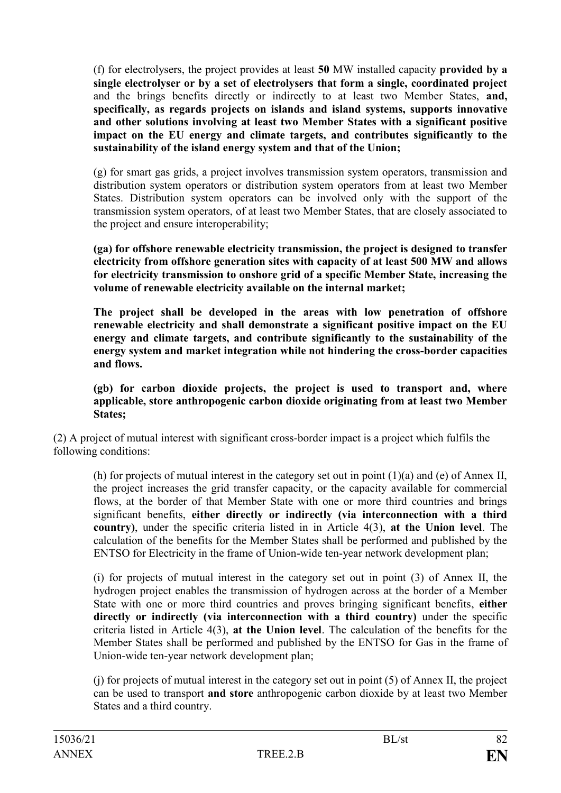(f) for electrolysers, the project provides at least **50** MW installed capacity **provided by a single electrolyser or by a set of electrolysers that form a single, coordinated project** and the brings benefits directly or indirectly to at least two Member States, **and, specifically, as regards projects on islands and island systems, supports innovative and other solutions involving at least two Member States with a significant positive impact on the EU energy and climate targets, and contributes significantly to the sustainability of the island energy system and that of the Union;**

(g) for smart gas grids, a project involves transmission system operators, transmission and distribution system operators or distribution system operators from at least two Member States. Distribution system operators can be involved only with the support of the transmission system operators, of at least two Member States, that are closely associated to the project and ensure interoperability;

**(ga) for offshore renewable electricity transmission, the project is designed to transfer electricity from offshore generation sites with capacity of at least 500 MW and allows for electricity transmission to onshore grid of a specific Member State, increasing the volume of renewable electricity available on the internal market;**

**The project shall be developed in the areas with low penetration of offshore renewable electricity and shall demonstrate a significant positive impact on the EU energy and climate targets, and contribute significantly to the sustainability of the energy system and market integration while not hindering the cross-border capacities and flows.** 

**(gb) for carbon dioxide projects, the project is used to transport and, where applicable, store anthropogenic carbon dioxide originating from at least two Member States;**

(2) A project of mutual interest with significant cross-border impact is a project which fulfils the following conditions:

(h) for projects of mutual interest in the category set out in point  $(1)(a)$  and  $(e)$  of Annex II, the project increases the grid transfer capacity, or the capacity available for commercial flows, at the border of that Member State with one or more third countries and brings significant benefits, **either directly or indirectly (via interconnection with a third country)**, under the specific criteria listed in in Article 4(3), **at the Union level**. The calculation of the benefits for the Member States shall be performed and published by the ENTSO for Electricity in the frame of Union-wide ten-year network development plan;

(i) for projects of mutual interest in the category set out in point (3) of Annex II, the hydrogen project enables the transmission of hydrogen across at the border of a Member State with one or more third countries and proves bringing significant benefits, **either directly or indirectly (via interconnection with a third country)** under the specific criteria listed in Article 4(3), **at the Union level**. The calculation of the benefits for the Member States shall be performed and published by the ENTSO for Gas in the frame of Union-wide ten-year network development plan;

(j) for projects of mutual interest in the category set out in point (5) of Annex II, the project can be used to transport **and store** anthropogenic carbon dioxide by at least two Member States and a third country.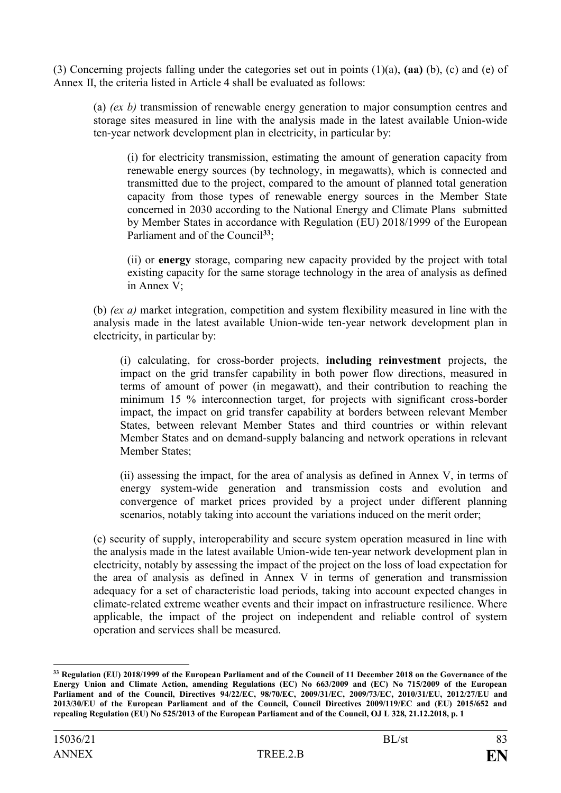(3) Concerning projects falling under the categories set out in points (1)(a), **(aa)** (b), (c) and (e) of Annex II, the criteria listed in Article 4 shall be evaluated as follows:

(a) *(ex b)* transmission of renewable energy generation to major consumption centres and storage sites measured in line with the analysis made in the latest available Union-wide ten-year network development plan in electricity, in particular by:

(i) for electricity transmission, estimating the amount of generation capacity from renewable energy sources (by technology, in megawatts), which is connected and transmitted due to the project, compared to the amount of planned total generation capacity from those types of renewable energy sources in the Member State concerned in 2030 according to the National Energy and Climate Plans submitted by Member States in accordance with Regulation (EU) 2018/1999 of the European Parliament and of the Council<sup>33</sup>;

(ii) or **energy** storage, comparing new capacity provided by the project with total existing capacity for the same storage technology in the area of analysis as defined in Annex V;

(b) *(ex a)* market integration, competition and system flexibility measured in line with the analysis made in the latest available Union-wide ten-year network development plan in electricity, in particular by:

(i) calculating, for cross-border projects, **including reinvestment** projects, the impact on the grid transfer capability in both power flow directions, measured in terms of amount of power (in megawatt), and their contribution to reaching the minimum 15 % interconnection target, for projects with significant cross-border impact, the impact on grid transfer capability at borders between relevant Member States, between relevant Member States and third countries or within relevant Member States and on demand-supply balancing and network operations in relevant Member States;

(ii) assessing the impact, for the area of analysis as defined in Annex V, in terms of energy system-wide generation and transmission costs and evolution and convergence of market prices provided by a project under different planning scenarios, notably taking into account the variations induced on the merit order;

(c) security of supply, interoperability and secure system operation measured in line with the analysis made in the latest available Union-wide ten-year network development plan in electricity, notably by assessing the impact of the project on the loss of load expectation for the area of analysis as defined in Annex V in terms of generation and transmission adequacy for a set of characteristic load periods, taking into account expected changes in climate-related extreme weather events and their impact on infrastructure resilience. Where applicable, the impact of the project on independent and reliable control of system operation and services shall be measured.

1

**<sup>33</sup> Regulation (EU) 2018/1999 of the European Parliament and of the Council of 11 December 2018 on the Governance of the Energy Union and Climate Action, amending Regulations (EC) No 663/2009 and (EC) No 715/2009 of the European Parliament and of the Council, Directives 94/22/EC, 98/70/EC, 2009/31/EC, 2009/73/EC, 2010/31/EU, 2012/27/EU and 2013/30/EU of the European Parliament and of the Council, Council Directives 2009/119/EC and (EU) 2015/652 and repealing Regulation (EU) No 525/2013 of the European Parliament and of the Council, OJ L 328, 21.12.2018, p. 1**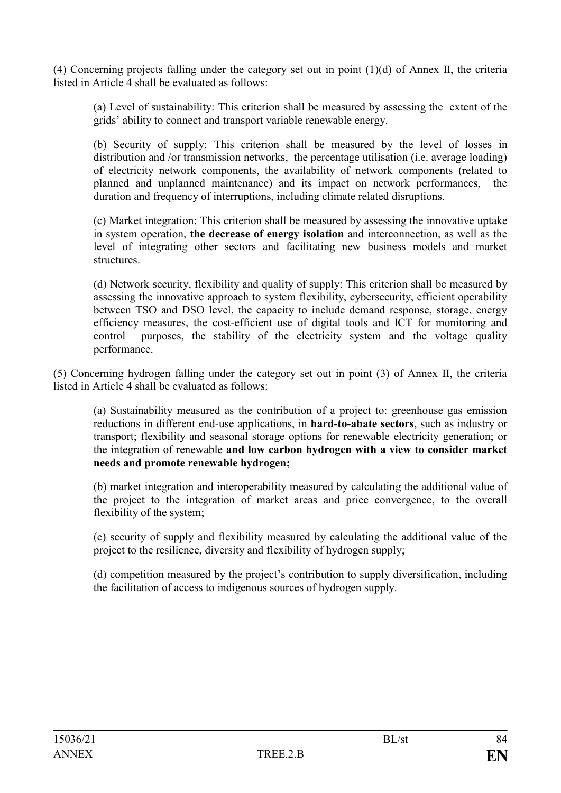(4) Concerning projects falling under the category set out in point (1)(d) of Annex II, the criteria listed in Article 4 shall be evaluated as follows:

(a) Level of sustainability: This criterion shall be measured by assessing the extent of the grids' ability to connect and transport variable renewable energy.

(b) Security of supply: This criterion shall be measured by the level of losses in distribution and /or transmission networks, the percentage utilisation (i.e. average loading) of electricity network components, the availability of network components (related to planned and unplanned maintenance) and its impact on network performances, the duration and frequency of interruptions, including climate related disruptions.

(c) Market integration: This criterion shall be measured by assessing the innovative uptake in system operation, **the decrease of energy isolation** and interconnection, as well as the level of integrating other sectors and facilitating new business models and market structures.

(d) Network security, flexibility and quality of supply: This criterion shall be measured by assessing the innovative approach to system flexibility, cybersecurity, efficient operability between TSO and DSO level, the capacity to include demand response, storage, energy efficiency measures, the cost-efficient use of digital tools and ICT for monitoring and control purposes, the stability of the electricity system and the voltage quality performance.

(5) Concerning hydrogen falling under the category set out in point (3) of Annex II, the criteria listed in Article 4 shall be evaluated as follows:

(a) Sustainability measured as the contribution of a project to: greenhouse gas emission reductions in different end-use applications, in **hard-to-abate sectors**, such as industry or transport; flexibility and seasonal storage options for renewable electricity generation; or the integration of renewable **and low carbon hydrogen with a view to consider market needs and promote renewable hydrogen;**

(b) market integration and interoperability measured by calculating the additional value of the project to the integration of market areas and price convergence, to the overall flexibility of the system:

(c) security of supply and flexibility measured by calculating the additional value of the project to the resilience, diversity and flexibility of hydrogen supply;

(d) competition measured by the project's contribution to supply diversification, including the facilitation of access to indigenous sources of hydrogen supply.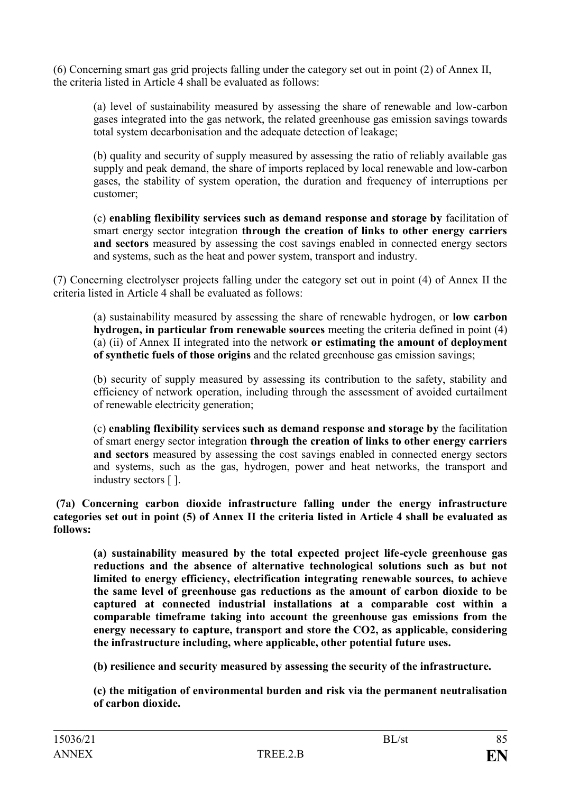(6) Concerning smart gas grid projects falling under the category set out in point (2) of Annex II, the criteria listed in Article 4 shall be evaluated as follows:

(a) level of sustainability measured by assessing the share of renewable and low-carbon gases integrated into the gas network, the related greenhouse gas emission savings towards total system decarbonisation and the adequate detection of leakage;

(b) quality and security of supply measured by assessing the ratio of reliably available gas supply and peak demand, the share of imports replaced by local renewable and low-carbon gases, the stability of system operation, the duration and frequency of interruptions per customer;

(c) **enabling flexibility services such as demand response and storage by** facilitation of smart energy sector integration **through the creation of links to other energy carriers and sectors** measured by assessing the cost savings enabled in connected energy sectors and systems, such as the heat and power system, transport and industry.

(7) Concerning electrolyser projects falling under the category set out in point (4) of Annex II the criteria listed in Article 4 shall be evaluated as follows:

(a) sustainability measured by assessing the share of renewable hydrogen, or **low carbon hydrogen, in particular from renewable sources** meeting the criteria defined in point (4) (a) (ii) of Annex II integrated into the network **or estimating the amount of deployment of synthetic fuels of those origins** and the related greenhouse gas emission savings;

(b) security of supply measured by assessing its contribution to the safety, stability and efficiency of network operation, including through the assessment of avoided curtailment of renewable electricity generation;

(c) **enabling flexibility services such as demand response and storage by** the facilitation of smart energy sector integration **through the creation of links to other energy carriers and sectors** measured by assessing the cost savings enabled in connected energy sectors and systems, such as the gas, hydrogen, power and heat networks, the transport and industry sectors [ ].

**(7a) Concerning carbon dioxide infrastructure falling under the energy infrastructure categories set out in point (5) of Annex II the criteria listed in Article 4 shall be evaluated as follows:**

**(a) sustainability measured by the total expected project life-cycle greenhouse gas reductions and the absence of alternative technological solutions such as but not limited to energy efficiency, electrification integrating renewable sources, to achieve the same level of greenhouse gas reductions as the amount of carbon dioxide to be captured at connected industrial installations at a comparable cost within a comparable timeframe taking into account the greenhouse gas emissions from the energy necessary to capture, transport and store the CO2, as applicable, considering the infrastructure including, where applicable, other potential future uses.** 

**(b) resilience and security measured by assessing the security of the infrastructure.**

**(c) the mitigation of environmental burden and risk via the permanent neutralisation of carbon dioxide.**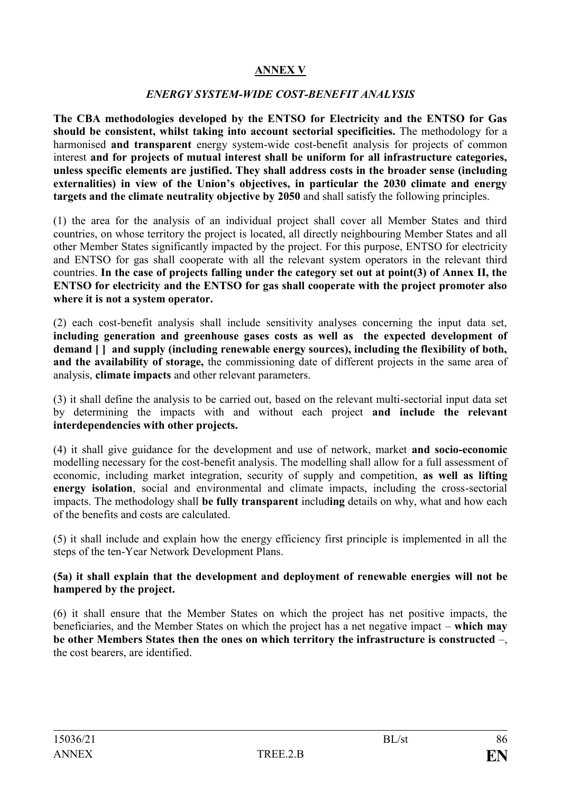## **ANNEX V**

#### *ENERGY SYSTEM-WIDE COST-BENEFIT ANALYSIS*

**The CBA methodologies developed by the ENTSO for Electricity and the ENTSO for Gas should be consistent, whilst taking into account sectorial specificities.** The methodology for a harmonised **and transparent** energy system-wide cost-benefit analysis for projects of common interest **and for projects of mutual interest shall be uniform for all infrastructure categories, unless specific elements are justified. They shall address costs in the broader sense (including externalities) in view of the Union's objectives, in particular the 2030 climate and energy targets and the climate neutrality objective by 2050** and shall satisfy the following principles.

(1) the area for the analysis of an individual project shall cover all Member States and third countries, on whose territory the project is located, all directly neighbouring Member States and all other Member States significantly impacted by the project. For this purpose, ENTSO for electricity and ENTSO for gas shall cooperate with all the relevant system operators in the relevant third countries. **In the case of projects falling under the category set out at point(3) of Annex II, the ENTSO for electricity and the ENTSO for gas shall cooperate with the project promoter also where it is not a system operator.**

(2) each cost-benefit analysis shall include sensitivity analyses concerning the input data set, **including generation and greenhouse gases costs as well as the expected development of demand [ ] and supply (including renewable energy sources), including the flexibility of both, and the availability of storage,** the commissioning date of different projects in the same area of analysis, **climate impacts** and other relevant parameters.

(3) it shall define the analysis to be carried out, based on the relevant multi-sectorial input data set by determining the impacts with and without each project **and include the relevant interdependencies with other projects.**

(4) it shall give guidance for the development and use of network, market **and socio-economic** modelling necessary for the cost-benefit analysis. The modelling shall allow for a full assessment of economic, including market integration, security of supply and competition, **as well as lifting energy isolation**, social and environmental and climate impacts, including the cross-sectorial impacts. The methodology shall **be fully transparent** includ**ing** details on why, what and how each of the benefits and costs are calculated.

(5) it shall include and explain how the energy efficiency first principle is implemented in all the steps of the ten-Year Network Development Plans.

#### **(5a) it shall explain that the development and deployment of renewable energies will not be hampered by the project.**

(6) it shall ensure that the Member States on which the project has net positive impacts, the beneficiaries, and the Member States on which the project has a net negative impact – **which may be other Members States then the ones on which territory the infrastructure is constructed** –, the cost bearers, are identified.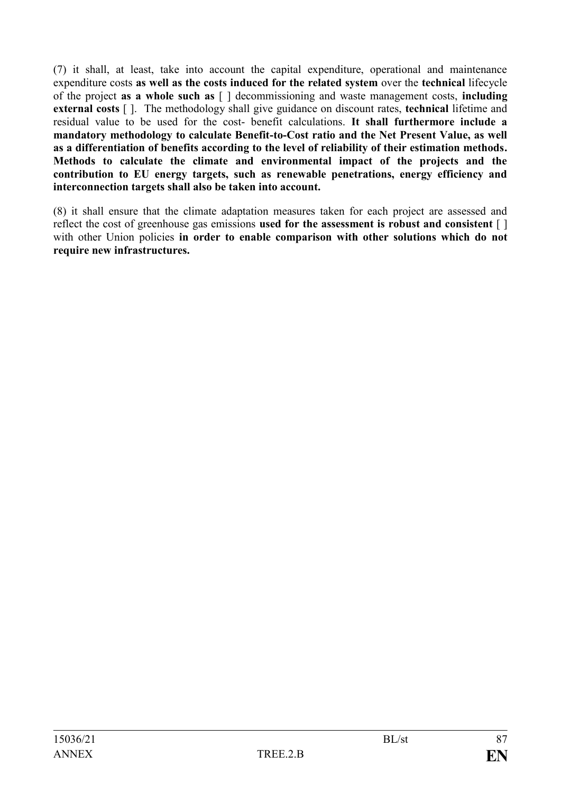(7) it shall, at least, take into account the capital expenditure, operational and maintenance expenditure costs **as well as the costs induced for the related system** over the **technical** lifecycle of the project **as a whole such as** [ ] decommissioning and waste management costs, **including external costs** [ ]. The methodology shall give guidance on discount rates, **technical** lifetime and residual value to be used for the cost- benefit calculations. **It shall furthermore include a mandatory methodology to calculate Benefit-to-Cost ratio and the Net Present Value, as well as a differentiation of benefits according to the level of reliability of their estimation methods. Methods to calculate the climate and environmental impact of the projects and the contribution to EU energy targets, such as renewable penetrations, energy efficiency and interconnection targets shall also be taken into account.**

(8) it shall ensure that the climate adaptation measures taken for each project are assessed and reflect the cost of greenhouse gas emissions **used for the assessment is robust and consistent** [ ] with other Union policies in order to enable comparison with other solutions which do not **require new infrastructures.**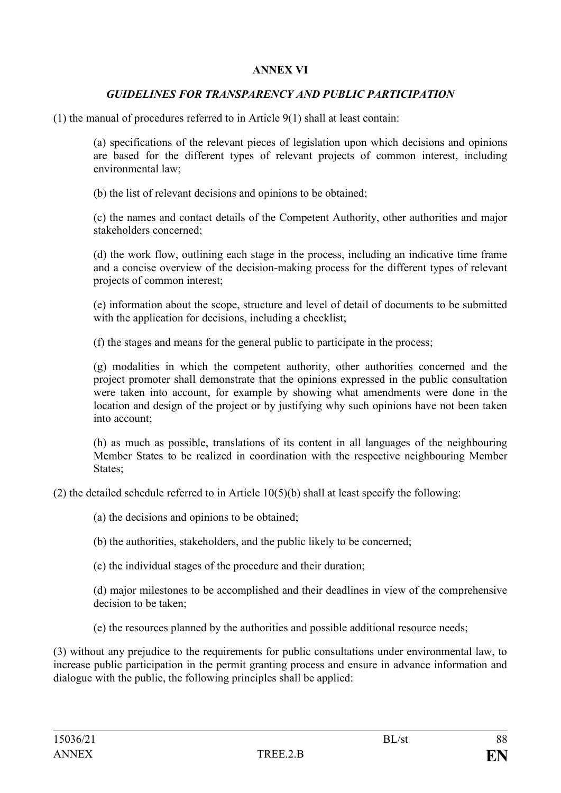## **ANNEX VI**

## *GUIDELINES FOR TRANSPARENCY AND PUBLIC PARTICIPATION*

(1) the manual of procedures referred to in Article 9(1) shall at least contain:

(a) specifications of the relevant pieces of legislation upon which decisions and opinions are based for the different types of relevant projects of common interest, including environmental law;

(b) the list of relevant decisions and opinions to be obtained;

(c) the names and contact details of the Competent Authority, other authorities and major stakeholders concerned;

(d) the work flow, outlining each stage in the process, including an indicative time frame and a concise overview of the decision-making process for the different types of relevant projects of common interest;

(e) information about the scope, structure and level of detail of documents to be submitted with the application for decisions, including a checklist;

(f) the stages and means for the general public to participate in the process;

(g) modalities in which the competent authority, other authorities concerned and the project promoter shall demonstrate that the opinions expressed in the public consultation were taken into account, for example by showing what amendments were done in the location and design of the project or by justifying why such opinions have not been taken into account;

(h) as much as possible, translations of its content in all languages of the neighbouring Member States to be realized in coordination with the respective neighbouring Member States:

(2) the detailed schedule referred to in Article  $10(5)(b)$  shall at least specify the following:

(a) the decisions and opinions to be obtained;

(b) the authorities, stakeholders, and the public likely to be concerned;

(c) the individual stages of the procedure and their duration;

(d) major milestones to be accomplished and their deadlines in view of the comprehensive decision to be taken;

(e) the resources planned by the authorities and possible additional resource needs;

(3) without any prejudice to the requirements for public consultations under environmental law, to increase public participation in the permit granting process and ensure in advance information and dialogue with the public, the following principles shall be applied: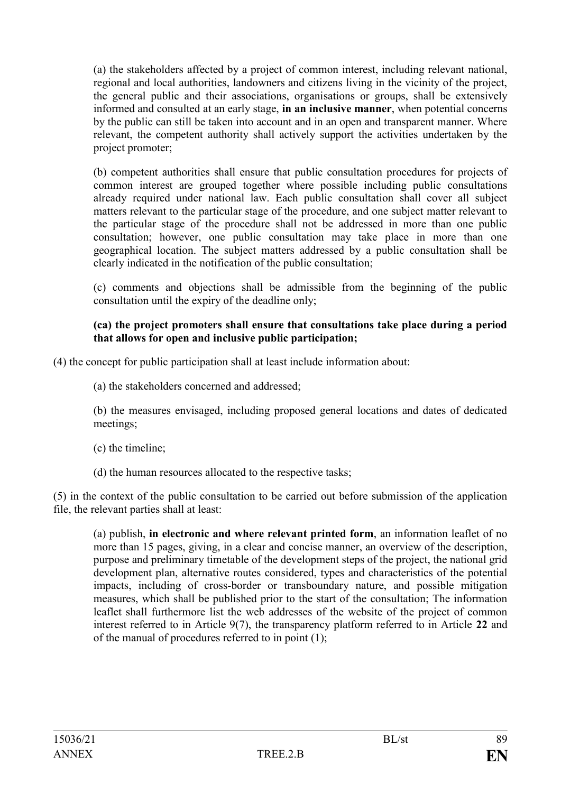(a) the stakeholders affected by a project of common interest, including relevant national, regional and local authorities, landowners and citizens living in the vicinity of the project, the general public and their associations, organisations or groups, shall be extensively informed and consulted at an early stage, **in an inclusive manner**, when potential concerns by the public can still be taken into account and in an open and transparent manner. Where relevant, the competent authority shall actively support the activities undertaken by the project promoter;

(b) competent authorities shall ensure that public consultation procedures for projects of common interest are grouped together where possible including public consultations already required under national law. Each public consultation shall cover all subject matters relevant to the particular stage of the procedure, and one subject matter relevant to the particular stage of the procedure shall not be addressed in more than one public consultation; however, one public consultation may take place in more than one geographical location. The subject matters addressed by a public consultation shall be clearly indicated in the notification of the public consultation;

(c) comments and objections shall be admissible from the beginning of the public consultation until the expiry of the deadline only;

#### **(ca) the project promoters shall ensure that consultations take place during a period that allows for open and inclusive public participation;**

(4) the concept for public participation shall at least include information about:

(a) the stakeholders concerned and addressed;

(b) the measures envisaged, including proposed general locations and dates of dedicated meetings;

- (c) the timeline;
- (d) the human resources allocated to the respective tasks;

(5) in the context of the public consultation to be carried out before submission of the application file, the relevant parties shall at least:

(a) publish, **in electronic and where relevant printed form**, an information leaflet of no more than 15 pages, giving, in a clear and concise manner, an overview of the description, purpose and preliminary timetable of the development steps of the project, the national grid development plan, alternative routes considered, types and characteristics of the potential impacts, including of cross-border or transboundary nature, and possible mitigation measures, which shall be published prior to the start of the consultation; The information leaflet shall furthermore list the web addresses of the website of the project of common interest referred to in Article 9(7), the transparency platform referred to in Article **22** and of the manual of procedures referred to in point (1);